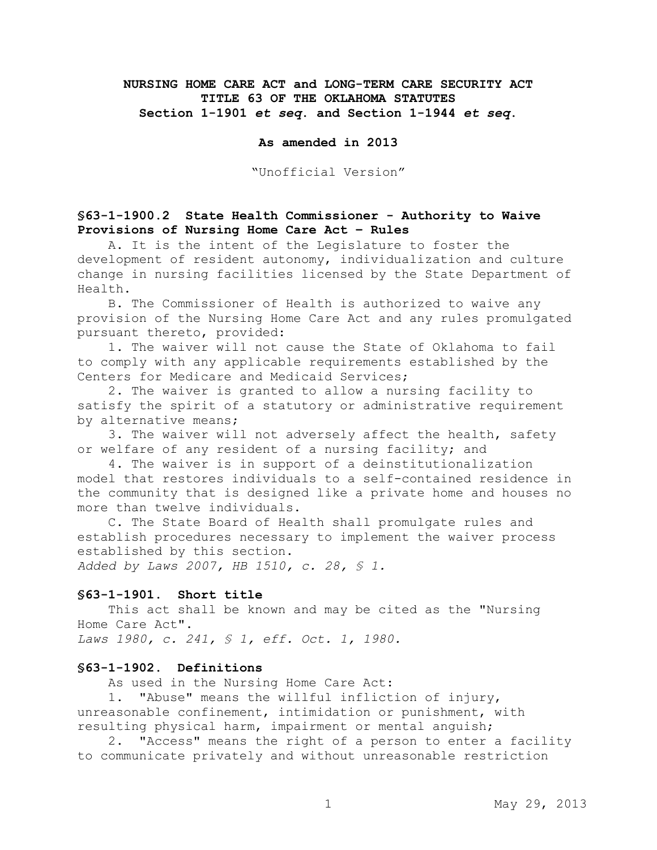# **NURSING HOME CARE ACT and LONG-TERM CARE SECURITY ACT TITLE 63 OF THE OKLAHOMA STATUTES Section 1-1901** *et seq***. and Section 1-1944** *et seq***.**

### **As amended in 2013**

"Unofficial Version"

### **§63-1-1900.2 State Health Commissioner - Authority to Waive Provisions of Nursing Home Care Act – Rules**

A. It is the intent of the Legislature to foster the development of resident autonomy, individualization and culture change in nursing facilities licensed by the State Department of Health.

B. The Commissioner of Health is authorized to waive any provision of the Nursing Home Care Act and any rules promulgated pursuant thereto, provided:

1. The waiver will not cause the State of Oklahoma to fail to comply with any applicable requirements established by the Centers for Medicare and Medicaid Services;

2. The waiver is granted to allow a nursing facility to satisfy the spirit of a statutory or administrative requirement by alternative means;

3. The waiver will not adversely affect the health, safety or welfare of any resident of a nursing facility; and

4. The waiver is in support of a deinstitutionalization model that restores individuals to a self-contained residence in the community that is designed like a private home and houses no more than twelve individuals.

C. The State Board of Health shall promulgate rules and establish procedures necessary to implement the waiver process established by this section.

*Added by Laws 2007, HB 1510, c. 28, § 1.*

### **§63-1-1901. Short title**

This act shall be known and may be cited as the "Nursing Home Care Act". *Laws 1980, c. 241, § 1, eff. Oct. 1, 1980.*

# **§63-1-1902. Definitions**

As used in the Nursing Home Care Act:

1. "Abuse" means the willful infliction of injury, unreasonable confinement, intimidation or punishment, with resulting physical harm, impairment or mental anguish;

2. "Access" means the right of a person to enter a facility to communicate privately and without unreasonable restriction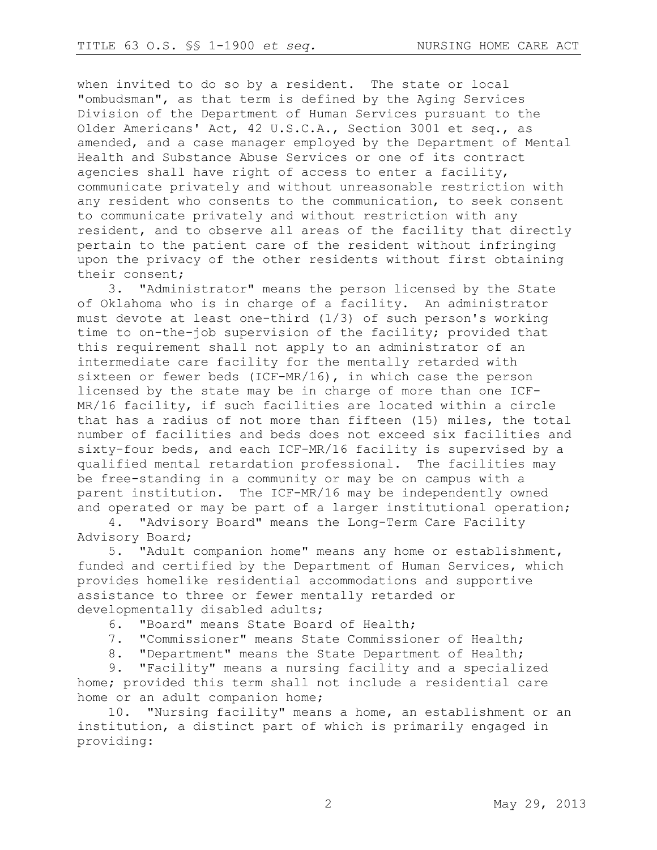when invited to do so by a resident. The state or local "ombudsman", as that term is defined by the Aging Services Division of the Department of Human Services pursuant to the Older Americans' Act, 42 U.S.C.A., Section 3001 et seq., as amended, and a case manager employed by the Department of Mental Health and Substance Abuse Services or one of its contract agencies shall have right of access to enter a facility, communicate privately and without unreasonable restriction with any resident who consents to the communication, to seek consent to communicate privately and without restriction with any resident, and to observe all areas of the facility that directly pertain to the patient care of the resident without infringing upon the privacy of the other residents without first obtaining their consent;

3. "Administrator" means the person licensed by the State of Oklahoma who is in charge of a facility. An administrator must devote at least one-third (1/3) of such person's working time to on-the-job supervision of the facility; provided that this requirement shall not apply to an administrator of an intermediate care facility for the mentally retarded with sixteen or fewer beds (ICF-MR/16), in which case the person licensed by the state may be in charge of more than one ICF-MR/16 facility, if such facilities are located within a circle that has a radius of not more than fifteen (15) miles, the total number of facilities and beds does not exceed six facilities and sixty-four beds, and each ICF-MR/16 facility is supervised by a qualified mental retardation professional. The facilities may be free-standing in a community or may be on campus with a parent institution. The ICF-MR/16 may be independently owned and operated or may be part of a larger institutional operation;

4. "Advisory Board" means the Long-Term Care Facility Advisory Board;

5. "Adult companion home" means any home or establishment, funded and certified by the Department of Human Services, which provides homelike residential accommodations and supportive assistance to three or fewer mentally retarded or developmentally disabled adults;

- 6. "Board" means State Board of Health;
- 7. "Commissioner" means State Commissioner of Health;
- 8. "Department" means the State Department of Health;

9. "Facility" means a nursing facility and a specialized home; provided this term shall not include a residential care home or an adult companion home;

10. "Nursing facility" means a home, an establishment or an institution, a distinct part of which is primarily engaged in providing: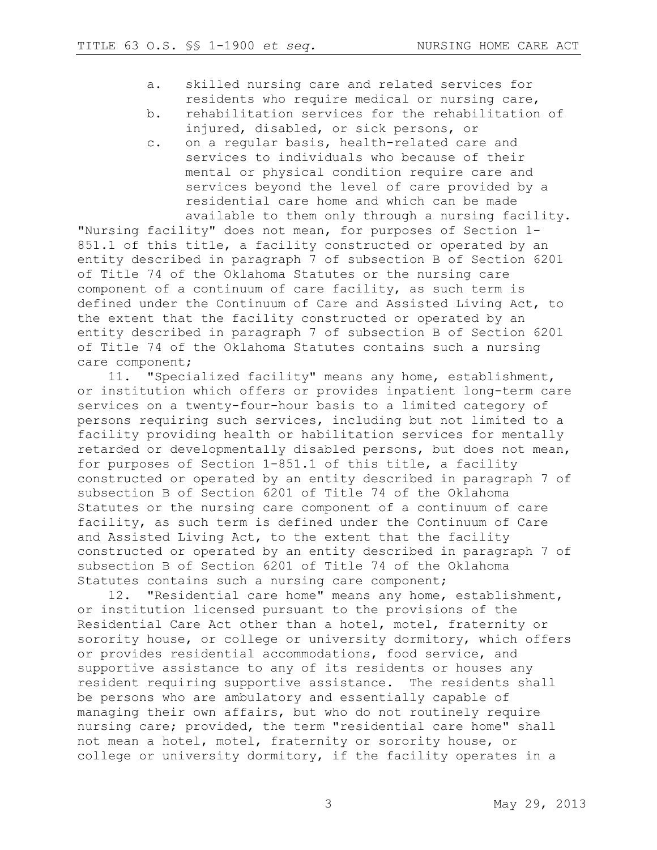- a. skilled nursing care and related services for residents who require medical or nursing care,
- b. rehabilitation services for the rehabilitation of injured, disabled, or sick persons, or
- c. on a regular basis, health-related care and services to individuals who because of their mental or physical condition require care and services beyond the level of care provided by a residential care home and which can be made available to them only through a nursing facility.

"Nursing facility" does not mean, for purposes of Section 1- 851.1 of this title, a facility constructed or operated by an entity described in paragraph 7 of subsection B of Section 6201 of Title 74 of the Oklahoma Statutes or the nursing care component of a continuum of care facility, as such term is defined under the Continuum of Care and Assisted Living Act, to the extent that the facility constructed or operated by an entity described in paragraph 7 of subsection B of Section 6201 of Title 74 of the Oklahoma Statutes contains such a nursing care component;

11. "Specialized facility" means any home, establishment, or institution which offers or provides inpatient long-term care services on a twenty-four-hour basis to a limited category of persons requiring such services, including but not limited to a facility providing health or habilitation services for mentally retarded or developmentally disabled persons, but does not mean, for purposes of Section 1-851.1 of this title, a facility constructed or operated by an entity described in paragraph 7 of subsection B of Section 6201 of Title 74 of the Oklahoma Statutes or the nursing care component of a continuum of care facility, as such term is defined under the Continuum of Care and Assisted Living Act, to the extent that the facility constructed or operated by an entity described in paragraph 7 of subsection B of Section 6201 of Title 74 of the Oklahoma Statutes contains such a nursing care component;

12. "Residential care home" means any home, establishment, or institution licensed pursuant to the provisions of the Residential Care Act other than a hotel, motel, fraternity or sorority house, or college or university dormitory, which offers or provides residential accommodations, food service, and supportive assistance to any of its residents or houses any resident requiring supportive assistance. The residents shall be persons who are ambulatory and essentially capable of managing their own affairs, but who do not routinely require nursing care; provided, the term "residential care home" shall not mean a hotel, motel, fraternity or sorority house, or college or university dormitory, if the facility operates in a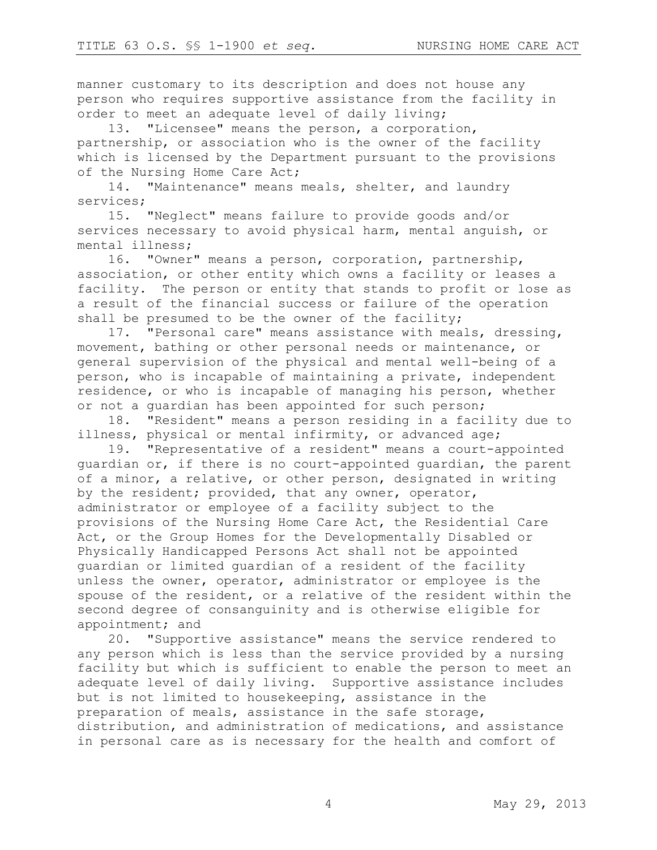manner customary to its description and does not house any person who requires supportive assistance from the facility in order to meet an adequate level of daily living;

13. "Licensee" means the person, a corporation, partnership, or association who is the owner of the facility which is licensed by the Department pursuant to the provisions of the Nursing Home Care Act;

14. "Maintenance" means meals, shelter, and laundry services;

15. "Neglect" means failure to provide goods and/or services necessary to avoid physical harm, mental anguish, or mental illness;

16. "Owner" means a person, corporation, partnership, association, or other entity which owns a facility or leases a facility. The person or entity that stands to profit or lose as a result of the financial success or failure of the operation shall be presumed to be the owner of the facility;

17. "Personal care" means assistance with meals, dressing, movement, bathing or other personal needs or maintenance, or general supervision of the physical and mental well-being of a person, who is incapable of maintaining a private, independent residence, or who is incapable of managing his person, whether or not a guardian has been appointed for such person;

18. "Resident" means a person residing in a facility due to illness, physical or mental infirmity, or advanced age;

19. "Representative of a resident" means a court-appointed guardian or, if there is no court-appointed guardian, the parent of a minor, a relative, or other person, designated in writing by the resident; provided, that any owner, operator, administrator or employee of a facility subject to the provisions of the Nursing Home Care Act, the Residential Care Act, or the Group Homes for the Developmentally Disabled or Physically Handicapped Persons Act shall not be appointed guardian or limited guardian of a resident of the facility unless the owner, operator, administrator or employee is the spouse of the resident, or a relative of the resident within the second degree of consanguinity and is otherwise eligible for appointment; and

20. "Supportive assistance" means the service rendered to any person which is less than the service provided by a nursing facility but which is sufficient to enable the person to meet an adequate level of daily living. Supportive assistance includes but is not limited to housekeeping, assistance in the preparation of meals, assistance in the safe storage, distribution, and administration of medications, and assistance in personal care as is necessary for the health and comfort of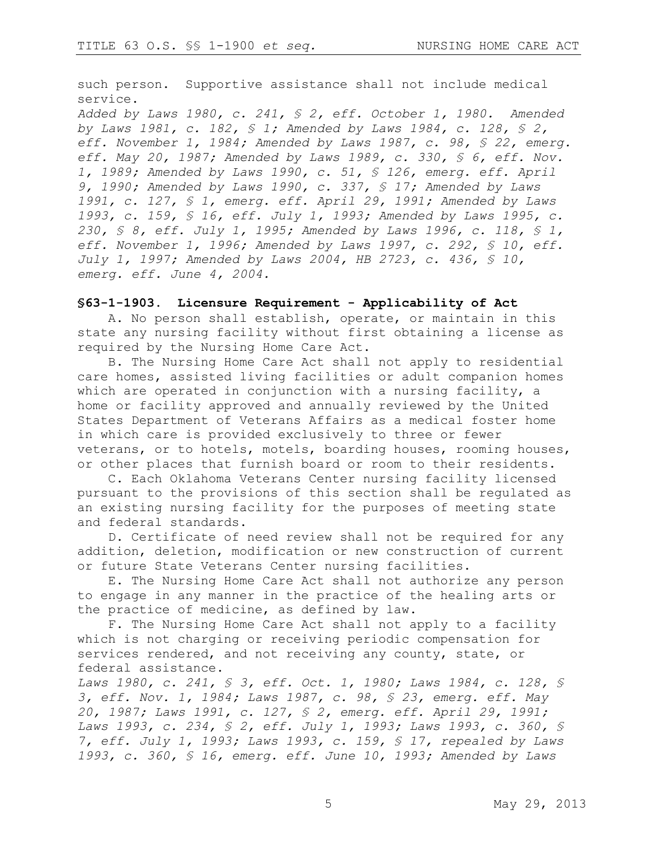such person. Supportive assistance shall not include medical service.

*Added by Laws 1980, c. 241, § 2, eff. October 1, 1980. Amended by Laws 1981, c. 182, § 1; Amended by Laws 1984, c. 128, § 2, eff. November 1, 1984; Amended by Laws 1987, c. 98, § 22, emerg. eff. May 20, 1987; Amended by Laws 1989, c. 330, § 6, eff. Nov. 1, 1989; Amended by Laws 1990, c. 51, § 126, emerg. eff. April 9, 1990; Amended by Laws 1990, c. 337, § 17; Amended by Laws 1991, c. 127, § 1, emerg. eff. April 29, 1991; Amended by Laws 1993, c. 159, § 16, eff. July 1, 1993; Amended by Laws 1995, c. 230, § 8, eff. July 1, 1995; Amended by Laws 1996, c. 118, § 1, eff. November 1, 1996; Amended by Laws 1997, c. 292, § 10, eff. July 1, 1997; Amended by Laws 2004, HB 2723, c. 436, § 10, emerg. eff. June 4, 2004.*

#### **§63-1-1903. Licensure Requirement - Applicability of Act**

A. No person shall establish, operate, or maintain in this state any nursing facility without first obtaining a license as required by the Nursing Home Care Act.

B. The Nursing Home Care Act shall not apply to residential care homes, assisted living facilities or adult companion homes which are operated in conjunction with a nursing facility, a home or facility approved and annually reviewed by the United States Department of Veterans Affairs as a medical foster home in which care is provided exclusively to three or fewer veterans, or to hotels, motels, boarding houses, rooming houses, or other places that furnish board or room to their residents.

C. Each Oklahoma Veterans Center nursing facility licensed pursuant to the provisions of this section shall be regulated as an existing nursing facility for the purposes of meeting state and federal standards.

D. Certificate of need review shall not be required for any addition, deletion, modification or new construction of current or future State Veterans Center nursing facilities.

E. The Nursing Home Care Act shall not authorize any person to engage in any manner in the practice of the healing arts or the practice of medicine, as defined by law.

F. The Nursing Home Care Act shall not apply to a facility which is not charging or receiving periodic compensation for services rendered, and not receiving any county, state, or federal assistance.

*Laws 1980, c. 241, § 3, eff. Oct. 1, 1980; Laws 1984, c. 128, § 3, eff. Nov. 1, 1984; Laws 1987, c. 98, § 23, emerg. eff. May 20, 1987; Laws 1991, c. 127, § 2, emerg. eff. April 29, 1991; Laws 1993, c. 234, § 2, eff. July 1, 1993; Laws 1993, c. 360, § 7, eff. July 1, 1993; Laws 1993, c. 159, § 17, repealed by Laws 1993, c. 360, § 16, emerg. eff. June 10, 1993; Amended by Laws*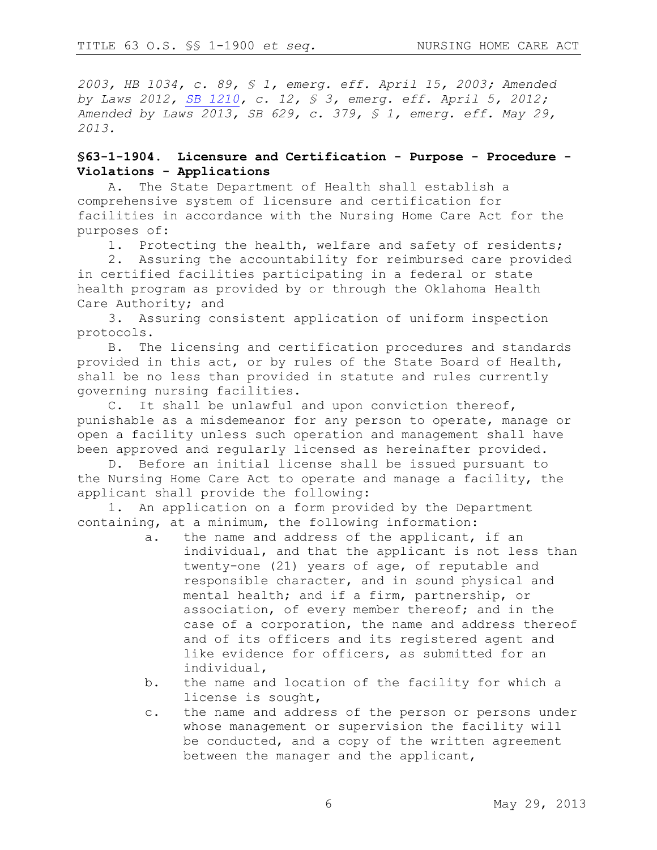*2003, HB 1034, c. 89, § 1, emerg. eff. April 15, 2003; Amended by Laws 2012, [SB 1210,](https://www.sos.ok.gov/documents/legislation/53rd/2012/2R/SB/1210.pdf) c. 12, § 3, emerg. eff. April 5, 2012; Amended by Laws 2013, SB 629, c. 379, § 1, emerg. eff. May 29, 2013.*

### **§63-1-1904. Licensure and Certification - Purpose - Procedure - Violations - Applications**

A. The State Department of Health shall establish a comprehensive system of licensure and certification for facilities in accordance with the Nursing Home Care Act for the purposes of:

1. Protecting the health, welfare and safety of residents;

2. Assuring the accountability for reimbursed care provided in certified facilities participating in a federal or state health program as provided by or through the Oklahoma Health Care Authority; and

3. Assuring consistent application of uniform inspection protocols.

B. The licensing and certification procedures and standards provided in this act, or by rules of the State Board of Health, shall be no less than provided in statute and rules currently governing nursing facilities.

C. It shall be unlawful and upon conviction thereof, punishable as a misdemeanor for any person to operate, manage or open a facility unless such operation and management shall have been approved and regularly licensed as hereinafter provided.

D. Before an initial license shall be issued pursuant to the Nursing Home Care Act to operate and manage a facility, the applicant shall provide the following:

1. An application on a form provided by the Department containing, at a minimum, the following information:

- a. the name and address of the applicant, if an individual, and that the applicant is not less than twenty-one (21) years of age, of reputable and responsible character, and in sound physical and mental health; and if a firm, partnership, or association, of every member thereof; and in the case of a corporation, the name and address thereof and of its officers and its registered agent and like evidence for officers, as submitted for an individual,
- b. the name and location of the facility for which a license is sought,
- c. the name and address of the person or persons under whose management or supervision the facility will be conducted, and a copy of the written agreement between the manager and the applicant,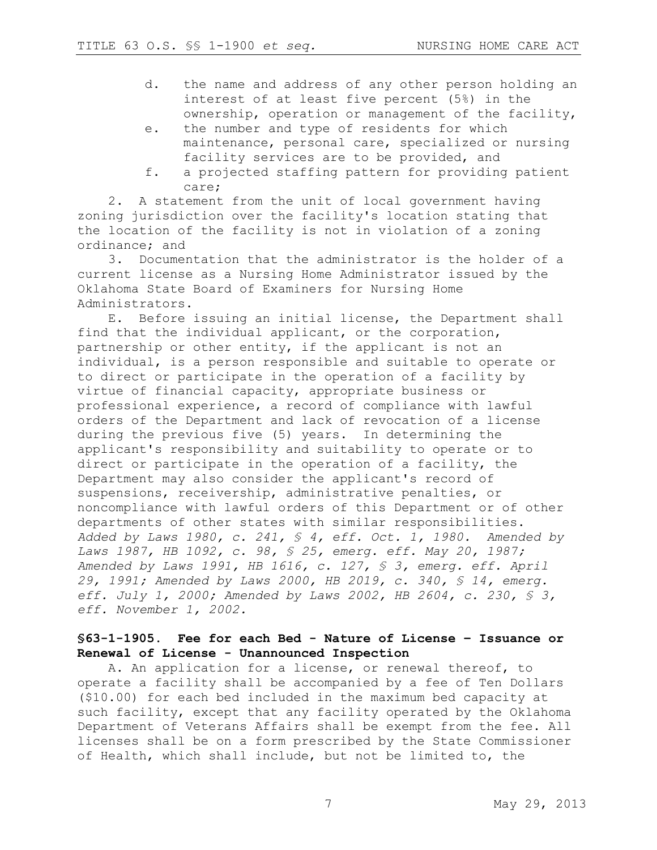- d. the name and address of any other person holding an interest of at least five percent (5%) in the ownership, operation or management of the facility,
- e. the number and type of residents for which maintenance, personal care, specialized or nursing facility services are to be provided, and
- f. a projected staffing pattern for providing patient care;

2. A statement from the unit of local government having zoning jurisdiction over the facility's location stating that the location of the facility is not in violation of a zoning ordinance; and

3. Documentation that the administrator is the holder of a current license as a Nursing Home Administrator issued by the Oklahoma State Board of Examiners for Nursing Home Administrators.

E. Before issuing an initial license, the Department shall find that the individual applicant, or the corporation, partnership or other entity, if the applicant is not an individual, is a person responsible and suitable to operate or to direct or participate in the operation of a facility by virtue of financial capacity, appropriate business or professional experience, a record of compliance with lawful orders of the Department and lack of revocation of a license during the previous five (5) years. In determining the applicant's responsibility and suitability to operate or to direct or participate in the operation of a facility, the Department may also consider the applicant's record of suspensions, receivership, administrative penalties, or noncompliance with lawful orders of this Department or of other departments of other states with similar responsibilities. *Added by Laws 1980, c. 241, § 4, eff. Oct. 1, 1980. Amended by Laws 1987, HB 1092, c. 98, § 25, emerg. eff. May 20, 1987; Amended by Laws 1991, HB 1616, c. 127, § 3, emerg. eff. April 29, 1991; Amended by Laws 2000, HB 2019, c. 340, § 14, emerg. eff. July 1, 2000; Amended by Laws 2002, HB 2604, c. 230, § 3, eff. November 1, 2002.*

### **§63-1-1905. Fee for each Bed - Nature of License – Issuance or Renewal of License - Unannounced Inspection**

A. An application for a license, or renewal thereof, to operate a facility shall be accompanied by a fee of Ten Dollars (\$10.00) for each bed included in the maximum bed capacity at such facility, except that any facility operated by the Oklahoma Department of Veterans Affairs shall be exempt from the fee. All licenses shall be on a form prescribed by the State Commissioner of Health, which shall include, but not be limited to, the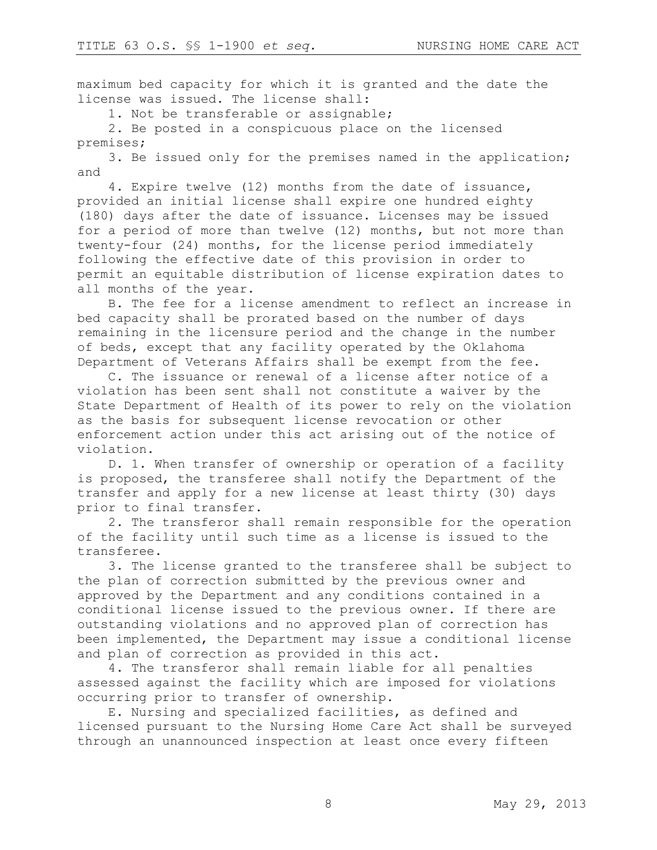maximum bed capacity for which it is granted and the date the license was issued. The license shall:

1. Not be transferable or assignable;

2. Be posted in a conspicuous place on the licensed premises;

3. Be issued only for the premises named in the application; and

4. Expire twelve (12) months from the date of issuance, provided an initial license shall expire one hundred eighty (180) days after the date of issuance. Licenses may be issued for a period of more than twelve (12) months, but not more than twenty-four (24) months, for the license period immediately following the effective date of this provision in order to permit an equitable distribution of license expiration dates to all months of the year.

B. The fee for a license amendment to reflect an increase in bed capacity shall be prorated based on the number of days remaining in the licensure period and the change in the number of beds, except that any facility operated by the Oklahoma Department of Veterans Affairs shall be exempt from the fee.

C. The issuance or renewal of a license after notice of a violation has been sent shall not constitute a waiver by the State Department of Health of its power to rely on the violation as the basis for subsequent license revocation or other enforcement action under this act arising out of the notice of violation.

D. 1. When transfer of ownership or operation of a facility is proposed, the transferee shall notify the Department of the transfer and apply for a new license at least thirty (30) days prior to final transfer.

2. The transferor shall remain responsible for the operation of the facility until such time as a license is issued to the transferee.

3. The license granted to the transferee shall be subject to the plan of correction submitted by the previous owner and approved by the Department and any conditions contained in a conditional license issued to the previous owner. If there are outstanding violations and no approved plan of correction has been implemented, the Department may issue a conditional license and plan of correction as provided in this act.

4. The transferor shall remain liable for all penalties assessed against the facility which are imposed for violations occurring prior to transfer of ownership.

E. Nursing and specialized facilities, as defined and licensed pursuant to the Nursing Home Care Act shall be surveyed through an unannounced inspection at least once every fifteen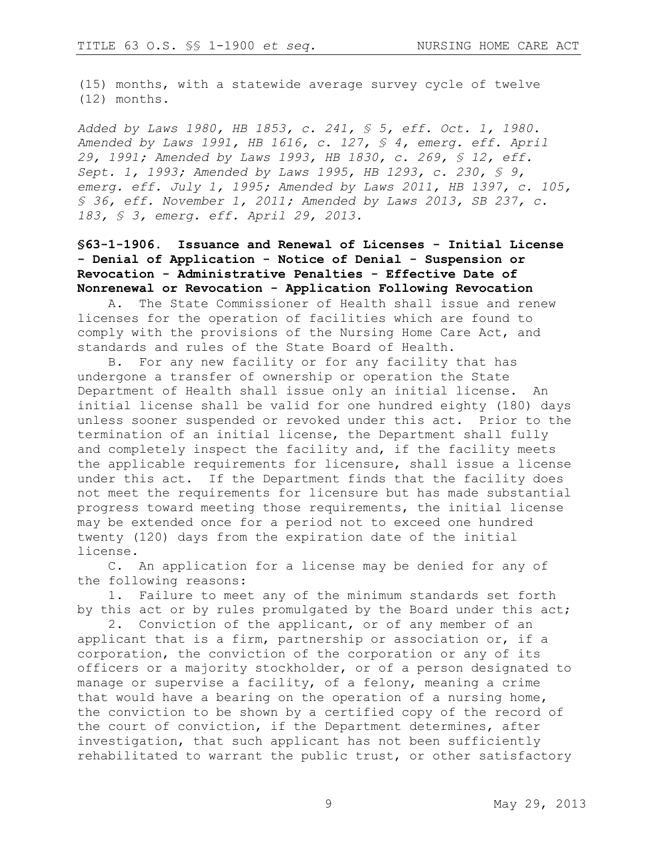(15) months, with a statewide average survey cycle of twelve (12) months.

*Added by Laws 1980, HB 1853, c. 241, § 5, eff. Oct. 1, 1980. Amended by Laws 1991, HB 1616, c. 127, § 4, emerg. eff. April 29, 1991; Amended by Laws 1993, HB 1830, c. 269, § 12, eff. Sept. 1, 1993; Amended by Laws 1995, HB 1293, c. 230, § 9, emerg. eff. July 1, 1995; Amended by Laws 2011, HB 1397, c. 105, § 36, eff. November 1, 2011; Amended by Laws 2013, SB 237, c. 183, § 3, emerg. eff. April 29, 2013.*

# **§63-1-1906. Issuance and Renewal of Licenses - Initial License - Denial of Application - Notice of Denial - Suspension or Revocation - Administrative Penalties - Effective Date of Nonrenewal or Revocation - Application Following Revocation**

A. The State Commissioner of Health shall issue and renew licenses for the operation of facilities which are found to comply with the provisions of the Nursing Home Care Act, and standards and rules of the State Board of Health.

B. For any new facility or for any facility that has undergone a transfer of ownership or operation the State Department of Health shall issue only an initial license. An initial license shall be valid for one hundred eighty (180) days unless sooner suspended or revoked under this act. Prior to the termination of an initial license, the Department shall fully and completely inspect the facility and, if the facility meets the applicable requirements for licensure, shall issue a license under this act. If the Department finds that the facility does not meet the requirements for licensure but has made substantial progress toward meeting those requirements, the initial license may be extended once for a period not to exceed one hundred twenty (120) days from the expiration date of the initial license.

C. An application for a license may be denied for any of the following reasons:

1. Failure to meet any of the minimum standards set forth by this act or by rules promulgated by the Board under this act;

2. Conviction of the applicant, or of any member of an applicant that is a firm, partnership or association or, if a corporation, the conviction of the corporation or any of its officers or a majority stockholder, or of a person designated to manage or supervise a facility, of a felony, meaning a crime that would have a bearing on the operation of a nursing home, the conviction to be shown by a certified copy of the record of the court of conviction, if the Department determines, after investigation, that such applicant has not been sufficiently rehabilitated to warrant the public trust, or other satisfactory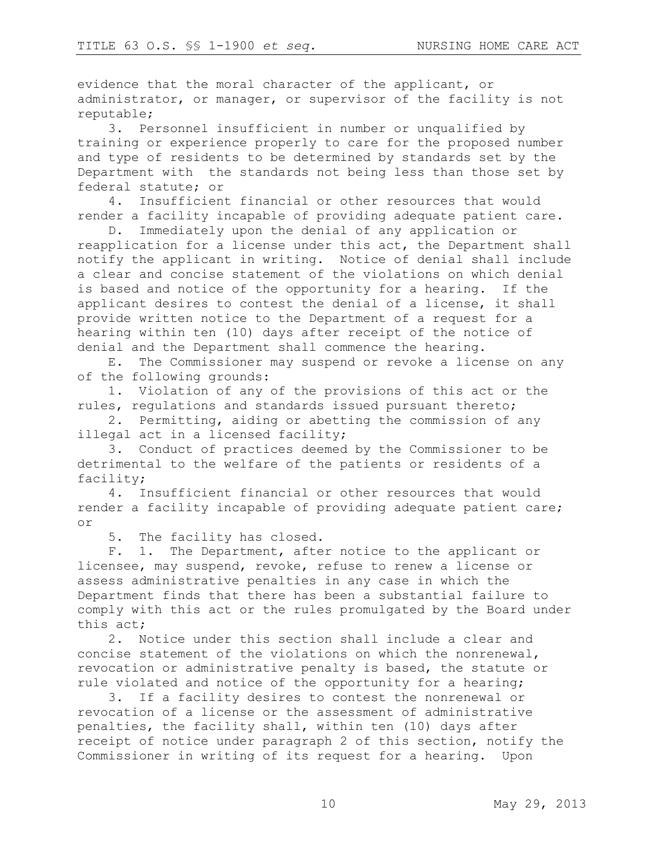evidence that the moral character of the applicant, or administrator, or manager, or supervisor of the facility is not reputable;

3. Personnel insufficient in number or unqualified by training or experience properly to care for the proposed number and type of residents to be determined by standards set by the Department with the standards not being less than those set by federal statute; or

4. Insufficient financial or other resources that would render a facility incapable of providing adequate patient care.

D. Immediately upon the denial of any application or reapplication for a license under this act, the Department shall notify the applicant in writing. Notice of denial shall include a clear and concise statement of the violations on which denial is based and notice of the opportunity for a hearing. If the applicant desires to contest the denial of a license, it shall provide written notice to the Department of a request for a hearing within ten (10) days after receipt of the notice of denial and the Department shall commence the hearing.

E. The Commissioner may suspend or revoke a license on any of the following grounds:

1. Violation of any of the provisions of this act or the rules, regulations and standards issued pursuant thereto;

2. Permitting, aiding or abetting the commission of any illegal act in a licensed facility;

3. Conduct of practices deemed by the Commissioner to be detrimental to the welfare of the patients or residents of a facility;

4. Insufficient financial or other resources that would render a facility incapable of providing adequate patient care; or

5. The facility has closed.

F. 1. The Department, after notice to the applicant or licensee, may suspend, revoke, refuse to renew a license or assess administrative penalties in any case in which the Department finds that there has been a substantial failure to comply with this act or the rules promulgated by the Board under this act;

2. Notice under this section shall include a clear and concise statement of the violations on which the nonrenewal, revocation or administrative penalty is based, the statute or rule violated and notice of the opportunity for a hearing;

3. If a facility desires to contest the nonrenewal or revocation of a license or the assessment of administrative penalties, the facility shall, within ten (10) days after receipt of notice under paragraph 2 of this section, notify the Commissioner in writing of its request for a hearing. Upon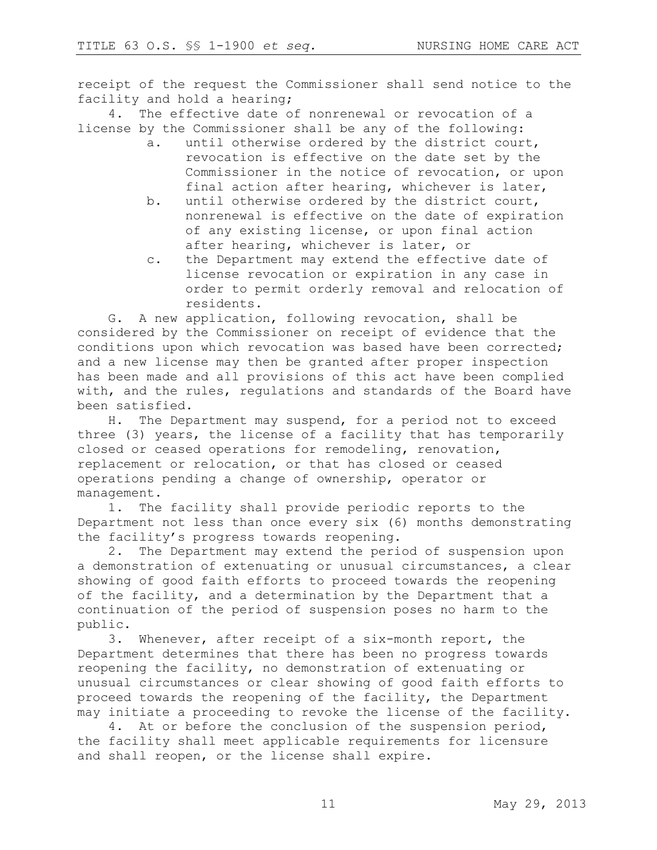receipt of the request the Commissioner shall send notice to the facility and hold a hearing;

4. The effective date of nonrenewal or revocation of a license by the Commissioner shall be any of the following:

- a. until otherwise ordered by the district court, revocation is effective on the date set by the Commissioner in the notice of revocation, or upon final action after hearing, whichever is later,
- b. until otherwise ordered by the district court, nonrenewal is effective on the date of expiration of any existing license, or upon final action after hearing, whichever is later, or
- c. the Department may extend the effective date of license revocation or expiration in any case in order to permit orderly removal and relocation of residents.

G. A new application, following revocation, shall be considered by the Commissioner on receipt of evidence that the conditions upon which revocation was based have been corrected; and a new license may then be granted after proper inspection has been made and all provisions of this act have been complied with, and the rules, regulations and standards of the Board have been satisfied.

H. The Department may suspend, for a period not to exceed three (3) years, the license of a facility that has temporarily closed or ceased operations for remodeling, renovation, replacement or relocation, or that has closed or ceased operations pending a change of ownership, operator or management.

1. The facility shall provide periodic reports to the Department not less than once every six (6) months demonstrating the facility's progress towards reopening.

2. The Department may extend the period of suspension upon a demonstration of extenuating or unusual circumstances, a clear showing of good faith efforts to proceed towards the reopening of the facility, and a determination by the Department that a continuation of the period of suspension poses no harm to the public.

3. Whenever, after receipt of a six-month report, the Department determines that there has been no progress towards reopening the facility, no demonstration of extenuating or unusual circumstances or clear showing of good faith efforts to proceed towards the reopening of the facility, the Department may initiate a proceeding to revoke the license of the facility.

4. At or before the conclusion of the suspension period, the facility shall meet applicable requirements for licensure and shall reopen, or the license shall expire.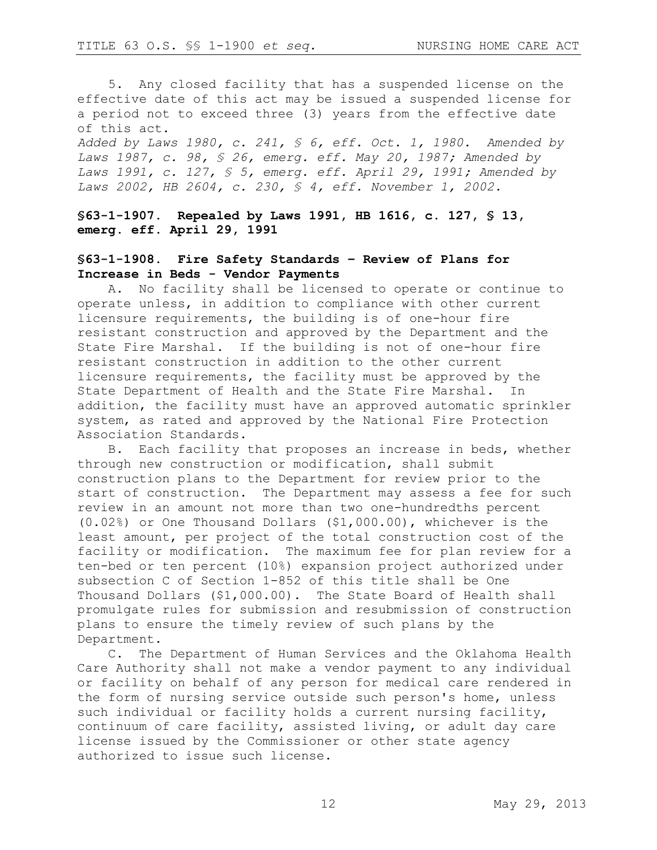5. Any closed facility that has a suspended license on the effective date of this act may be issued a suspended license for a period not to exceed three (3) years from the effective date of this act.

*Added by Laws 1980, c. 241, § 6, eff. Oct. 1, 1980. Amended by Laws 1987, c. 98, § 26, emerg. eff. May 20, 1987; Amended by Laws 1991, c. 127, § 5, emerg. eff. April 29, 1991; Amended by Laws 2002, HB 2604, c. 230, § 4, eff. November 1, 2002.*

**§63-1-1907. Repealed by Laws 1991, HB 1616, c. 127, § 13, emerg. eff. April 29, 1991**

### **§63-1-1908. Fire Safety Standards – Review of Plans for Increase in Beds - Vendor Payments**

A. No facility shall be licensed to operate or continue to operate unless, in addition to compliance with other current licensure requirements, the building is of one-hour fire resistant construction and approved by the Department and the State Fire Marshal. If the building is not of one-hour fire resistant construction in addition to the other current licensure requirements, the facility must be approved by the State Department of Health and the State Fire Marshal. In addition, the facility must have an approved automatic sprinkler system, as rated and approved by the National Fire Protection Association Standards.

B. Each facility that proposes an increase in beds, whether through new construction or modification, shall submit construction plans to the Department for review prior to the start of construction. The Department may assess a fee for such review in an amount not more than two one-hundredths percent (0.02%) or One Thousand Dollars (\$1,000.00), whichever is the least amount, per project of the total construction cost of the facility or modification. The maximum fee for plan review for a ten-bed or ten percent (10%) expansion project authorized under subsection C of Section 1-852 of this title shall be One Thousand Dollars (\$1,000.00). The State Board of Health shall promulgate rules for submission and resubmission of construction plans to ensure the timely review of such plans by the Department.

C. The Department of Human Services and the Oklahoma Health Care Authority shall not make a vendor payment to any individual or facility on behalf of any person for medical care rendered in the form of nursing service outside such person's home, unless such individual or facility holds a current nursing facility, continuum of care facility, assisted living, or adult day care license issued by the Commissioner or other state agency authorized to issue such license.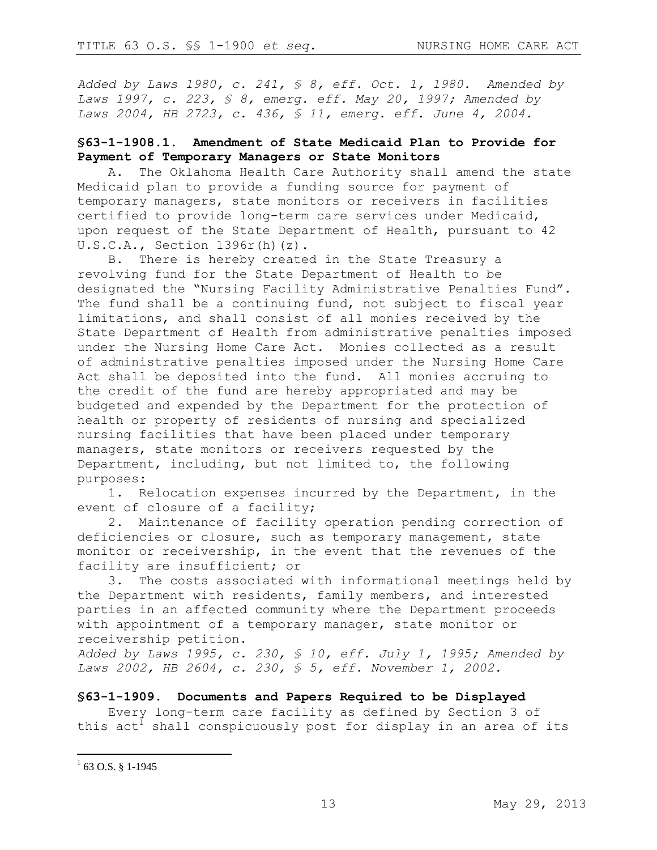*Added by Laws 1980, c. 241, § 8, eff. Oct. 1, 1980. Amended by Laws 1997, c. 223, § 8, emerg. eff. May 20, 1997; Amended by Laws 2004, HB 2723, c. 436, § 11, emerg. eff. June 4, 2004.*

# **§63-1-1908.1. Amendment of State Medicaid Plan to Provide for Payment of Temporary Managers or State Monitors**

A. The Oklahoma Health Care Authority shall amend the state Medicaid plan to provide a funding source for payment of temporary managers, state monitors or receivers in facilities certified to provide long-term care services under Medicaid, upon request of the State Department of Health, pursuant to 42  $U.S.C.A.,$  Section  $1396r(h)(z).$ 

B. There is hereby created in the State Treasury a revolving fund for the State Department of Health to be designated the "Nursing Facility Administrative Penalties Fund". The fund shall be a continuing fund, not subject to fiscal year limitations, and shall consist of all monies received by the State Department of Health from administrative penalties imposed under the Nursing Home Care Act. Monies collected as a result of administrative penalties imposed under the Nursing Home Care Act shall be deposited into the fund. All monies accruing to the credit of the fund are hereby appropriated and may be budgeted and expended by the Department for the protection of health or property of residents of nursing and specialized nursing facilities that have been placed under temporary managers, state monitors or receivers requested by the Department, including, but not limited to, the following purposes:

1. Relocation expenses incurred by the Department, in the event of closure of a facility;

2. Maintenance of facility operation pending correction of deficiencies or closure, such as temporary management, state monitor or receivership, in the event that the revenues of the facility are insufficient; or

3. The costs associated with informational meetings held by the Department with residents, family members, and interested parties in an affected community where the Department proceeds with appointment of a temporary manager, state monitor or receivership petition.

*Added by Laws 1995, c. 230, § 10, eff. July 1, 1995; Amended by Laws 2002, HB 2604, c. 230, § 5, eff. November 1, 2002.* 

#### **§63-1-1909. Documents and Papers Required to be Displayed**

Every long-term care facility as defined by Section 3 of this  $act<sup>1</sup>$  shall conspicuously post for display in an area of its

 $^{1}$  63 O.S. § 1-1945

 $\overline{a}$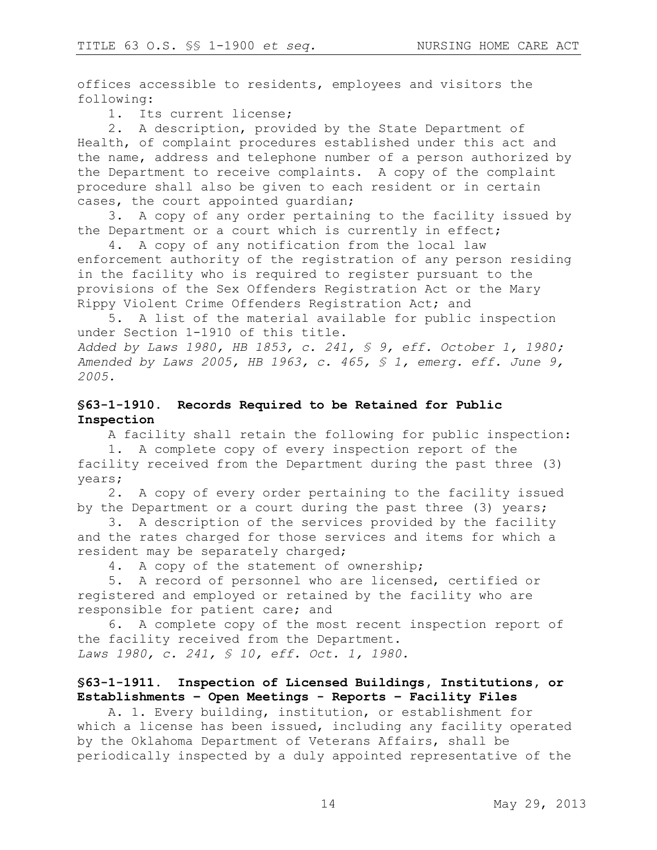offices accessible to residents, employees and visitors the following:

1. Its current license;

2. A description, provided by the State Department of Health, of complaint procedures established under this act and the name, address and telephone number of a person authorized by the Department to receive complaints. A copy of the complaint procedure shall also be given to each resident or in certain cases, the court appointed guardian;

3. A copy of any order pertaining to the facility issued by the Department or a court which is currently in effect;

4. A copy of any notification from the local law enforcement authority of the registration of any person residing in the facility who is required to register pursuant to the provisions of the Sex Offenders Registration Act or the Mary Rippy Violent Crime Offenders Registration Act; and

5. A list of the material available for public inspection under Section 1-1910 of this title. *Added by Laws 1980, HB 1853, c. 241, § 9, eff. October 1, 1980; Amended by Laws 2005, HB 1963, c. 465, § 1, emerg. eff. June 9, 2005.* 

### **§63-1-1910. Records Required to be Retained for Public Inspection**

A facility shall retain the following for public inspection:

1. A complete copy of every inspection report of the facility received from the Department during the past three (3) years;

2. A copy of every order pertaining to the facility issued by the Department or a court during the past three (3) years;

3. A description of the services provided by the facility and the rates charged for those services and items for which a resident may be separately charged;

4. A copy of the statement of ownership;

5. A record of personnel who are licensed, certified or registered and employed or retained by the facility who are responsible for patient care; and

6. A complete copy of the most recent inspection report of the facility received from the Department. *Laws 1980, c. 241, § 10, eff. Oct. 1, 1980.*

### **§63-1-1911. Inspection of Licensed Buildings, Institutions, or Establishments – Open Meetings - Reports – Facility Files**

A. 1. Every building, institution, or establishment for which a license has been issued, including any facility operated by the Oklahoma Department of Veterans Affairs, shall be periodically inspected by a duly appointed representative of the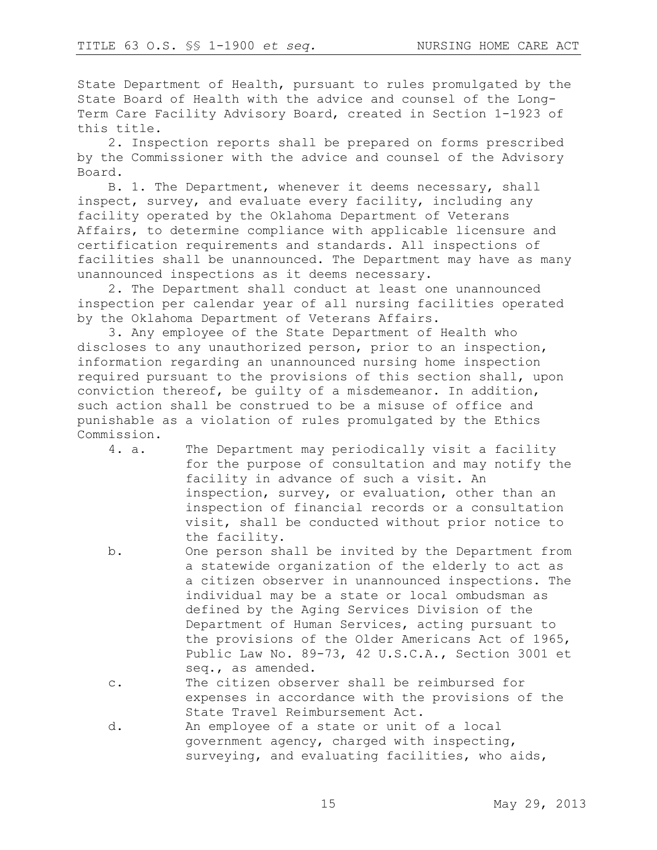State Department of Health, pursuant to rules promulgated by the State Board of Health with the advice and counsel of the Long-Term Care Facility Advisory Board, created in Section 1-1923 of this title.

2. Inspection reports shall be prepared on forms prescribed by the Commissioner with the advice and counsel of the Advisory Board.

B. 1. The Department, whenever it deems necessary, shall inspect, survey, and evaluate every facility, including any facility operated by the Oklahoma Department of Veterans Affairs, to determine compliance with applicable licensure and certification requirements and standards. All inspections of facilities shall be unannounced. The Department may have as many unannounced inspections as it deems necessary.

2. The Department shall conduct at least one unannounced inspection per calendar year of all nursing facilities operated by the Oklahoma Department of Veterans Affairs.

3. Any employee of the State Department of Health who discloses to any unauthorized person, prior to an inspection, information regarding an unannounced nursing home inspection required pursuant to the provisions of this section shall, upon conviction thereof, be guilty of a misdemeanor. In addition, such action shall be construed to be a misuse of office and punishable as a violation of rules promulgated by the Ethics Commission.

| 4. a. | The Department may periodically visit a facility   |
|-------|----------------------------------------------------|
|       | for the purpose of consultation and may notify the |
|       | facility in advance of such a visit. An            |
|       | inspection, survey, or evaluation, other than an   |
|       | inspection of financial records or a consultation  |
|       | visit, shall be conducted without prior notice to  |
|       | the facility.                                      |
|       |                                                    |

- b. One person shall be invited by the Department from a statewide organization of the elderly to act as a citizen observer in unannounced inspections. The individual may be a state or local ombudsman as defined by the Aging Services Division of the Department of Human Services, acting pursuant to the provisions of the Older Americans Act of 1965, Public Law No. 89-73, 42 U.S.C.A., Section 3001 et seq., as amended.
- c. The citizen observer shall be reimbursed for expenses in accordance with the provisions of the State Travel Reimbursement Act.
- d. An employee of a state or unit of a local government agency, charged with inspecting, surveying, and evaluating facilities, who aids,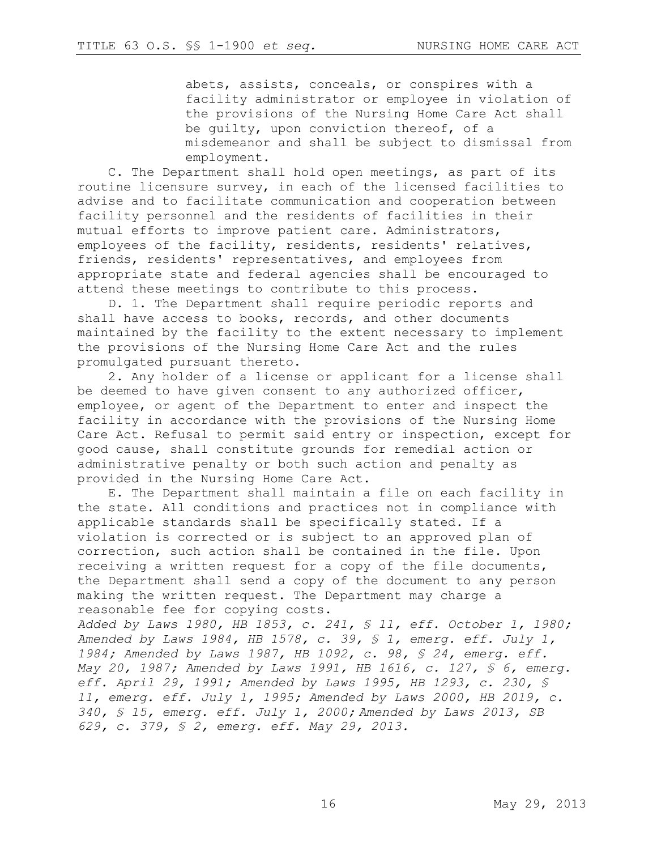abets, assists, conceals, or conspires with a facility administrator or employee in violation of the provisions of the Nursing Home Care Act shall be guilty, upon conviction thereof, of a misdemeanor and shall be subject to dismissal from employment.

C. The Department shall hold open meetings, as part of its routine licensure survey, in each of the licensed facilities to advise and to facilitate communication and cooperation between facility personnel and the residents of facilities in their mutual efforts to improve patient care. Administrators, employees of the facility, residents, residents' relatives, friends, residents' representatives, and employees from appropriate state and federal agencies shall be encouraged to attend these meetings to contribute to this process.

D. 1. The Department shall require periodic reports and shall have access to books, records, and other documents maintained by the facility to the extent necessary to implement the provisions of the Nursing Home Care Act and the rules promulgated pursuant thereto.

2. Any holder of a license or applicant for a license shall be deemed to have given consent to any authorized officer, employee, or agent of the Department to enter and inspect the facility in accordance with the provisions of the Nursing Home Care Act. Refusal to permit said entry or inspection, except for good cause, shall constitute grounds for remedial action or administrative penalty or both such action and penalty as provided in the Nursing Home Care Act.

E. The Department shall maintain a file on each facility in the state. All conditions and practices not in compliance with applicable standards shall be specifically stated. If a violation is corrected or is subject to an approved plan of correction, such action shall be contained in the file. Upon receiving a written request for a copy of the file documents, the Department shall send a copy of the document to any person making the written request. The Department may charge a reasonable fee for copying costs.

*Added by Laws 1980, HB 1853, c. 241, § 11, eff. October 1, 1980; Amended by Laws 1984, HB 1578, c. 39, § 1, emerg. eff. July 1, 1984; Amended by Laws 1987, HB 1092, c. 98, § 24, emerg. eff. May 20, 1987; Amended by Laws 1991, HB 1616, c. 127, § 6, emerg. eff. April 29, 1991; Amended by Laws 1995, HB 1293, c. 230, § 11, emerg. eff. July 1, 1995; Amended by Laws 2000, HB 2019, c. 340, § 15, emerg. eff. July 1, 2000; Amended by Laws 2013, SB 629, c. 379, § 2, emerg. eff. May 29, 2013.*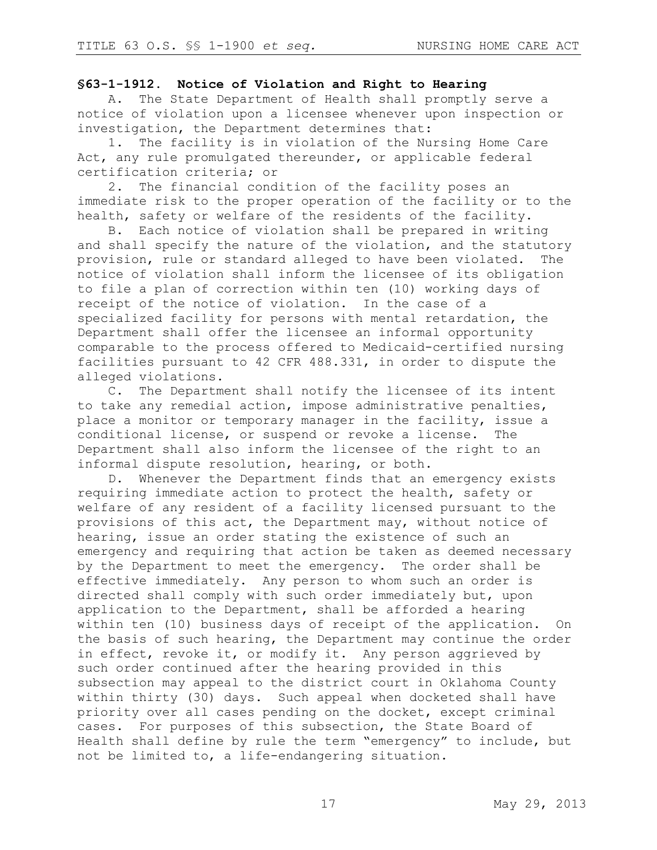### **§63-1-1912. Notice of Violation and Right to Hearing**

A. The State Department of Health shall promptly serve a notice of violation upon a licensee whenever upon inspection or investigation, the Department determines that:

1. The facility is in violation of the Nursing Home Care Act, any rule promulgated thereunder, or applicable federal certification criteria; or

2. The financial condition of the facility poses an immediate risk to the proper operation of the facility or to the health, safety or welfare of the residents of the facility.

B. Each notice of violation shall be prepared in writing and shall specify the nature of the violation, and the statutory provision, rule or standard alleged to have been violated. The notice of violation shall inform the licensee of its obligation to file a plan of correction within ten (10) working days of receipt of the notice of violation. In the case of a specialized facility for persons with mental retardation, the Department shall offer the licensee an informal opportunity comparable to the process offered to Medicaid-certified nursing facilities pursuant to 42 CFR 488.331, in order to dispute the alleged violations.

C. The Department shall notify the licensee of its intent to take any remedial action, impose administrative penalties, place a monitor or temporary manager in the facility, issue a conditional license, or suspend or revoke a license. The Department shall also inform the licensee of the right to an informal dispute resolution, hearing, or both.

D. Whenever the Department finds that an emergency exists requiring immediate action to protect the health, safety or welfare of any resident of a facility licensed pursuant to the provisions of this act, the Department may, without notice of hearing, issue an order stating the existence of such an emergency and requiring that action be taken as deemed necessary by the Department to meet the emergency. The order shall be effective immediately. Any person to whom such an order is directed shall comply with such order immediately but, upon application to the Department, shall be afforded a hearing within ten (10) business days of receipt of the application. On the basis of such hearing, the Department may continue the order in effect, revoke it, or modify it. Any person aggrieved by such order continued after the hearing provided in this subsection may appeal to the district court in Oklahoma County within thirty (30) days. Such appeal when docketed shall have priority over all cases pending on the docket, except criminal cases. For purposes of this subsection, the State Board of Health shall define by rule the term "emergency" to include, but not be limited to, a life-endangering situation.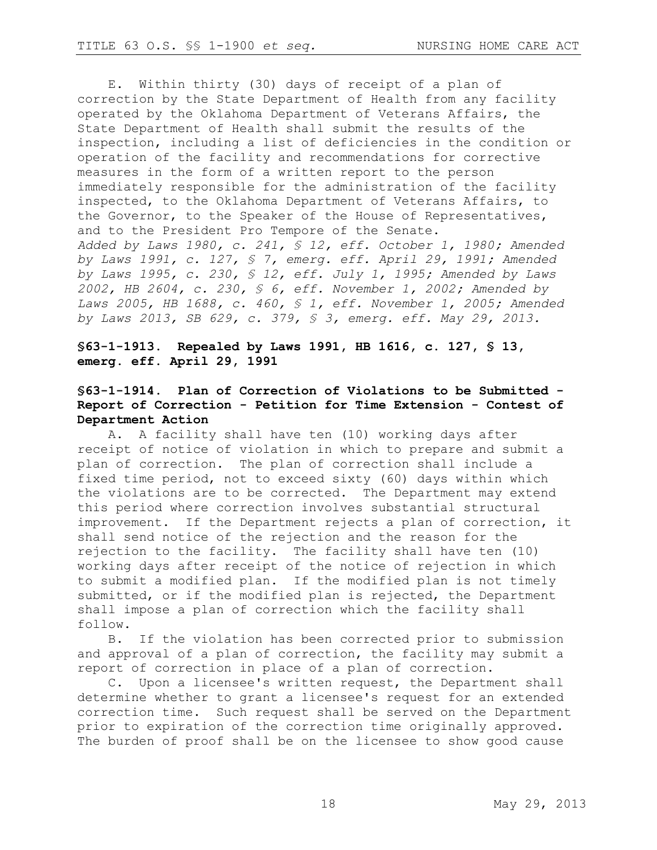E. Within thirty (30) days of receipt of a plan of correction by the State Department of Health from any facility operated by the Oklahoma Department of Veterans Affairs, the State Department of Health shall submit the results of the inspection, including a list of deficiencies in the condition or operation of the facility and recommendations for corrective measures in the form of a written report to the person immediately responsible for the administration of the facility inspected, to the Oklahoma Department of Veterans Affairs, to the Governor, to the Speaker of the House of Representatives, and to the President Pro Tempore of the Senate. *Added by Laws 1980, c. 241, § 12, eff. October 1, 1980; Amended by Laws 1991, c. 127, § 7, emerg. eff. April 29, 1991; Amended by Laws 1995, c. 230, § 12, eff. July 1, 1995; Amended by Laws* 

*2002, HB 2604, c. 230, § 6, eff. November 1, 2002; Amended by Laws 2005, HB 1688, c. 460, § 1, eff. November 1, 2005; Amended by Laws 2013, SB 629, c. 379, § 3, emerg. eff. May 29, 2013.* 

### **§63-1-1913. Repealed by Laws 1991, HB 1616, c. 127, § 13, emerg. eff. April 29, 1991**

# **§63-1-1914. Plan of Correction of Violations to be Submitted - Report of Correction - Petition for Time Extension - Contest of Department Action**

A. A facility shall have ten (10) working days after receipt of notice of violation in which to prepare and submit a plan of correction. The plan of correction shall include a fixed time period, not to exceed sixty (60) days within which the violations are to be corrected. The Department may extend this period where correction involves substantial structural improvement. If the Department rejects a plan of correction, it shall send notice of the rejection and the reason for the rejection to the facility. The facility shall have ten (10) working days after receipt of the notice of rejection in which to submit a modified plan. If the modified plan is not timely submitted, or if the modified plan is rejected, the Department shall impose a plan of correction which the facility shall follow.

B. If the violation has been corrected prior to submission and approval of a plan of correction, the facility may submit a report of correction in place of a plan of correction.

C. Upon a licensee's written request, the Department shall determine whether to grant a licensee's request for an extended correction time. Such request shall be served on the Department prior to expiration of the correction time originally approved. The burden of proof shall be on the licensee to show good cause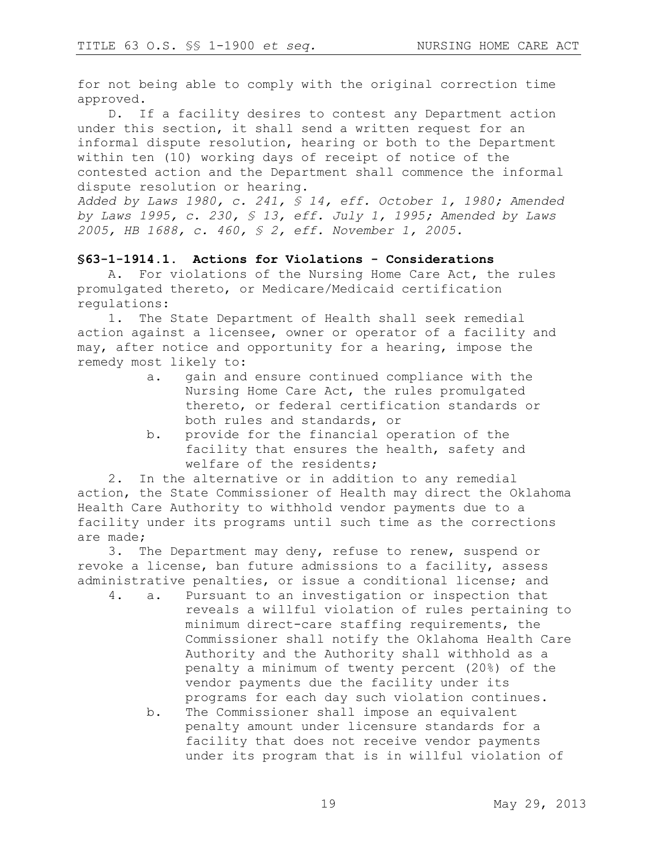for not being able to comply with the original correction time approved.

D. If a facility desires to contest any Department action under this section, it shall send a written request for an informal dispute resolution, hearing or both to the Department within ten (10) working days of receipt of notice of the contested action and the Department shall commence the informal dispute resolution or hearing.

*Added by Laws 1980, c. 241, § 14, eff. October 1, 1980; Amended by Laws 1995, c. 230, § 13, eff. July 1, 1995; Amended by Laws 2005, HB 1688, c. 460, § 2, eff. November 1, 2005.* 

#### **§63-1-1914.1. Actions for Violations - Considerations**

A. For violations of the Nursing Home Care Act, the rules promulgated thereto, or Medicare/Medicaid certification regulations:

1. The State Department of Health shall seek remedial action against a licensee, owner or operator of a facility and may, after notice and opportunity for a hearing, impose the remedy most likely to:

- a. gain and ensure continued compliance with the Nursing Home Care Act, the rules promulgated thereto, or federal certification standards or both rules and standards, or
- b. provide for the financial operation of the facility that ensures the health, safety and welfare of the residents;

2. In the alternative or in addition to any remedial action, the State Commissioner of Health may direct the Oklahoma Health Care Authority to withhold vendor payments due to a facility under its programs until such time as the corrections are made;

3. The Department may deny, refuse to renew, suspend or revoke a license, ban future admissions to a facility, assess administrative penalties, or issue a conditional license; and

- 4. a. Pursuant to an investigation or inspection that reveals a willful violation of rules pertaining to minimum direct-care staffing requirements, the Commissioner shall notify the Oklahoma Health Care Authority and the Authority shall withhold as a penalty a minimum of twenty percent (20%) of the vendor payments due the facility under its programs for each day such violation continues.
	- b. The Commissioner shall impose an equivalent penalty amount under licensure standards for a facility that does not receive vendor payments under its program that is in willful violation of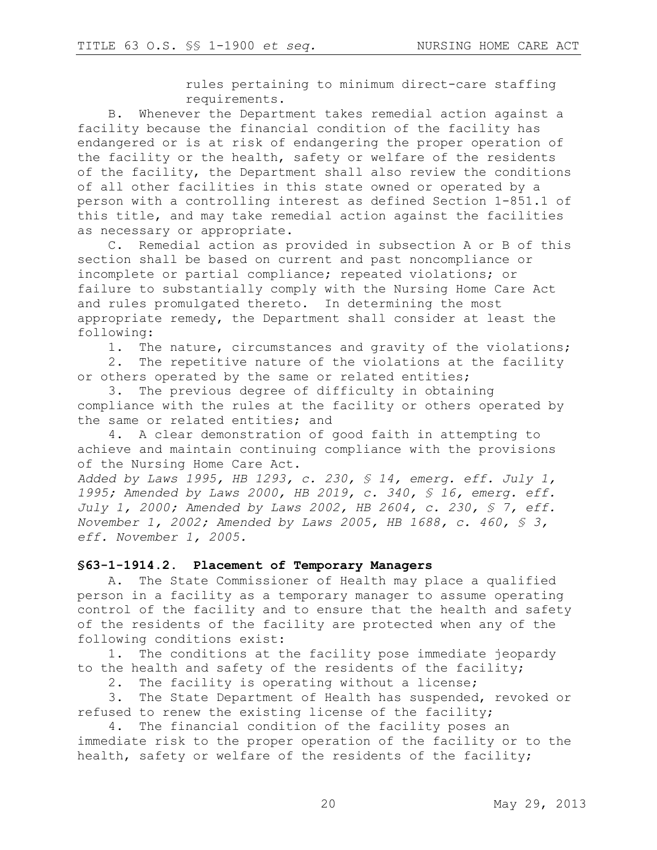rules pertaining to minimum direct-care staffing requirements.

B. Whenever the Department takes remedial action against a facility because the financial condition of the facility has endangered or is at risk of endangering the proper operation of the facility or the health, safety or welfare of the residents of the facility, the Department shall also review the conditions of all other facilities in this state owned or operated by a person with a controlling interest as defined Section 1-851.1 of this title, and may take remedial action against the facilities as necessary or appropriate.

C. Remedial action as provided in subsection A or B of this section shall be based on current and past noncompliance or incomplete or partial compliance; repeated violations; or failure to substantially comply with the Nursing Home Care Act and rules promulgated thereto. In determining the most appropriate remedy, the Department shall consider at least the following:

1. The nature, circumstances and gravity of the violations;

2. The repetitive nature of the violations at the facility or others operated by the same or related entities;

3. The previous degree of difficulty in obtaining compliance with the rules at the facility or others operated by the same or related entities; and

4. A clear demonstration of good faith in attempting to achieve and maintain continuing compliance with the provisions of the Nursing Home Care Act.

*Added by Laws 1995, HB 1293, c. 230, § 14, emerg. eff. July 1, 1995; Amended by Laws 2000, HB 2019, c. 340, § 16, emerg. eff. July 1, 2000; Amended by Laws 2002, HB 2604, c. 230, § 7, eff. November 1, 2002; Amended by Laws 2005, HB 1688, c. 460, § 3, eff. November 1, 2005.*

#### **§63-1-1914.2. Placement of Temporary Managers**

A. The State Commissioner of Health may place a qualified person in a facility as a temporary manager to assume operating control of the facility and to ensure that the health and safety of the residents of the facility are protected when any of the following conditions exist:

1. The conditions at the facility pose immediate jeopardy to the health and safety of the residents of the facility;

2. The facility is operating without a license;

3. The State Department of Health has suspended, revoked or refused to renew the existing license of the facility;

4. The financial condition of the facility poses an immediate risk to the proper operation of the facility or to the health, safety or welfare of the residents of the facility;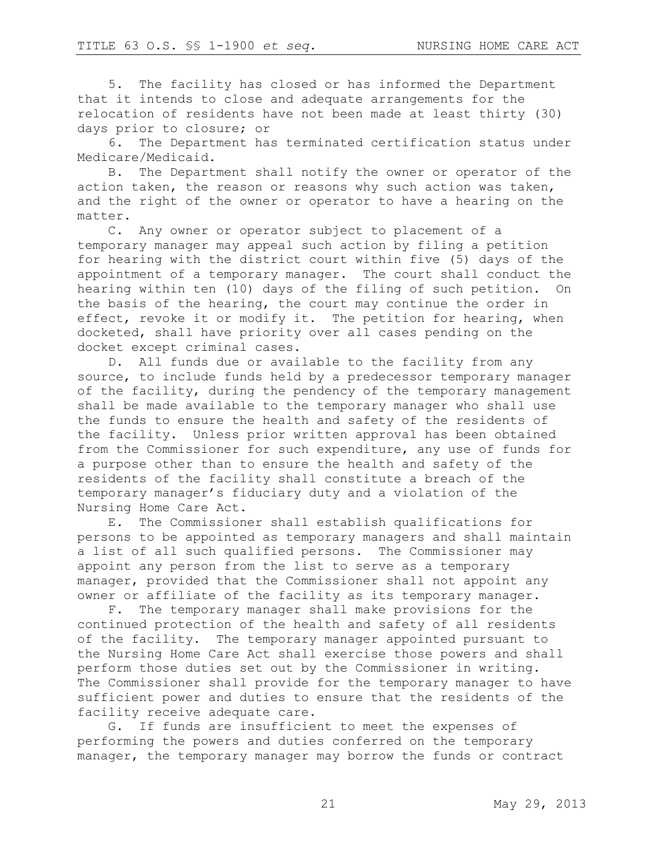5. The facility has closed or has informed the Department that it intends to close and adequate arrangements for the relocation of residents have not been made at least thirty (30) days prior to closure; or

6. The Department has terminated certification status under Medicare/Medicaid.

B. The Department shall notify the owner or operator of the action taken, the reason or reasons why such action was taken, and the right of the owner or operator to have a hearing on the matter.

C. Any owner or operator subject to placement of a temporary manager may appeal such action by filing a petition for hearing with the district court within five (5) days of the appointment of a temporary manager. The court shall conduct the hearing within ten (10) days of the filing of such petition. On the basis of the hearing, the court may continue the order in effect, revoke it or modify it. The petition for hearing, when docketed, shall have priority over all cases pending on the docket except criminal cases.

D. All funds due or available to the facility from any source, to include funds held by a predecessor temporary manager of the facility, during the pendency of the temporary management shall be made available to the temporary manager who shall use the funds to ensure the health and safety of the residents of the facility. Unless prior written approval has been obtained from the Commissioner for such expenditure, any use of funds for a purpose other than to ensure the health and safety of the residents of the facility shall constitute a breach of the temporary manager's fiduciary duty and a violation of the Nursing Home Care Act.

E. The Commissioner shall establish qualifications for persons to be appointed as temporary managers and shall maintain a list of all such qualified persons. The Commissioner may appoint any person from the list to serve as a temporary manager, provided that the Commissioner shall not appoint any owner or affiliate of the facility as its temporary manager.

F. The temporary manager shall make provisions for the continued protection of the health and safety of all residents of the facility. The temporary manager appointed pursuant to the Nursing Home Care Act shall exercise those powers and shall perform those duties set out by the Commissioner in writing. The Commissioner shall provide for the temporary manager to have sufficient power and duties to ensure that the residents of the facility receive adequate care.

G. If funds are insufficient to meet the expenses of performing the powers and duties conferred on the temporary manager, the temporary manager may borrow the funds or contract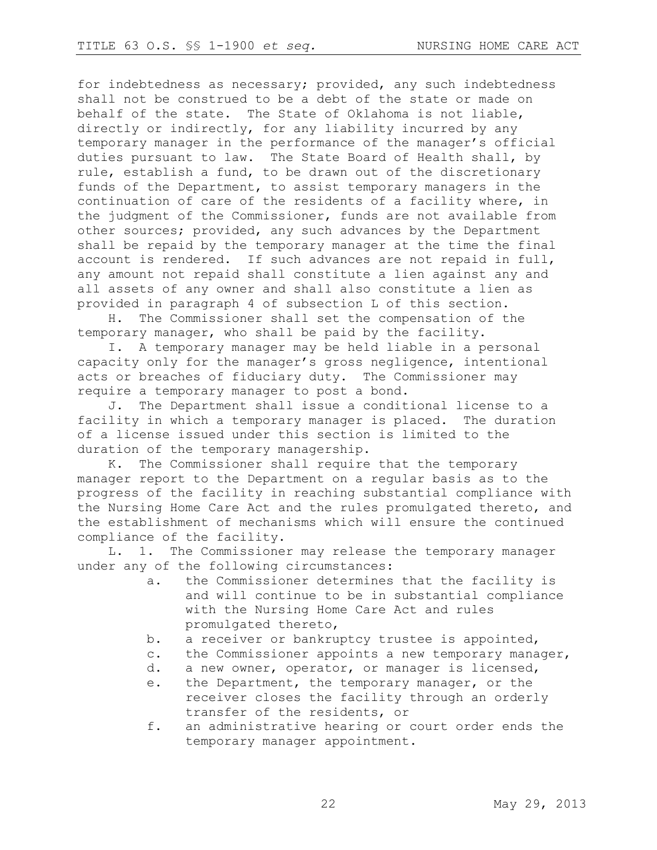for indebtedness as necessary; provided, any such indebtedness shall not be construed to be a debt of the state or made on behalf of the state. The State of Oklahoma is not liable, directly or indirectly, for any liability incurred by any temporary manager in the performance of the manager's official duties pursuant to law. The State Board of Health shall, by rule, establish a fund, to be drawn out of the discretionary funds of the Department, to assist temporary managers in the continuation of care of the residents of a facility where, in the judgment of the Commissioner, funds are not available from other sources; provided, any such advances by the Department shall be repaid by the temporary manager at the time the final account is rendered. If such advances are not repaid in full, any amount not repaid shall constitute a lien against any and all assets of any owner and shall also constitute a lien as provided in paragraph 4 of subsection L of this section.

H. The Commissioner shall set the compensation of the temporary manager, who shall be paid by the facility.

I. A temporary manager may be held liable in a personal capacity only for the manager's gross negligence, intentional acts or breaches of fiduciary duty. The Commissioner may require a temporary manager to post a bond.

J. The Department shall issue a conditional license to a facility in which a temporary manager is placed. The duration of a license issued under this section is limited to the duration of the temporary managership.

K. The Commissioner shall require that the temporary manager report to the Department on a regular basis as to the progress of the facility in reaching substantial compliance with the Nursing Home Care Act and the rules promulgated thereto, and the establishment of mechanisms which will ensure the continued compliance of the facility.

L. 1. The Commissioner may release the temporary manager under any of the following circumstances:

- a. the Commissioner determines that the facility is and will continue to be in substantial compliance with the Nursing Home Care Act and rules promulgated thereto,
- b. a receiver or bankruptcy trustee is appointed,
- c. the Commissioner appoints a new temporary manager,
- d. a new owner, operator, or manager is licensed,
- e. the Department, the temporary manager, or the receiver closes the facility through an orderly transfer of the residents, or
- f. an administrative hearing or court order ends the temporary manager appointment.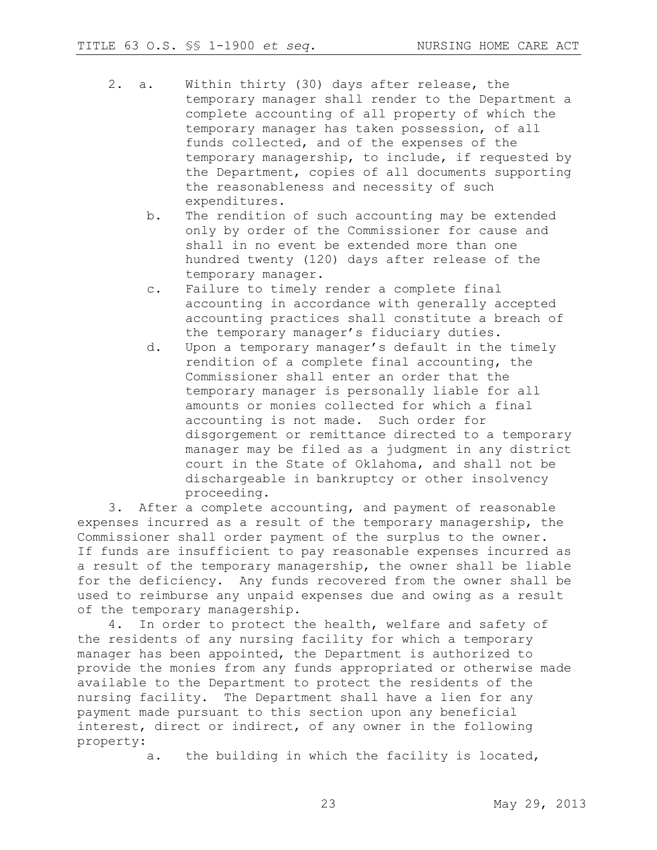- 2. a. Within thirty (30) days after release, the temporary manager shall render to the Department a complete accounting of all property of which the temporary manager has taken possession, of all funds collected, and of the expenses of the temporary managership, to include, if requested by the Department, copies of all documents supporting the reasonableness and necessity of such expenditures.
	- b. The rendition of such accounting may be extended only by order of the Commissioner for cause and shall in no event be extended more than one hundred twenty (120) days after release of the temporary manager.
	- c. Failure to timely render a complete final accounting in accordance with generally accepted accounting practices shall constitute a breach of the temporary manager's fiduciary duties.
	- d. Upon a temporary manager's default in the timely rendition of a complete final accounting, the Commissioner shall enter an order that the temporary manager is personally liable for all amounts or monies collected for which a final accounting is not made. Such order for disgorgement or remittance directed to a temporary manager may be filed as a judgment in any district court in the State of Oklahoma, and shall not be dischargeable in bankruptcy or other insolvency proceeding.

3. After a complete accounting, and payment of reasonable expenses incurred as a result of the temporary managership, the Commissioner shall order payment of the surplus to the owner. If funds are insufficient to pay reasonable expenses incurred as a result of the temporary managership, the owner shall be liable for the deficiency. Any funds recovered from the owner shall be used to reimburse any unpaid expenses due and owing as a result of the temporary managership.

4. In order to protect the health, welfare and safety of the residents of any nursing facility for which a temporary manager has been appointed, the Department is authorized to provide the monies from any funds appropriated or otherwise made available to the Department to protect the residents of the nursing facility. The Department shall have a lien for any payment made pursuant to this section upon any beneficial interest, direct or indirect, of any owner in the following property:

a. the building in which the facility is located,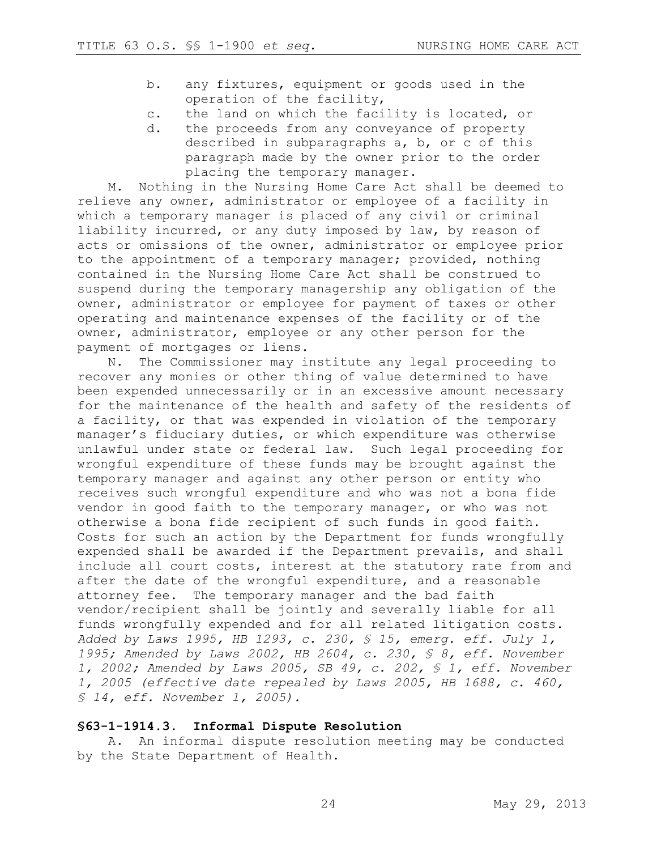- b. any fixtures, equipment or goods used in the operation of the facility,
- c. the land on which the facility is located, or
- d. the proceeds from any conveyance of property described in subparagraphs a, b, or c of this paragraph made by the owner prior to the order placing the temporary manager.

M. Nothing in the Nursing Home Care Act shall be deemed to relieve any owner, administrator or employee of a facility in which a temporary manager is placed of any civil or criminal liability incurred, or any duty imposed by law, by reason of acts or omissions of the owner, administrator or employee prior to the appointment of a temporary manager; provided, nothing contained in the Nursing Home Care Act shall be construed to suspend during the temporary managership any obligation of the owner, administrator or employee for payment of taxes or other operating and maintenance expenses of the facility or of the owner, administrator, employee or any other person for the payment of mortgages or liens.

N. The Commissioner may institute any legal proceeding to recover any monies or other thing of value determined to have been expended unnecessarily or in an excessive amount necessary for the maintenance of the health and safety of the residents of a facility, or that was expended in violation of the temporary manager's fiduciary duties, or which expenditure was otherwise unlawful under state or federal law. Such legal proceeding for wrongful expenditure of these funds may be brought against the temporary manager and against any other person or entity who receives such wrongful expenditure and who was not a bona fide vendor in good faith to the temporary manager, or who was not otherwise a bona fide recipient of such funds in good faith. Costs for such an action by the Department for funds wrongfully expended shall be awarded if the Department prevails, and shall include all court costs, interest at the statutory rate from and after the date of the wrongful expenditure, and a reasonable attorney fee. The temporary manager and the bad faith vendor/recipient shall be jointly and severally liable for all funds wrongfully expended and for all related litigation costs. *Added by Laws 1995, HB 1293, c. 230, § 15, emerg. eff. July 1, 1995; Amended by Laws 2002, HB 2604, c. 230, § 8, eff. November 1, 2002; Amended by Laws 2005, SB 49, c. 202, § 1, eff. November 1, 2005 (effective date repealed by Laws 2005, HB 1688, c. 460, § 14, eff. November 1, 2005).* 

#### **§63-1-1914.3. Informal Dispute Resolution**

A. An informal dispute resolution meeting may be conducted by the State Department of Health.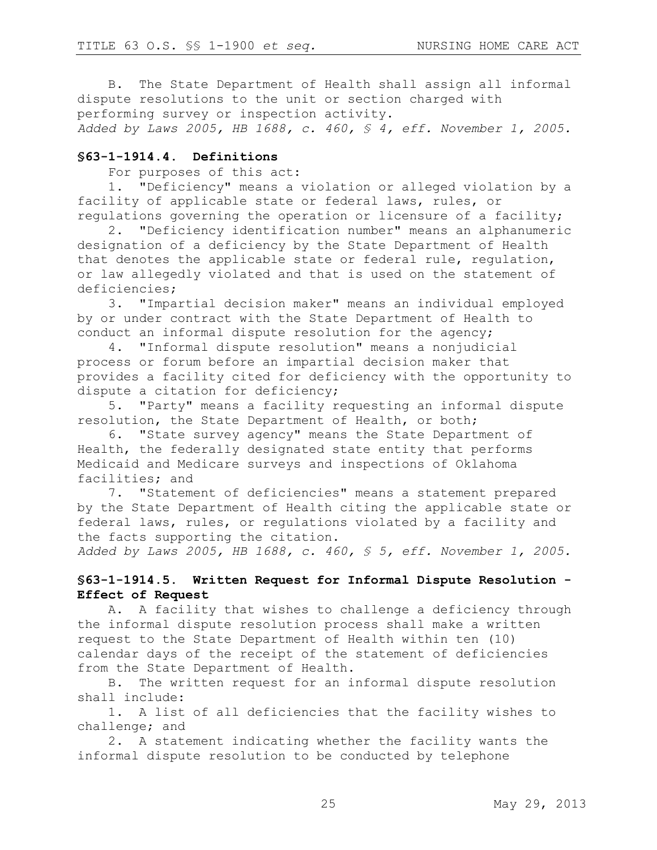B. The State Department of Health shall assign all informal dispute resolutions to the unit or section charged with performing survey or inspection activity. *Added by Laws 2005, HB 1688, c. 460, § 4, eff. November 1, 2005.*

#### **§63-1-1914.4. Definitions**

For purposes of this act:

1. "Deficiency" means a violation or alleged violation by a facility of applicable state or federal laws, rules, or regulations governing the operation or licensure of a facility;

2. "Deficiency identification number" means an alphanumeric designation of a deficiency by the State Department of Health that denotes the applicable state or federal rule, regulation, or law allegedly violated and that is used on the statement of deficiencies;

3. "Impartial decision maker" means an individual employed by or under contract with the State Department of Health to conduct an informal dispute resolution for the agency;

4. "Informal dispute resolution" means a nonjudicial process or forum before an impartial decision maker that provides a facility cited for deficiency with the opportunity to dispute a citation for deficiency;

5. "Party" means a facility requesting an informal dispute resolution, the State Department of Health, or both;

6. "State survey agency" means the State Department of Health, the federally designated state entity that performs Medicaid and Medicare surveys and inspections of Oklahoma facilities; and

7. "Statement of deficiencies" means a statement prepared by the State Department of Health citing the applicable state or federal laws, rules, or regulations violated by a facility and the facts supporting the citation.

*Added by Laws 2005, HB 1688, c. 460, § 5, eff. November 1, 2005.* 

### **§63-1-1914.5. Written Request for Informal Dispute Resolution - Effect of Request**

A. A facility that wishes to challenge a deficiency through the informal dispute resolution process shall make a written request to the State Department of Health within ten (10) calendar days of the receipt of the statement of deficiencies from the State Department of Health.

B. The written request for an informal dispute resolution shall include:

1. A list of all deficiencies that the facility wishes to challenge; and

2. A statement indicating whether the facility wants the informal dispute resolution to be conducted by telephone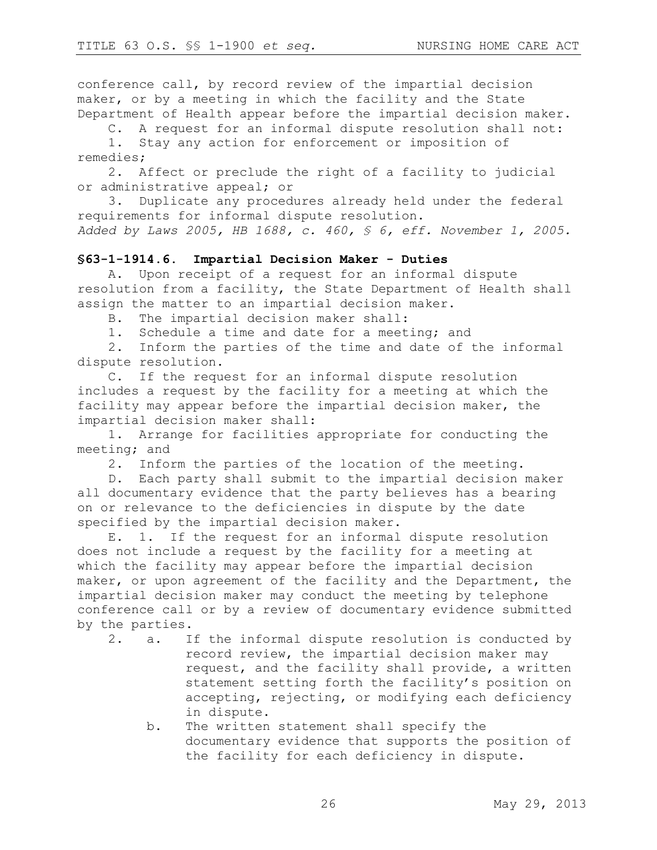conference call, by record review of the impartial decision maker, or by a meeting in which the facility and the State Department of Health appear before the impartial decision maker.

C. A request for an informal dispute resolution shall not:

1. Stay any action for enforcement or imposition of remedies;

2. Affect or preclude the right of a facility to judicial or administrative appeal; or

3. Duplicate any procedures already held under the federal requirements for informal dispute resolution.

*Added by Laws 2005, HB 1688, c. 460, § 6, eff. November 1, 2005.*

### **§63-1-1914.6. Impartial Decision Maker - Duties**

A. Upon receipt of a request for an informal dispute resolution from a facility, the State Department of Health shall assign the matter to an impartial decision maker.

B. The impartial decision maker shall:

1. Schedule a time and date for a meeting; and

2. Inform the parties of the time and date of the informal dispute resolution.

C. If the request for an informal dispute resolution includes a request by the facility for a meeting at which the facility may appear before the impartial decision maker, the impartial decision maker shall:

1. Arrange for facilities appropriate for conducting the meeting; and

2. Inform the parties of the location of the meeting.

D. Each party shall submit to the impartial decision maker all documentary evidence that the party believes has a bearing on or relevance to the deficiencies in dispute by the date specified by the impartial decision maker.

E. 1. If the request for an informal dispute resolution does not include a request by the facility for a meeting at which the facility may appear before the impartial decision maker, or upon agreement of the facility and the Department, the impartial decision maker may conduct the meeting by telephone conference call or by a review of documentary evidence submitted by the parties.

- 2. a. If the informal dispute resolution is conducted by record review, the impartial decision maker may request, and the facility shall provide, a written statement setting forth the facility's position on accepting, rejecting, or modifying each deficiency in dispute.
	- b. The written statement shall specify the documentary evidence that supports the position of the facility for each deficiency in dispute.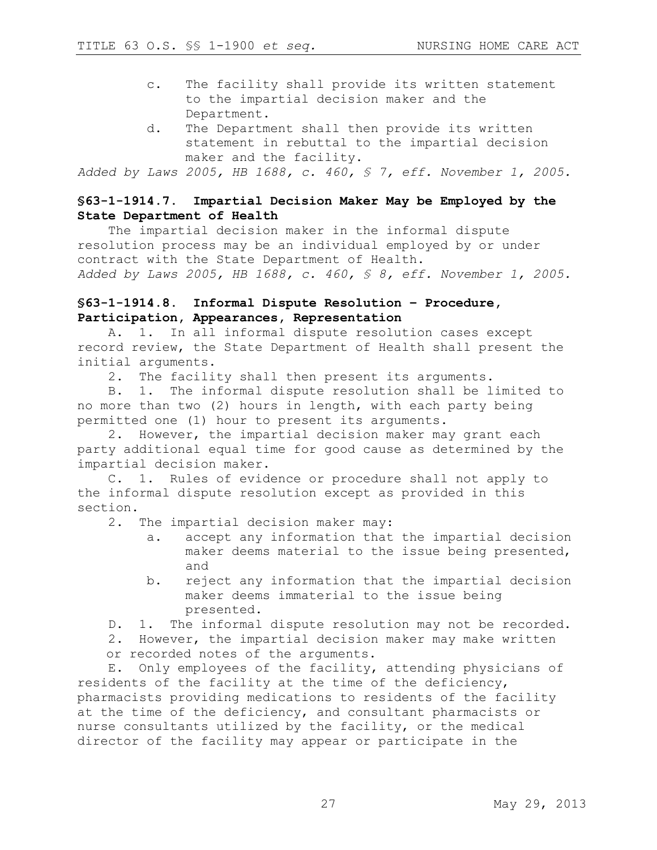- c. The facility shall provide its written statement to the impartial decision maker and the Department.
- d. The Department shall then provide its written statement in rebuttal to the impartial decision maker and the facility.

*Added by Laws 2005, HB 1688, c. 460, § 7, eff. November 1, 2005.*

# **§63-1-1914.7. Impartial Decision Maker May be Employed by the State Department of Health**

The impartial decision maker in the informal dispute resolution process may be an individual employed by or under contract with the State Department of Health. *Added by Laws 2005, HB 1688, c. 460, § 8, eff. November 1, 2005.*

## **§63-1-1914.8. Informal Dispute Resolution – Procedure, Participation, Appearances, Representation**

A. 1. In all informal dispute resolution cases except record review, the State Department of Health shall present the initial arguments.

2. The facility shall then present its arguments.

B. 1. The informal dispute resolution shall be limited to no more than two (2) hours in length, with each party being permitted one (1) hour to present its arguments.

2. However, the impartial decision maker may grant each party additional equal time for good cause as determined by the impartial decision maker.

C. 1. Rules of evidence or procedure shall not apply to the informal dispute resolution except as provided in this section.

2. The impartial decision maker may:

- a. accept any information that the impartial decision maker deems material to the issue being presented, and
- b. reject any information that the impartial decision maker deems immaterial to the issue being presented.

D. 1. The informal dispute resolution may not be recorded.

2. However, the impartial decision maker may make written or recorded notes of the arguments.

E. Only employees of the facility, attending physicians of residents of the facility at the time of the deficiency, pharmacists providing medications to residents of the facility at the time of the deficiency, and consultant pharmacists or nurse consultants utilized by the facility, or the medical director of the facility may appear or participate in the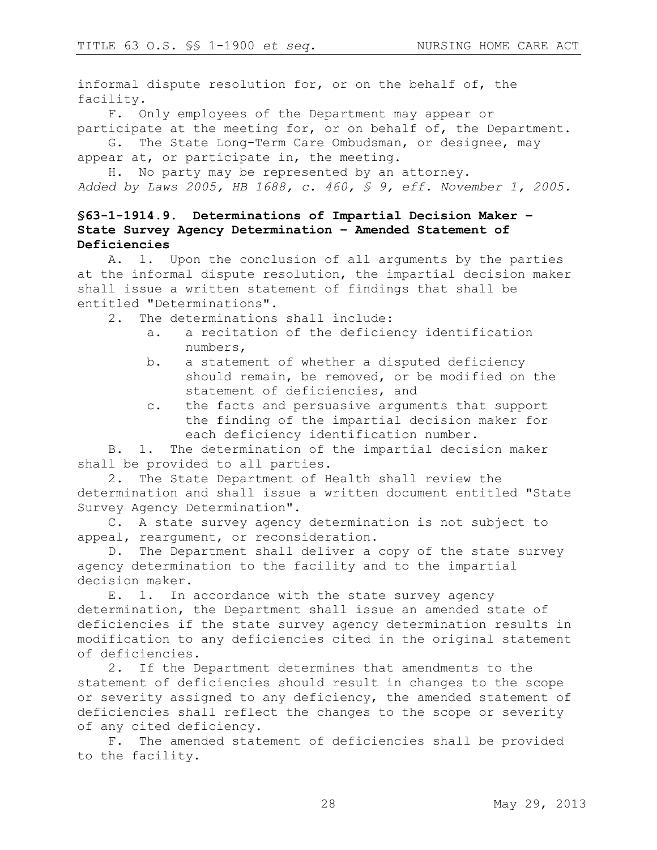informal dispute resolution for, or on the behalf of, the facility.

F. Only employees of the Department may appear or participate at the meeting for, or on behalf of, the Department.

G. The State Long-Term Care Ombudsman, or designee, may appear at, or participate in, the meeting.

H. No party may be represented by an attorney. *Added by Laws 2005, HB 1688, c. 460, § 9, eff. November 1, 2005.*

# **§63-1-1914.9. Determinations of Impartial Decision Maker – State Survey Agency Determination – Amended Statement of Deficiencies**

A. 1. Upon the conclusion of all arguments by the parties at the informal dispute resolution, the impartial decision maker shall issue a written statement of findings that shall be entitled "Determinations".

2. The determinations shall include:

- a. a recitation of the deficiency identification numbers,
- b. a statement of whether a disputed deficiency should remain, be removed, or be modified on the statement of deficiencies, and
- c. the facts and persuasive arguments that support the finding of the impartial decision maker for each deficiency identification number.

B. 1. The determination of the impartial decision maker shall be provided to all parties.

2. The State Department of Health shall review the determination and shall issue a written document entitled "State Survey Agency Determination".

C. A state survey agency determination is not subject to appeal, reargument, or reconsideration.

D. The Department shall deliver a copy of the state survey agency determination to the facility and to the impartial decision maker.

E. 1. In accordance with the state survey agency determination, the Department shall issue an amended state of deficiencies if the state survey agency determination results in modification to any deficiencies cited in the original statement of deficiencies.

2. If the Department determines that amendments to the statement of deficiencies should result in changes to the scope or severity assigned to any deficiency, the amended statement of deficiencies shall reflect the changes to the scope or severity of any cited deficiency.

F. The amended statement of deficiencies shall be provided to the facility.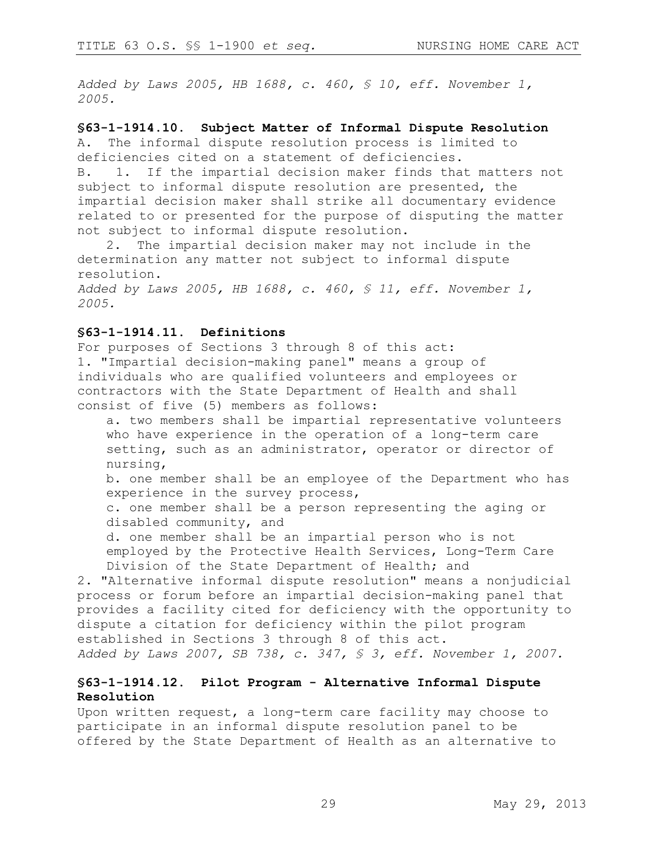*Added by Laws 2005, HB 1688, c. 460, § 10, eff. November 1, 2005.*

#### **§63-1-1914.10. Subject Matter of Informal Dispute Resolution**

A. The informal dispute resolution process is limited to deficiencies cited on a statement of deficiencies.

B. 1. If the impartial decision maker finds that matters not subject to informal dispute resolution are presented, the impartial decision maker shall strike all documentary evidence related to or presented for the purpose of disputing the matter not subject to informal dispute resolution.

2. The impartial decision maker may not include in the determination any matter not subject to informal dispute resolution.

*Added by Laws 2005, HB 1688, c. 460, § 11, eff. November 1, 2005.*

#### **§63-1-1914.11. Definitions**

For purposes of Sections 3 through 8 of this act: 1. "Impartial decision-making panel" means a group of individuals who are qualified volunteers and employees or contractors with the State Department of Health and shall consist of five (5) members as follows:

a. two members shall be impartial representative volunteers who have experience in the operation of a long-term care setting, such as an administrator, operator or director of nursing,

b. one member shall be an employee of the Department who has experience in the survey process,

c. one member shall be a person representing the aging or disabled community, and

d. one member shall be an impartial person who is not employed by the Protective Health Services, Long-Term Care Division of the State Department of Health; and

2. "Alternative informal dispute resolution" means a nonjudicial process or forum before an impartial decision-making panel that provides a facility cited for deficiency with the opportunity to dispute a citation for deficiency within the pilot program established in Sections 3 through 8 of this act. *Added by Laws 2007, SB 738, c. 347, § 3, eff. November 1, 2007.* 

#### **§63-1-1914.12. Pilot Program - Alternative Informal Dispute Resolution**

Upon written request, a long-term care facility may choose to participate in an informal dispute resolution panel to be offered by the State Department of Health as an alternative to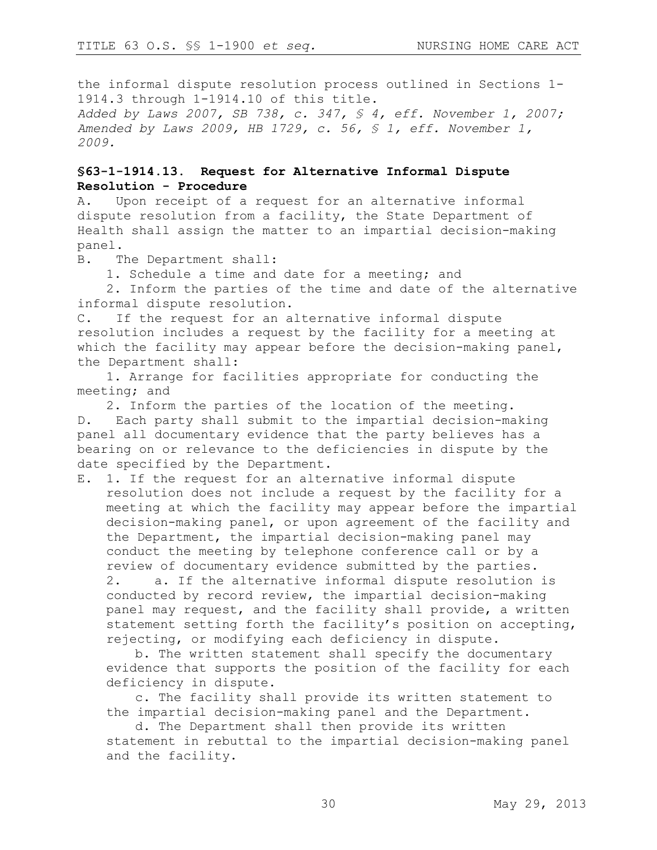the informal dispute resolution process outlined in Sections 1- 1914.3 through 1-1914.10 of this title. *Added by Laws 2007, SB 738, c. 347, § 4, eff. November 1, 2007; Amended by Laws 2009, HB 1729, c. 56, § 1, eff. November 1, 2009.*

### **§63-1-1914.13. Request for Alternative Informal Dispute Resolution - Procedure**

A. Upon receipt of a request for an alternative informal dispute resolution from a facility, the State Department of Health shall assign the matter to an impartial decision-making panel.

B. The Department shall:

1. Schedule a time and date for a meeting; and

2. Inform the parties of the time and date of the alternative informal dispute resolution.

C. If the request for an alternative informal dispute resolution includes a request by the facility for a meeting at which the facility may appear before the decision-making panel, the Department shall:

1. Arrange for facilities appropriate for conducting the meeting; and

2. Inform the parties of the location of the meeting.

D. Each party shall submit to the impartial decision-making panel all documentary evidence that the party believes has a bearing on or relevance to the deficiencies in dispute by the date specified by the Department.

E. 1. If the request for an alternative informal dispute resolution does not include a request by the facility for a meeting at which the facility may appear before the impartial decision-making panel, or upon agreement of the facility and the Department, the impartial decision-making panel may conduct the meeting by telephone conference call or by a review of documentary evidence submitted by the parties. 2. a. If the alternative informal dispute resolution is conducted by record review, the impartial decision-making panel may request, and the facility shall provide, a written statement setting forth the facility's position on accepting, rejecting, or modifying each deficiency in dispute.

b. The written statement shall specify the documentary evidence that supports the position of the facility for each deficiency in dispute.

c. The facility shall provide its written statement to the impartial decision-making panel and the Department.

d. The Department shall then provide its written statement in rebuttal to the impartial decision-making panel and the facility.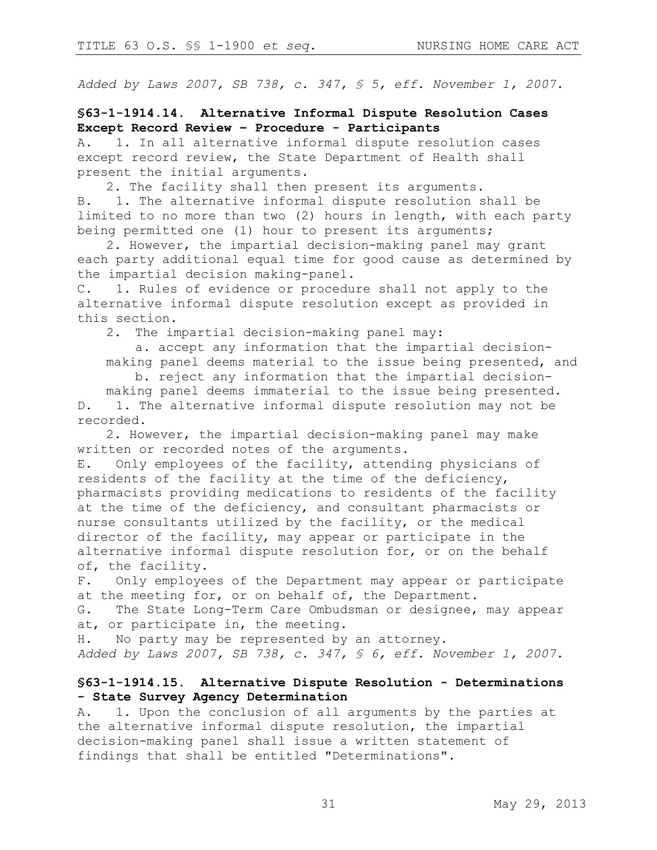*Added by Laws 2007, SB 738, c. 347, § 5, eff. November 1, 2007.* 

### **§63-1-1914.14. Alternative Informal Dispute Resolution Cases Except Record Review – Procedure - Participants**

A. 1. In all alternative informal dispute resolution cases except record review, the State Department of Health shall present the initial arguments.

2. The facility shall then present its arguments.

B. 1. The alternative informal dispute resolution shall be limited to no more than two (2) hours in length, with each party being permitted one (1) hour to present its arguments;

2. However, the impartial decision-making panel may grant each party additional equal time for good cause as determined by the impartial decision making-panel.

C. 1. Rules of evidence or procedure shall not apply to the alternative informal dispute resolution except as provided in this section.

2. The impartial decision-making panel may:

a. accept any information that the impartial decisionmaking panel deems material to the issue being presented, and

b. reject any information that the impartial decision-

making panel deems immaterial to the issue being presented. D. 1. The alternative informal dispute resolution may not be recorded.

2. However, the impartial decision-making panel may make written or recorded notes of the arguments.

E. Only employees of the facility, attending physicians of residents of the facility at the time of the deficiency, pharmacists providing medications to residents of the facility at the time of the deficiency, and consultant pharmacists or nurse consultants utilized by the facility, or the medical director of the facility, may appear or participate in the alternative informal dispute resolution for, or on the behalf of, the facility.

F. Only employees of the Department may appear or participate at the meeting for, or on behalf of, the Department.

G. The State Long-Term Care Ombudsman or designee, may appear at, or participate in, the meeting.

H. No party may be represented by an attorney.

*Added by Laws 2007, SB 738, c. 347, § 6, eff. November 1, 2007.*

### **§63-1-1914.15. Alternative Dispute Resolution - Determinations - State Survey Agency Determination**

A. 1. Upon the conclusion of all arguments by the parties at the alternative informal dispute resolution, the impartial decision-making panel shall issue a written statement of findings that shall be entitled "Determinations".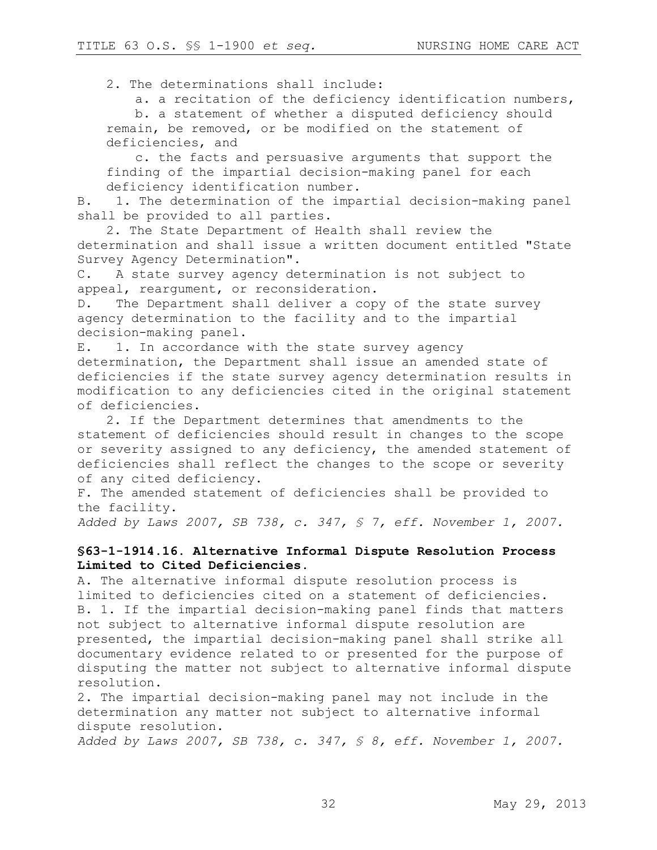2. The determinations shall include:

a. a recitation of the deficiency identification numbers,

b. a statement of whether a disputed deficiency should remain, be removed, or be modified on the statement of deficiencies, and

c. the facts and persuasive arguments that support the finding of the impartial decision-making panel for each deficiency identification number.

B. 1. The determination of the impartial decision-making panel shall be provided to all parties.

2. The State Department of Health shall review the determination and shall issue a written document entitled "State Survey Agency Determination".

C. A state survey agency determination is not subject to appeal, reargument, or reconsideration.

D. The Department shall deliver a copy of the state survey agency determination to the facility and to the impartial decision-making panel.

E. 1. In accordance with the state survey agency determination, the Department shall issue an amended state of deficiencies if the state survey agency determination results in modification to any deficiencies cited in the original statement of deficiencies.

2. If the Department determines that amendments to the statement of deficiencies should result in changes to the scope or severity assigned to any deficiency, the amended statement of deficiencies shall reflect the changes to the scope or severity of any cited deficiency.

F. The amended statement of deficiencies shall be provided to the facility.

*Added by Laws 2007, SB 738, c. 347, § 7, eff. November 1, 2007.*

### **§63-1-1914.16. Alternative Informal Dispute Resolution Process Limited to Cited Deficiencies.**

A. The alternative informal dispute resolution process is limited to deficiencies cited on a statement of deficiencies. B. 1. If the impartial decision-making panel finds that matters not subject to alternative informal dispute resolution are presented, the impartial decision-making panel shall strike all documentary evidence related to or presented for the purpose of disputing the matter not subject to alternative informal dispute resolution.

2. The impartial decision-making panel may not include in the determination any matter not subject to alternative informal dispute resolution.

*Added by Laws 2007, SB 738, c. 347, § 8, eff. November 1, 2007.*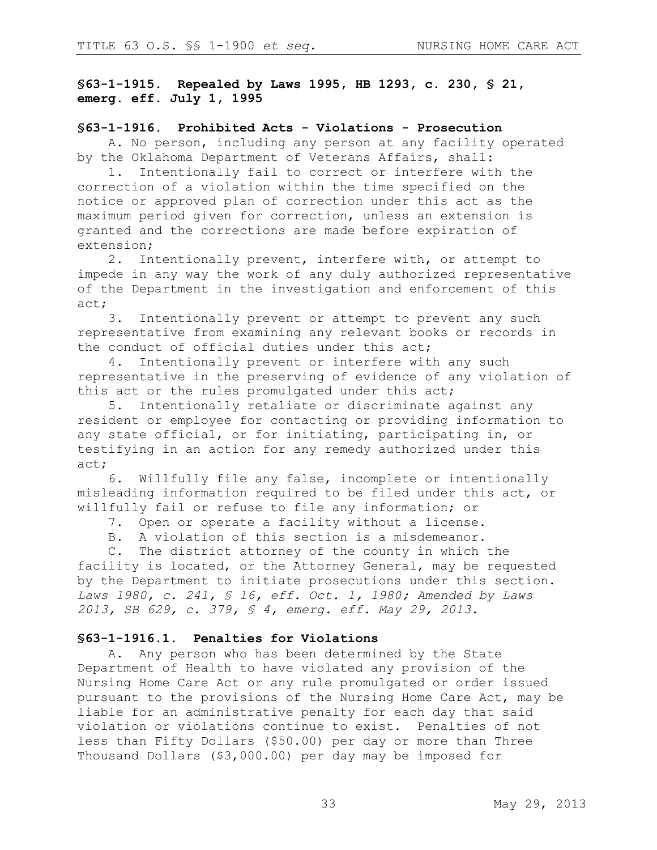**§63-1-1915. Repealed by Laws 1995, HB 1293, c. 230, § 21, emerg. eff. July 1, 1995**

#### **§63-1-1916. Prohibited Acts - Violations - Prosecution**

A. No person, including any person at any facility operated by the Oklahoma Department of Veterans Affairs, shall:

1. Intentionally fail to correct or interfere with the correction of a violation within the time specified on the notice or approved plan of correction under this act as the maximum period given for correction, unless an extension is granted and the corrections are made before expiration of extension;

2. Intentionally prevent, interfere with, or attempt to impede in any way the work of any duly authorized representative of the Department in the investigation and enforcement of this act;

3. Intentionally prevent or attempt to prevent any such representative from examining any relevant books or records in the conduct of official duties under this act;

4. Intentionally prevent or interfere with any such representative in the preserving of evidence of any violation of this act or the rules promulgated under this act;

5. Intentionally retaliate or discriminate against any resident or employee for contacting or providing information to any state official, or for initiating, participating in, or testifying in an action for any remedy authorized under this act;

6. Willfully file any false, incomplete or intentionally misleading information required to be filed under this act, or willfully fail or refuse to file any information; or

7. Open or operate a facility without a license.

B. A violation of this section is a misdemeanor.

C. The district attorney of the county in which the facility is located, or the Attorney General, may be requested by the Department to initiate prosecutions under this section. *Laws 1980, c. 241, § 16, eff. Oct. 1, 1980; Amended by Laws 2013, SB 629, c. 379, § 4, emerg. eff. May 29, 2013.* 

#### **§63-1-1916.1. Penalties for Violations**

A. Any person who has been determined by the State Department of Health to have violated any provision of the Nursing Home Care Act or any rule promulgated or order issued pursuant to the provisions of the Nursing Home Care Act, may be liable for an administrative penalty for each day that said violation or violations continue to exist. Penalties of not less than Fifty Dollars (\$50.00) per day or more than Three Thousand Dollars (\$3,000.00) per day may be imposed for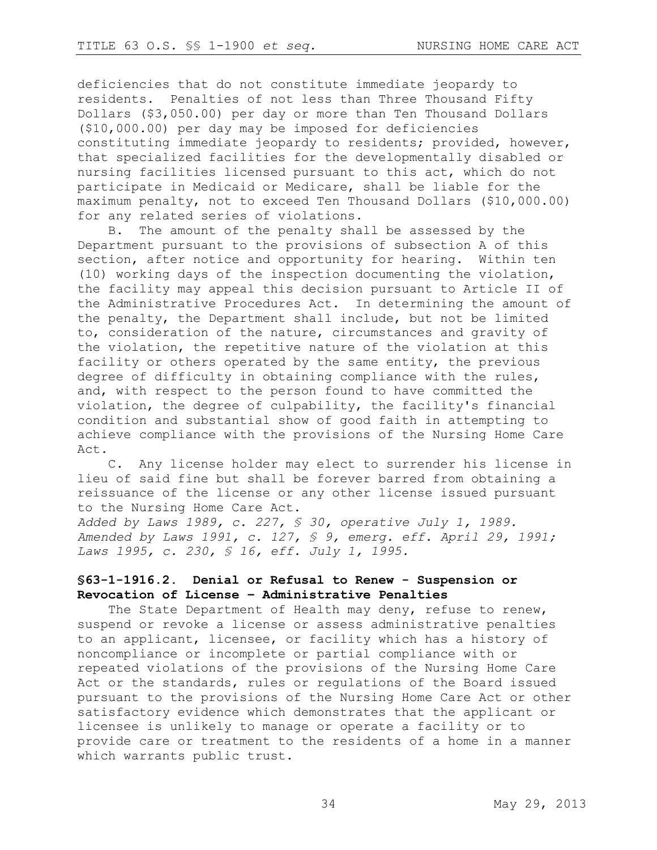deficiencies that do not constitute immediate jeopardy to residents. Penalties of not less than Three Thousand Fifty Dollars (\$3,050.00) per day or more than Ten Thousand Dollars (\$10,000.00) per day may be imposed for deficiencies constituting immediate jeopardy to residents; provided, however, that specialized facilities for the developmentally disabled or nursing facilities licensed pursuant to this act, which do not participate in Medicaid or Medicare, shall be liable for the maximum penalty, not to exceed Ten Thousand Dollars (\$10,000.00) for any related series of violations.

B. The amount of the penalty shall be assessed by the Department pursuant to the provisions of subsection A of this section, after notice and opportunity for hearing. Within ten (10) working days of the inspection documenting the violation, the facility may appeal this decision pursuant to Article II of the Administrative Procedures Act. In determining the amount of the penalty, the Department shall include, but not be limited to, consideration of the nature, circumstances and gravity of the violation, the repetitive nature of the violation at this facility or others operated by the same entity, the previous degree of difficulty in obtaining compliance with the rules, and, with respect to the person found to have committed the violation, the degree of culpability, the facility's financial condition and substantial show of good faith in attempting to achieve compliance with the provisions of the Nursing Home Care Act.

C. Any license holder may elect to surrender his license in lieu of said fine but shall be forever barred from obtaining a reissuance of the license or any other license issued pursuant to the Nursing Home Care Act.

*Added by Laws 1989, c. 227, § 30, operative July 1, 1989. Amended by Laws 1991, c. 127, § 9, emerg. eff. April 29, 1991; Laws 1995, c. 230, § 16, eff. July 1, 1995.*

# **§63-1-1916.2. Denial or Refusal to Renew - Suspension or Revocation of License – Administrative Penalties**

The State Department of Health may deny, refuse to renew, suspend or revoke a license or assess administrative penalties to an applicant, licensee, or facility which has a history of noncompliance or incomplete or partial compliance with or repeated violations of the provisions of the Nursing Home Care Act or the standards, rules or regulations of the Board issued pursuant to the provisions of the Nursing Home Care Act or other satisfactory evidence which demonstrates that the applicant or licensee is unlikely to manage or operate a facility or to provide care or treatment to the residents of a home in a manner which warrants public trust.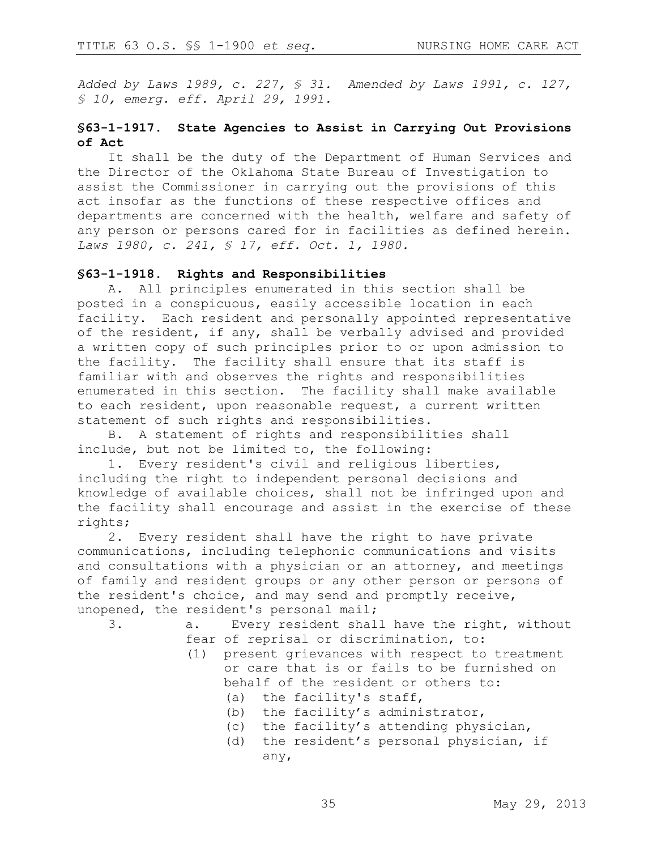*Added by Laws 1989, c. 227, § 31. Amended by Laws 1991, c. 127, § 10, emerg. eff. April 29, 1991.*

### **§63-1-1917. State Agencies to Assist in Carrying Out Provisions of Act**

It shall be the duty of the Department of Human Services and the Director of the Oklahoma State Bureau of Investigation to assist the Commissioner in carrying out the provisions of this act insofar as the functions of these respective offices and departments are concerned with the health, welfare and safety of any person or persons cared for in facilities as defined herein. *Laws 1980, c. 241, § 17, eff. Oct. 1, 1980.* 

#### **§63-1-1918. Rights and Responsibilities**

A. All principles enumerated in this section shall be posted in a conspicuous, easily accessible location in each facility. Each resident and personally appointed representative of the resident, if any, shall be verbally advised and provided a written copy of such principles prior to or upon admission to the facility. The facility shall ensure that its staff is familiar with and observes the rights and responsibilities enumerated in this section. The facility shall make available to each resident, upon reasonable request, a current written statement of such rights and responsibilities.

B. A statement of rights and responsibilities shall include, but not be limited to, the following:

1. Every resident's civil and religious liberties, including the right to independent personal decisions and knowledge of available choices, shall not be infringed upon and the facility shall encourage and assist in the exercise of these rights;

2. Every resident shall have the right to have private communications, including telephonic communications and visits and consultations with a physician or an attorney, and meetings of family and resident groups or any other person or persons of the resident's choice, and may send and promptly receive, unopened, the resident's personal mail;

- 3. a. Every resident shall have the right, without fear of reprisal or discrimination, to:
	- (1) present grievances with respect to treatment or care that is or fails to be furnished on behalf of the resident or others to:
		- (a) the facility's staff,
		- (b) the facility's administrator,
		- (c) the facility's attending physician,
		- (d) the resident's personal physician, if any,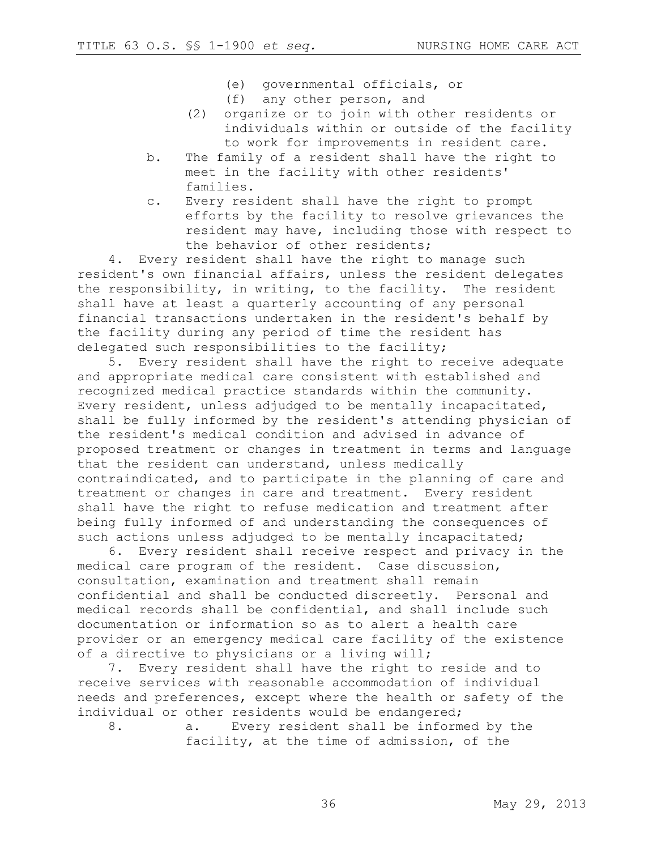- (e) governmental officials, or
- (f) any other person, and
- (2) organize or to join with other residents or individuals within or outside of the facility to work for improvements in resident care.
- b. The family of a resident shall have the right to meet in the facility with other residents' families.
- c. Every resident shall have the right to prompt efforts by the facility to resolve grievances the resident may have, including those with respect to the behavior of other residents;

4. Every resident shall have the right to manage such resident's own financial affairs, unless the resident delegates the responsibility, in writing, to the facility. The resident shall have at least a quarterly accounting of any personal financial transactions undertaken in the resident's behalf by the facility during any period of time the resident has delegated such responsibilities to the facility;

5. Every resident shall have the right to receive adequate and appropriate medical care consistent with established and recognized medical practice standards within the community. Every resident, unless adjudged to be mentally incapacitated, shall be fully informed by the resident's attending physician of the resident's medical condition and advised in advance of proposed treatment or changes in treatment in terms and language that the resident can understand, unless medically contraindicated, and to participate in the planning of care and treatment or changes in care and treatment. Every resident shall have the right to refuse medication and treatment after being fully informed of and understanding the consequences of such actions unless adjudged to be mentally incapacitated;

6. Every resident shall receive respect and privacy in the medical care program of the resident. Case discussion, consultation, examination and treatment shall remain confidential and shall be conducted discreetly. Personal and medical records shall be confidential, and shall include such documentation or information so as to alert a health care provider or an emergency medical care facility of the existence of a directive to physicians or a living will;

7. Every resident shall have the right to reside and to receive services with reasonable accommodation of individual needs and preferences, except where the health or safety of the individual or other residents would be endangered;

8. a. Every resident shall be informed by the facility, at the time of admission, of the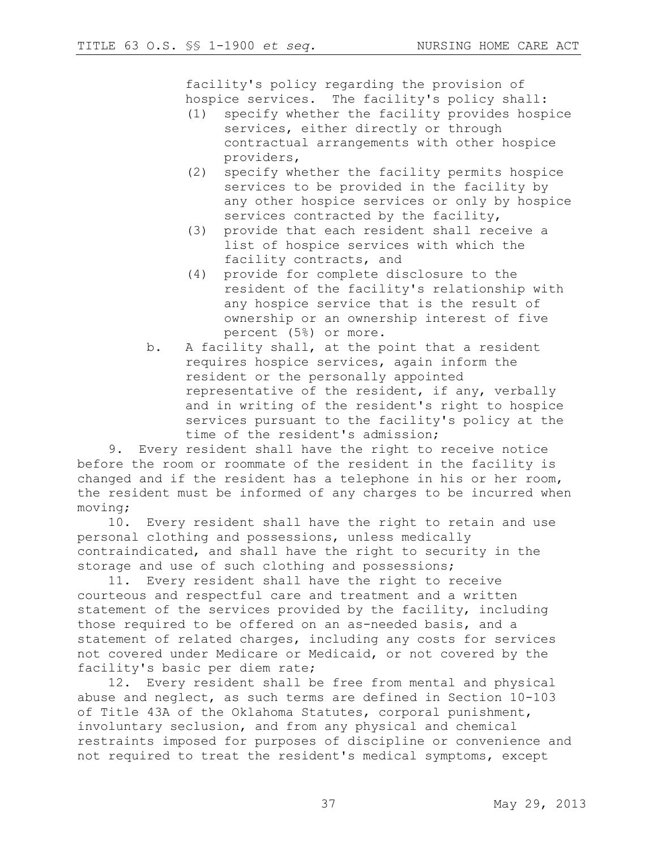facility's policy regarding the provision of hospice services. The facility's policy shall:

- (1) specify whether the facility provides hospice services, either directly or through contractual arrangements with other hospice providers,
- (2) specify whether the facility permits hospice services to be provided in the facility by any other hospice services or only by hospice services contracted by the facility,
- (3) provide that each resident shall receive a list of hospice services with which the facility contracts, and
- (4) provide for complete disclosure to the resident of the facility's relationship with any hospice service that is the result of ownership or an ownership interest of five percent (5%) or more.
- b. A facility shall, at the point that a resident requires hospice services, again inform the resident or the personally appointed representative of the resident, if any, verbally and in writing of the resident's right to hospice services pursuant to the facility's policy at the time of the resident's admission;

9. Every resident shall have the right to receive notice before the room or roommate of the resident in the facility is changed and if the resident has a telephone in his or her room, the resident must be informed of any charges to be incurred when moving;

10. Every resident shall have the right to retain and use personal clothing and possessions, unless medically contraindicated, and shall have the right to security in the storage and use of such clothing and possessions;

11. Every resident shall have the right to receive courteous and respectful care and treatment and a written statement of the services provided by the facility, including those required to be offered on an as-needed basis, and a statement of related charges, including any costs for services not covered under Medicare or Medicaid, or not covered by the facility's basic per diem rate;

12. Every resident shall be free from mental and physical abuse and neglect, as such terms are defined in Section 10-103 of Title 43A of the Oklahoma Statutes, corporal punishment, involuntary seclusion, and from any physical and chemical restraints imposed for purposes of discipline or convenience and not required to treat the resident's medical symptoms, except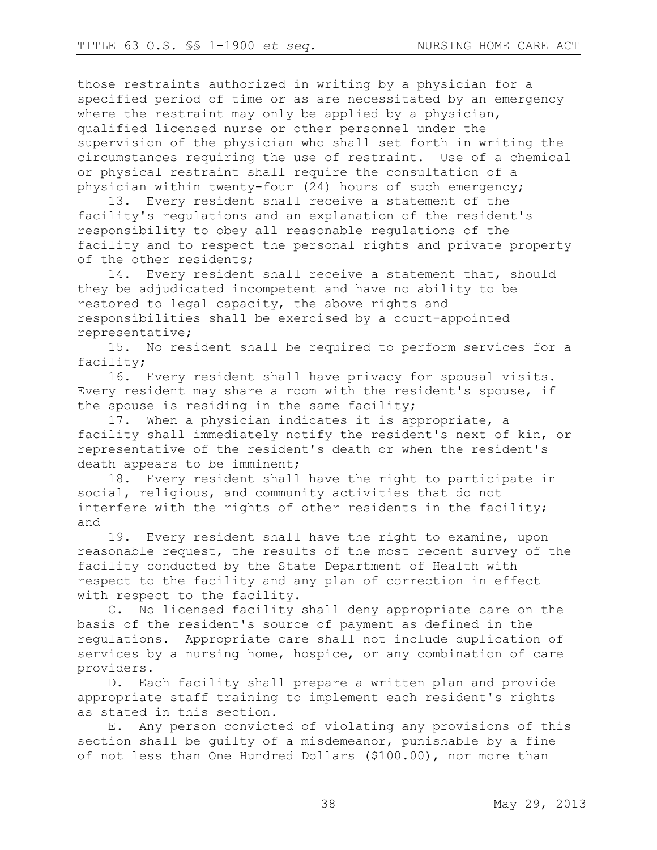those restraints authorized in writing by a physician for a specified period of time or as are necessitated by an emergency where the restraint may only be applied by a physician, qualified licensed nurse or other personnel under the supervision of the physician who shall set forth in writing the circumstances requiring the use of restraint. Use of a chemical or physical restraint shall require the consultation of a physician within twenty-four (24) hours of such emergency;

13. Every resident shall receive a statement of the facility's regulations and an explanation of the resident's responsibility to obey all reasonable regulations of the facility and to respect the personal rights and private property of the other residents;

14. Every resident shall receive a statement that, should they be adjudicated incompetent and have no ability to be restored to legal capacity, the above rights and responsibilities shall be exercised by a court-appointed representative;

15. No resident shall be required to perform services for a facility;

16. Every resident shall have privacy for spousal visits. Every resident may share a room with the resident's spouse, if the spouse is residing in the same facility;

17. When a physician indicates it is appropriate, a facility shall immediately notify the resident's next of kin, or representative of the resident's death or when the resident's death appears to be imminent;

18. Every resident shall have the right to participate in social, religious, and community activities that do not interfere with the rights of other residents in the facility; and

19. Every resident shall have the right to examine, upon reasonable request, the results of the most recent survey of the facility conducted by the State Department of Health with respect to the facility and any plan of correction in effect with respect to the facility.

C. No licensed facility shall deny appropriate care on the basis of the resident's source of payment as defined in the regulations. Appropriate care shall not include duplication of services by a nursing home, hospice, or any combination of care providers.

D. Each facility shall prepare a written plan and provide appropriate staff training to implement each resident's rights as stated in this section.

E. Any person convicted of violating any provisions of this section shall be guilty of a misdemeanor, punishable by a fine of not less than One Hundred Dollars (\$100.00), nor more than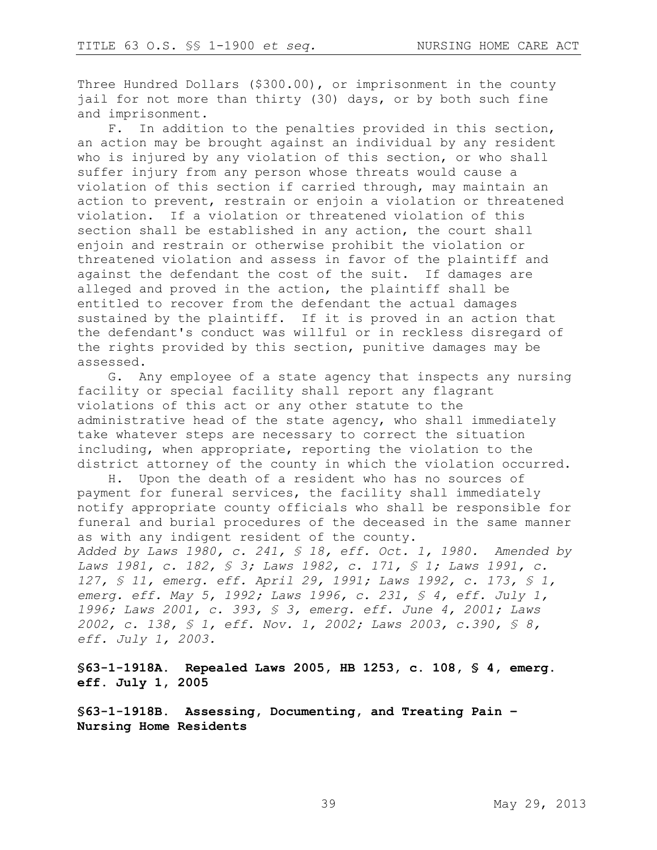Three Hundred Dollars (\$300.00), or imprisonment in the county jail for not more than thirty (30) days, or by both such fine and imprisonment.

F. In addition to the penalties provided in this section, an action may be brought against an individual by any resident who is injured by any violation of this section, or who shall suffer injury from any person whose threats would cause a violation of this section if carried through, may maintain an action to prevent, restrain or enjoin a violation or threatened violation. If a violation or threatened violation of this section shall be established in any action, the court shall enjoin and restrain or otherwise prohibit the violation or threatened violation and assess in favor of the plaintiff and against the defendant the cost of the suit. If damages are alleged and proved in the action, the plaintiff shall be entitled to recover from the defendant the actual damages sustained by the plaintiff. If it is proved in an action that the defendant's conduct was willful or in reckless disregard of the rights provided by this section, punitive damages may be assessed.

G. Any employee of a state agency that inspects any nursing facility or special facility shall report any flagrant violations of this act or any other statute to the administrative head of the state agency, who shall immediately take whatever steps are necessary to correct the situation including, when appropriate, reporting the violation to the district attorney of the county in which the violation occurred.

H. Upon the death of a resident who has no sources of payment for funeral services, the facility shall immediately notify appropriate county officials who shall be responsible for funeral and burial procedures of the deceased in the same manner as with any indigent resident of the county.

*Added by Laws 1980, c. 241, § 18, eff. Oct. 1, 1980. Amended by Laws 1981, c. 182, § 3; Laws 1982, c. 171, § 1; Laws 1991, c. 127, § 11, emerg. eff. April 29, 1991; Laws 1992, c. 173, § 1, emerg. eff. May 5, 1992; Laws 1996, c. 231, § 4, eff. July 1, 1996; Laws 2001, c. 393, § 3, emerg. eff. June 4, 2001; Laws 2002, c. 138, § 1, eff. Nov. 1, 2002; Laws 2003, c.390, § 8, eff. July 1, 2003.*

**§63-1-1918A. Repealed Laws 2005, HB 1253, c. 108, § 4, emerg. eff. July 1, 2005**

**§63-1-1918B. Assessing, Documenting, and Treating Pain – Nursing Home Residents**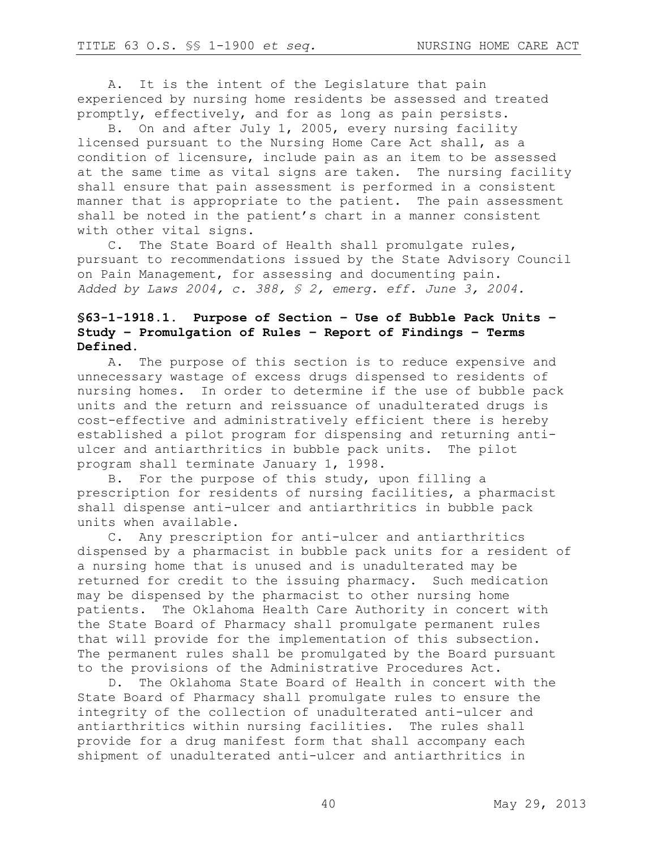A. It is the intent of the Legislature that pain experienced by nursing home residents be assessed and treated promptly, effectively, and for as long as pain persists.

B. On and after July 1, 2005, every nursing facility licensed pursuant to the Nursing Home Care Act shall, as a condition of licensure, include pain as an item to be assessed at the same time as vital signs are taken. The nursing facility shall ensure that pain assessment is performed in a consistent manner that is appropriate to the patient. The pain assessment shall be noted in the patient's chart in a manner consistent with other vital signs.

C. The State Board of Health shall promulgate rules, pursuant to recommendations issued by the State Advisory Council on Pain Management, for assessing and documenting pain. *Added by Laws 2004, c. 388, § 2, emerg. eff. June 3, 2004.*

# **§63-1-1918.1. Purpose of Section – Use of Bubble Pack Units – Study – Promulgation of Rules – Report of Findings – Terms Defined.**

A. The purpose of this section is to reduce expensive and unnecessary wastage of excess drugs dispensed to residents of nursing homes. In order to determine if the use of bubble pack units and the return and reissuance of unadulterated drugs is cost-effective and administratively efficient there is hereby established a pilot program for dispensing and returning antiulcer and antiarthritics in bubble pack units. The pilot program shall terminate January 1, 1998.

B. For the purpose of this study, upon filling a prescription for residents of nursing facilities, a pharmacist shall dispense anti-ulcer and antiarthritics in bubble pack units when available.

C. Any prescription for anti-ulcer and antiarthritics dispensed by a pharmacist in bubble pack units for a resident of a nursing home that is unused and is unadulterated may be returned for credit to the issuing pharmacy. Such medication may be dispensed by the pharmacist to other nursing home patients. The Oklahoma Health Care Authority in concert with the State Board of Pharmacy shall promulgate permanent rules that will provide for the implementation of this subsection. The permanent rules shall be promulgated by the Board pursuant to the provisions of the Administrative Procedures Act.

D. The Oklahoma State Board of Health in concert with the State Board of Pharmacy shall promulgate rules to ensure the integrity of the collection of unadulterated anti-ulcer and antiarthritics within nursing facilities. The rules shall provide for a drug manifest form that shall accompany each shipment of unadulterated anti-ulcer and antiarthritics in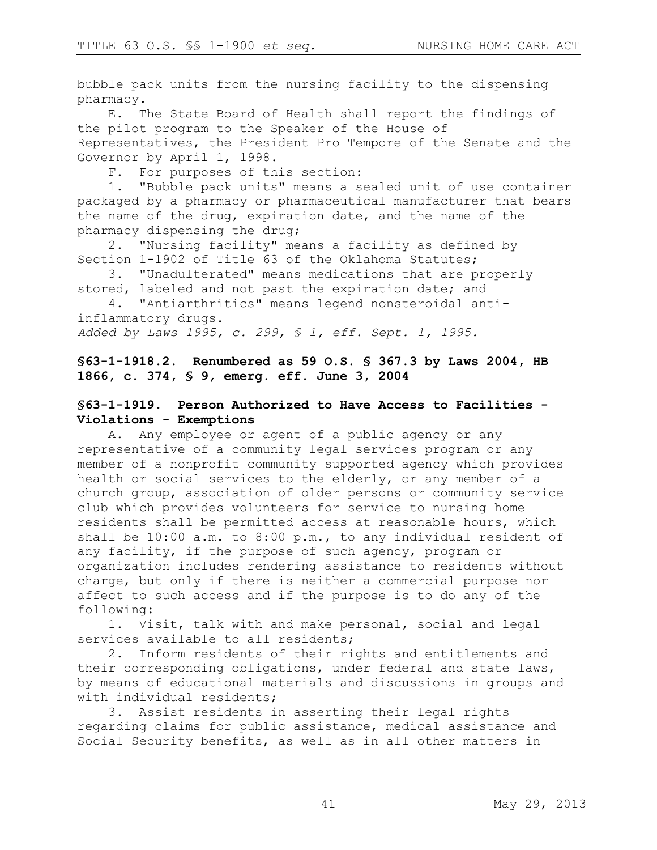bubble pack units from the nursing facility to the dispensing pharmacy.

E. The State Board of Health shall report the findings of the pilot program to the Speaker of the House of Representatives, the President Pro Tempore of the Senate and the Governor by April 1, 1998.

F. For purposes of this section:

1. "Bubble pack units" means a sealed unit of use container packaged by a pharmacy or pharmaceutical manufacturer that bears the name of the drug, expiration date, and the name of the pharmacy dispensing the drug;

2. "Nursing facility" means a facility as defined by Section 1-1902 of Title 63 of the Oklahoma Statutes;

3. "Unadulterated" means medications that are properly stored, labeled and not past the expiration date; and

4. "Antiarthritics" means legend nonsteroidal antiinflammatory drugs.

*Added by Laws 1995, c. 299, § 1, eff. Sept. 1, 1995.*

# **§63-1-1918.2. Renumbered as 59 O.S. § 367.3 by Laws 2004, HB 1866, c. 374, § 9, emerg. eff. June 3, 2004**

### **§63-1-1919. Person Authorized to Have Access to Facilities - Violations - Exemptions**

A. Any employee or agent of a public agency or any representative of a community legal services program or any member of a nonprofit community supported agency which provides health or social services to the elderly, or any member of a church group, association of older persons or community service club which provides volunteers for service to nursing home residents shall be permitted access at reasonable hours, which shall be 10:00 a.m. to 8:00 p.m., to any individual resident of any facility, if the purpose of such agency, program or organization includes rendering assistance to residents without charge, but only if there is neither a commercial purpose nor affect to such access and if the purpose is to do any of the following:

1. Visit, talk with and make personal, social and legal services available to all residents;

2. Inform residents of their rights and entitlements and their corresponding obligations, under federal and state laws, by means of educational materials and discussions in groups and with individual residents;

3. Assist residents in asserting their legal rights regarding claims for public assistance, medical assistance and Social Security benefits, as well as in all other matters in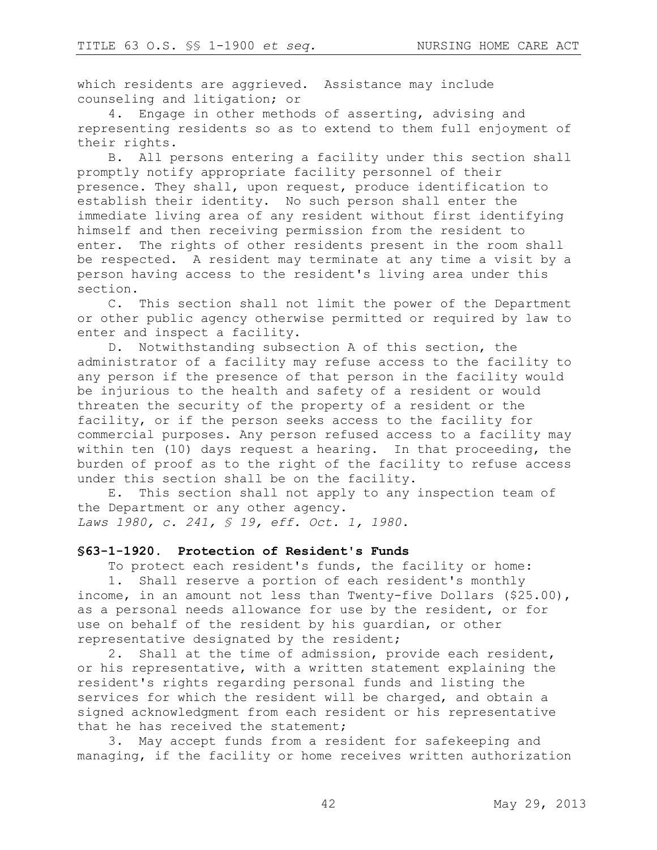which residents are aggrieved. Assistance may include counseling and litigation; or

4. Engage in other methods of asserting, advising and representing residents so as to extend to them full enjoyment of their rights.

B. All persons entering a facility under this section shall promptly notify appropriate facility personnel of their presence. They shall, upon request, produce identification to establish their identity. No such person shall enter the immediate living area of any resident without first identifying himself and then receiving permission from the resident to enter. The rights of other residents present in the room shall be respected. A resident may terminate at any time a visit by a person having access to the resident's living area under this section.

C. This section shall not limit the power of the Department or other public agency otherwise permitted or required by law to enter and inspect a facility.

D. Notwithstanding subsection A of this section, the administrator of a facility may refuse access to the facility to any person if the presence of that person in the facility would be injurious to the health and safety of a resident or would threaten the security of the property of a resident or the facility, or if the person seeks access to the facility for commercial purposes. Any person refused access to a facility may within ten (10) days request a hearing. In that proceeding, the burden of proof as to the right of the facility to refuse access under this section shall be on the facility.

E. This section shall not apply to any inspection team of the Department or any other agency.

*Laws 1980, c. 241, § 19, eff. Oct. 1, 1980.* 

### **§63-1-1920. Protection of Resident's Funds**

To protect each resident's funds, the facility or home:

1. Shall reserve a portion of each resident's monthly income, in an amount not less than Twenty-five Dollars (\$25.00), as a personal needs allowance for use by the resident, or for use on behalf of the resident by his guardian, or other representative designated by the resident;

2. Shall at the time of admission, provide each resident, or his representative, with a written statement explaining the resident's rights regarding personal funds and listing the services for which the resident will be charged, and obtain a signed acknowledgment from each resident or his representative that he has received the statement;

3. May accept funds from a resident for safekeeping and managing, if the facility or home receives written authorization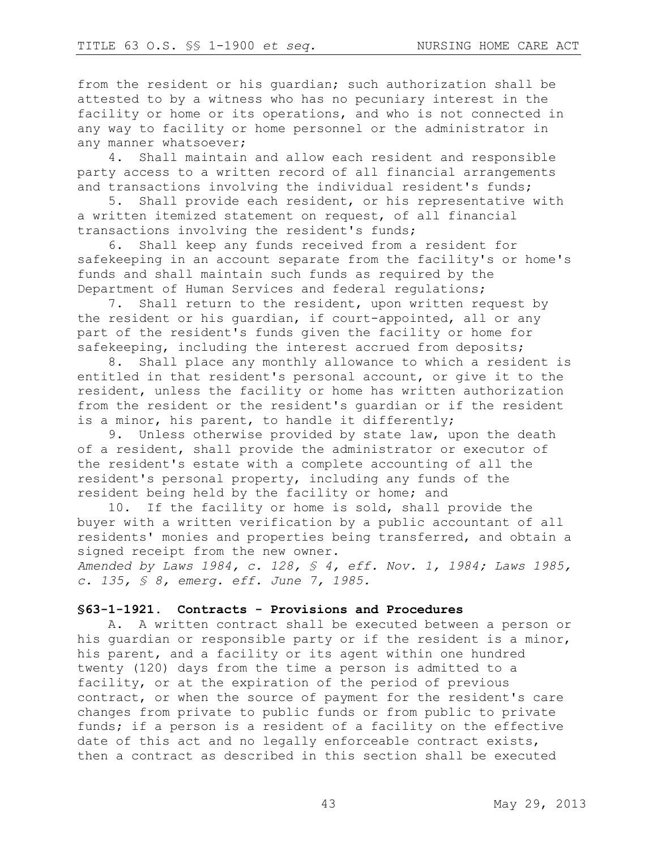from the resident or his guardian; such authorization shall be attested to by a witness who has no pecuniary interest in the facility or home or its operations, and who is not connected in any way to facility or home personnel or the administrator in any manner whatsoever;

4. Shall maintain and allow each resident and responsible party access to a written record of all financial arrangements and transactions involving the individual resident's funds;

5. Shall provide each resident, or his representative with a written itemized statement on request, of all financial transactions involving the resident's funds;

6. Shall keep any funds received from a resident for safekeeping in an account separate from the facility's or home's funds and shall maintain such funds as required by the Department of Human Services and federal regulations;

7. Shall return to the resident, upon written request by the resident or his guardian, if court-appointed, all or any part of the resident's funds given the facility or home for safekeeping, including the interest accrued from deposits;

8. Shall place any monthly allowance to which a resident is entitled in that resident's personal account, or give it to the resident, unless the facility or home has written authorization from the resident or the resident's guardian or if the resident is a minor, his parent, to handle it differently;

9. Unless otherwise provided by state law, upon the death of a resident, shall provide the administrator or executor of the resident's estate with a complete accounting of all the resident's personal property, including any funds of the resident being held by the facility or home; and

10. If the facility or home is sold, shall provide the buyer with a written verification by a public accountant of all residents' monies and properties being transferred, and obtain a signed receipt from the new owner.

*Amended by Laws 1984, c. 128, § 4, eff. Nov. 1, 1984; Laws 1985, c. 135, § 8, emerg. eff. June 7, 1985.* 

#### **§63-1-1921. Contracts - Provisions and Procedures**

A. A written contract shall be executed between a person or his guardian or responsible party or if the resident is a minor, his parent, and a facility or its agent within one hundred twenty (120) days from the time a person is admitted to a facility, or at the expiration of the period of previous contract, or when the source of payment for the resident's care changes from private to public funds or from public to private funds; if a person is a resident of a facility on the effective date of this act and no legally enforceable contract exists, then a contract as described in this section shall be executed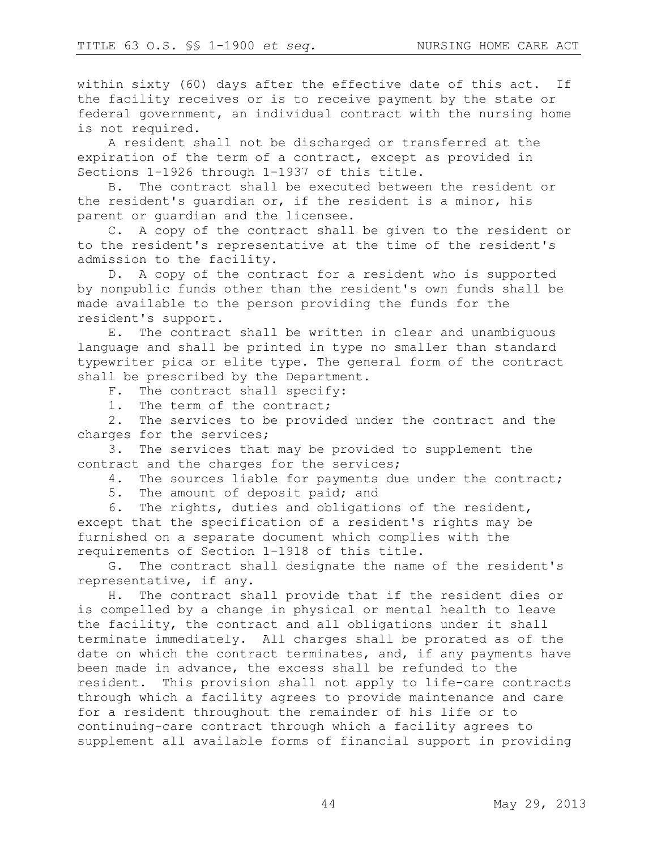within sixty (60) days after the effective date of this act. If the facility receives or is to receive payment by the state or federal government, an individual contract with the nursing home is not required.

A resident shall not be discharged or transferred at the expiration of the term of a contract, except as provided in Sections 1-1926 through 1-1937 of this title.

B. The contract shall be executed between the resident or the resident's guardian or, if the resident is a minor, his parent or guardian and the licensee.

C. A copy of the contract shall be given to the resident or to the resident's representative at the time of the resident's admission to the facility.

D. A copy of the contract for a resident who is supported by nonpublic funds other than the resident's own funds shall be made available to the person providing the funds for the resident's support.

E. The contract shall be written in clear and unambiguous language and shall be printed in type no smaller than standard typewriter pica or elite type. The general form of the contract shall be prescribed by the Department.

- F. The contract shall specify:
- 1. The term of the contract;

2. The services to be provided under the contract and the charges for the services;

3. The services that may be provided to supplement the contract and the charges for the services;

- 4. The sources liable for payments due under the contract;
- 5. The amount of deposit paid; and

6. The rights, duties and obligations of the resident, except that the specification of a resident's rights may be furnished on a separate document which complies with the requirements of Section 1-1918 of this title.

G. The contract shall designate the name of the resident's representative, if any.

H. The contract shall provide that if the resident dies or is compelled by a change in physical or mental health to leave the facility, the contract and all obligations under it shall terminate immediately. All charges shall be prorated as of the date on which the contract terminates, and, if any payments have been made in advance, the excess shall be refunded to the resident. This provision shall not apply to life-care contracts through which a facility agrees to provide maintenance and care for a resident throughout the remainder of his life or to continuing-care contract through which a facility agrees to supplement all available forms of financial support in providing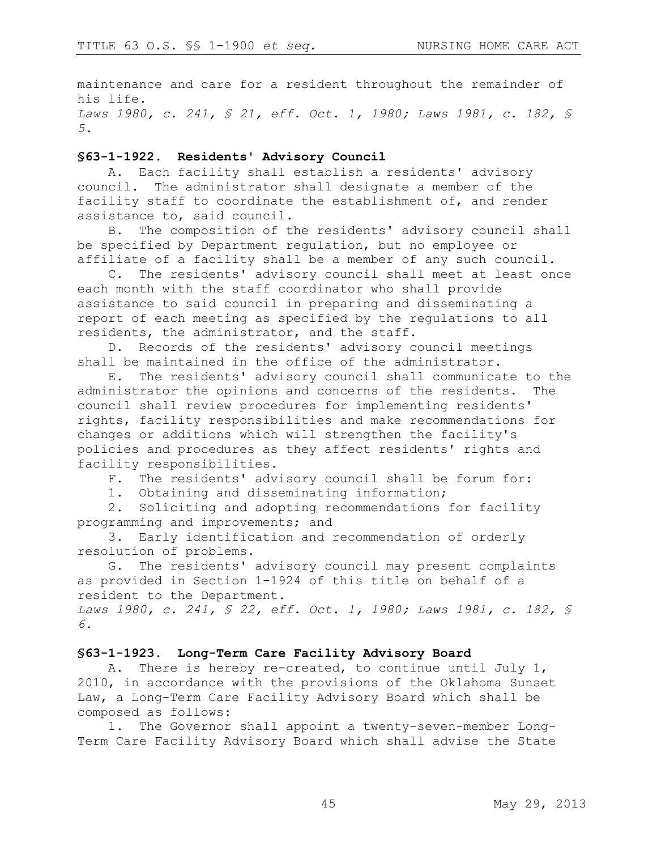maintenance and care for a resident throughout the remainder of his life. *Laws 1980, c. 241, § 21, eff. Oct. 1, 1980; Laws 1981, c. 182, § 5.* 

#### **§63-1-1922. Residents' Advisory Council**

A. Each facility shall establish a residents' advisory council. The administrator shall designate a member of the facility staff to coordinate the establishment of, and render assistance to, said council.

B. The composition of the residents' advisory council shall be specified by Department regulation, but no employee or affiliate of a facility shall be a member of any such council.

C. The residents' advisory council shall meet at least once each month with the staff coordinator who shall provide assistance to said council in preparing and disseminating a report of each meeting as specified by the regulations to all residents, the administrator, and the staff.

D. Records of the residents' advisory council meetings shall be maintained in the office of the administrator.

E. The residents' advisory council shall communicate to the administrator the opinions and concerns of the residents. The council shall review procedures for implementing residents' rights, facility responsibilities and make recommendations for changes or additions which will strengthen the facility's policies and procedures as they affect residents' rights and facility responsibilities.

F. The residents' advisory council shall be forum for:

1. Obtaining and disseminating information;

2. Soliciting and adopting recommendations for facility programming and improvements; and

3. Early identification and recommendation of orderly resolution of problems.

G. The residents' advisory council may present complaints as provided in Section 1-1924 of this title on behalf of a resident to the Department.

*Laws 1980, c. 241, § 22, eff. Oct. 1, 1980; Laws 1981, c. 182, § 6.* 

### **§63-1-1923. Long-Term Care Facility Advisory Board**

A. There is hereby re-created, to continue until July 1, 2010, in accordance with the provisions of the Oklahoma Sunset Law, a Long-Term Care Facility Advisory Board which shall be composed as follows:

1. The Governor shall appoint a twenty-seven-member Long-Term Care Facility Advisory Board which shall advise the State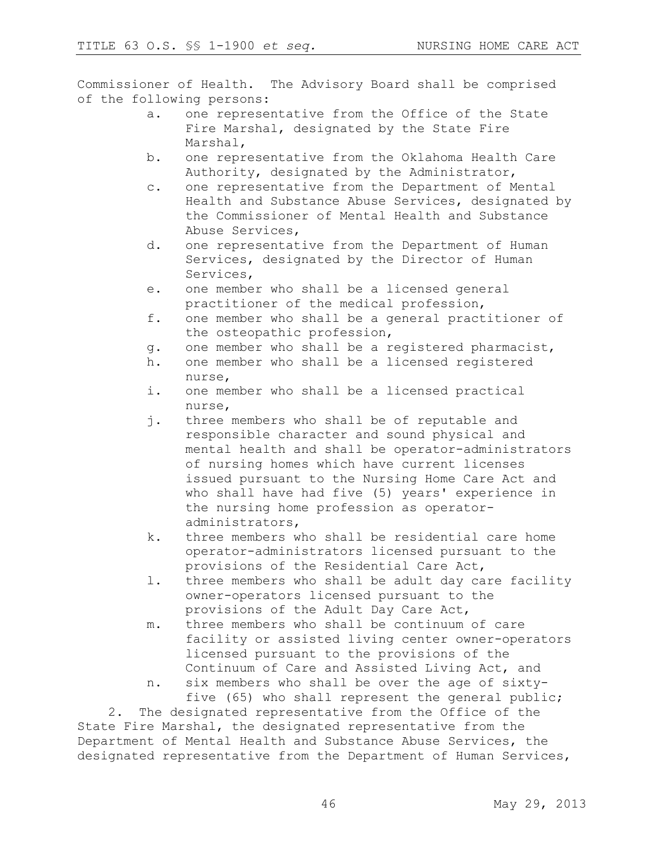Commissioner of Health. The Advisory Board shall be comprised of the following persons:

- a. one representative from the Office of the State Fire Marshal, designated by the State Fire Marshal,
- b. one representative from the Oklahoma Health Care Authority, designated by the Administrator,
- c. one representative from the Department of Mental Health and Substance Abuse Services, designated by the Commissioner of Mental Health and Substance Abuse Services,
- d. one representative from the Department of Human Services, designated by the Director of Human Services,
- e. one member who shall be a licensed general practitioner of the medical profession,
- f. one member who shall be a general practitioner of the osteopathic profession,
- g. one member who shall be a registered pharmacist,
- h. one member who shall be a licensed registered nurse,
- i. one member who shall be a licensed practical nurse,
- j. three members who shall be of reputable and responsible character and sound physical and mental health and shall be operator-administrators of nursing homes which have current licenses issued pursuant to the Nursing Home Care Act and who shall have had five (5) years' experience in the nursing home profession as operatoradministrators,
- k. three members who shall be residential care home operator-administrators licensed pursuant to the provisions of the Residential Care Act,
- l. three members who shall be adult day care facility owner-operators licensed pursuant to the provisions of the Adult Day Care Act,
- m. three members who shall be continuum of care facility or assisted living center owner-operators licensed pursuant to the provisions of the Continuum of Care and Assisted Living Act, and
- n. six members who shall be over the age of sixtyfive (65) who shall represent the general public;

2. The designated representative from the Office of the State Fire Marshal, the designated representative from the Department of Mental Health and Substance Abuse Services, the designated representative from the Department of Human Services,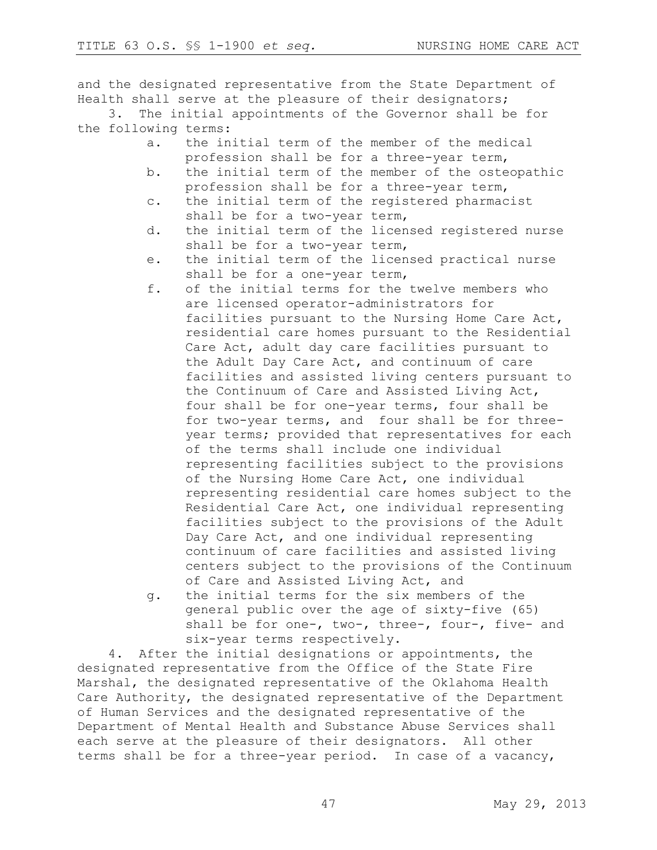and the designated representative from the State Department of Health shall serve at the pleasure of their designators;

3. The initial appointments of the Governor shall be for the following terms:

- a. the initial term of the member of the medical profession shall be for a three-year term,
- b. the initial term of the member of the osteopathic profession shall be for a three-year term,
- c. the initial term of the registered pharmacist shall be for a two-year term,
- d. the initial term of the licensed registered nurse shall be for a two-year term,
- e. the initial term of the licensed practical nurse shall be for a one-year term,
- f. of the initial terms for the twelve members who are licensed operator-administrators for facilities pursuant to the Nursing Home Care Act, residential care homes pursuant to the Residential Care Act, adult day care facilities pursuant to the Adult Day Care Act, and continuum of care facilities and assisted living centers pursuant to the Continuum of Care and Assisted Living Act, four shall be for one-year terms, four shall be for two-year terms, and four shall be for threeyear terms; provided that representatives for each of the terms shall include one individual representing facilities subject to the provisions of the Nursing Home Care Act, one individual representing residential care homes subject to the Residential Care Act, one individual representing facilities subject to the provisions of the Adult Day Care Act, and one individual representing continuum of care facilities and assisted living centers subject to the provisions of the Continuum of Care and Assisted Living Act, and
- g. the initial terms for the six members of the general public over the age of sixty-five (65) shall be for one-, two-, three-, four-, five- and six-year terms respectively.

4. After the initial designations or appointments, the designated representative from the Office of the State Fire Marshal, the designated representative of the Oklahoma Health Care Authority, the designated representative of the Department of Human Services and the designated representative of the Department of Mental Health and Substance Abuse Services shall each serve at the pleasure of their designators. All other terms shall be for a three-year period. In case of a vacancy,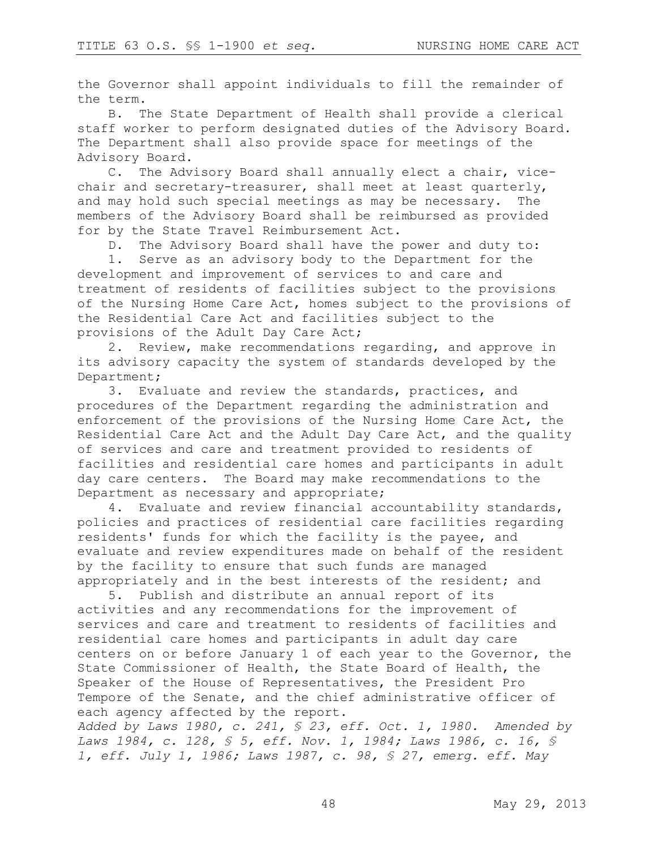the Governor shall appoint individuals to fill the remainder of the term.

B. The State Department of Health shall provide a clerical staff worker to perform designated duties of the Advisory Board. The Department shall also provide space for meetings of the Advisory Board.

C. The Advisory Board shall annually elect a chair, vicechair and secretary-treasurer, shall meet at least quarterly, and may hold such special meetings as may be necessary. The members of the Advisory Board shall be reimbursed as provided for by the State Travel Reimbursement Act.

D. The Advisory Board shall have the power and duty to:

1. Serve as an advisory body to the Department for the development and improvement of services to and care and treatment of residents of facilities subject to the provisions of the Nursing Home Care Act, homes subject to the provisions of the Residential Care Act and facilities subject to the provisions of the Adult Day Care Act;

2. Review, make recommendations regarding, and approve in its advisory capacity the system of standards developed by the Department;

3. Evaluate and review the standards, practices, and procedures of the Department regarding the administration and enforcement of the provisions of the Nursing Home Care Act, the Residential Care Act and the Adult Day Care Act, and the quality of services and care and treatment provided to residents of facilities and residential care homes and participants in adult day care centers. The Board may make recommendations to the Department as necessary and appropriate;

4. Evaluate and review financial accountability standards, policies and practices of residential care facilities regarding residents' funds for which the facility is the payee, and evaluate and review expenditures made on behalf of the resident by the facility to ensure that such funds are managed appropriately and in the best interests of the resident; and

5. Publish and distribute an annual report of its activities and any recommendations for the improvement of services and care and treatment to residents of facilities and residential care homes and participants in adult day care centers on or before January 1 of each year to the Governor, the State Commissioner of Health, the State Board of Health, the Speaker of the House of Representatives, the President Pro Tempore of the Senate, and the chief administrative officer of each agency affected by the report.

*Added by Laws 1980, c. 241, § 23, eff. Oct. 1, 1980. Amended by Laws 1984, c. 128, § 5, eff. Nov. 1, 1984; Laws 1986, c. 16, § 1, eff. July 1, 1986; Laws 1987, c. 98, § 27, emerg. eff. May*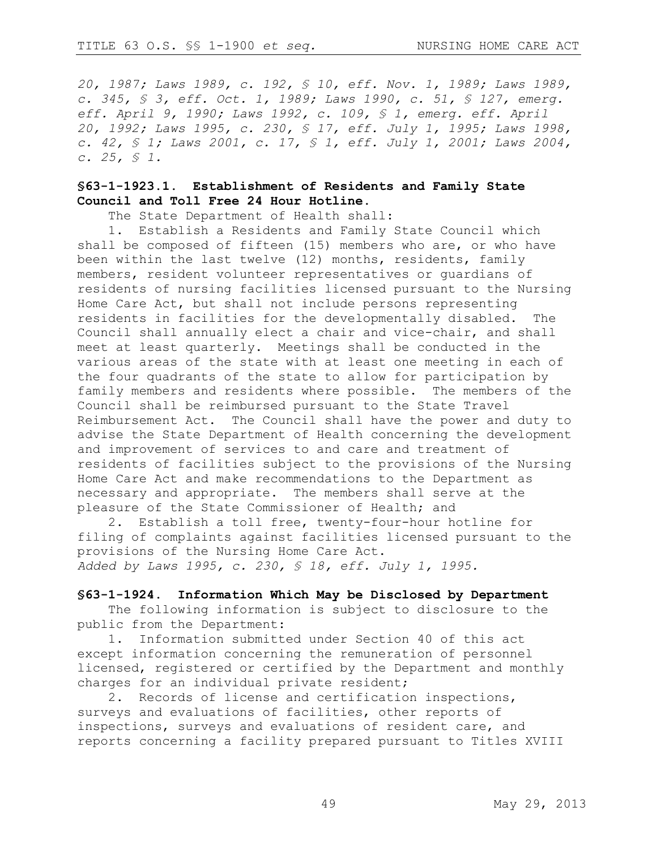*20, 1987; Laws 1989, c. 192, § 10, eff. Nov. 1, 1989; Laws 1989, c. 345, § 3, eff. Oct. 1, 1989; Laws 1990, c. 51, § 127, emerg. eff. April 9, 1990; Laws 1992, c. 109, § 1, emerg. eff. April 20, 1992; Laws 1995, c. 230, § 17, eff. July 1, 1995; Laws 1998, c. 42, § 1; Laws 2001, c. 17, § 1, eff. July 1, 2001; Laws 2004, c. 25, § 1.*

### **§63-1-1923.1. Establishment of Residents and Family State Council and Toll Free 24 Hour Hotline.**

The State Department of Health shall:

1. Establish a Residents and Family State Council which shall be composed of fifteen (15) members who are, or who have been within the last twelve (12) months, residents, family members, resident volunteer representatives or guardians of residents of nursing facilities licensed pursuant to the Nursing Home Care Act, but shall not include persons representing residents in facilities for the developmentally disabled. The Council shall annually elect a chair and vice-chair, and shall meet at least quarterly. Meetings shall be conducted in the various areas of the state with at least one meeting in each of the four quadrants of the state to allow for participation by family members and residents where possible. The members of the Council shall be reimbursed pursuant to the State Travel Reimbursement Act. The Council shall have the power and duty to advise the State Department of Health concerning the development and improvement of services to and care and treatment of residents of facilities subject to the provisions of the Nursing Home Care Act and make recommendations to the Department as necessary and appropriate. The members shall serve at the pleasure of the State Commissioner of Health; and

2. Establish a toll free, twenty-four-hour hotline for filing of complaints against facilities licensed pursuant to the provisions of the Nursing Home Care Act. *Added by Laws 1995, c. 230, § 18, eff. July 1, 1995.*

#### **§63-1-1924. Information Which May be Disclosed by Department**

The following information is subject to disclosure to the public from the Department:

1. Information submitted under Section 40 of this act except information concerning the remuneration of personnel licensed, registered or certified by the Department and monthly charges for an individual private resident;

2. Records of license and certification inspections, surveys and evaluations of facilities, other reports of inspections, surveys and evaluations of resident care, and reports concerning a facility prepared pursuant to Titles XVIII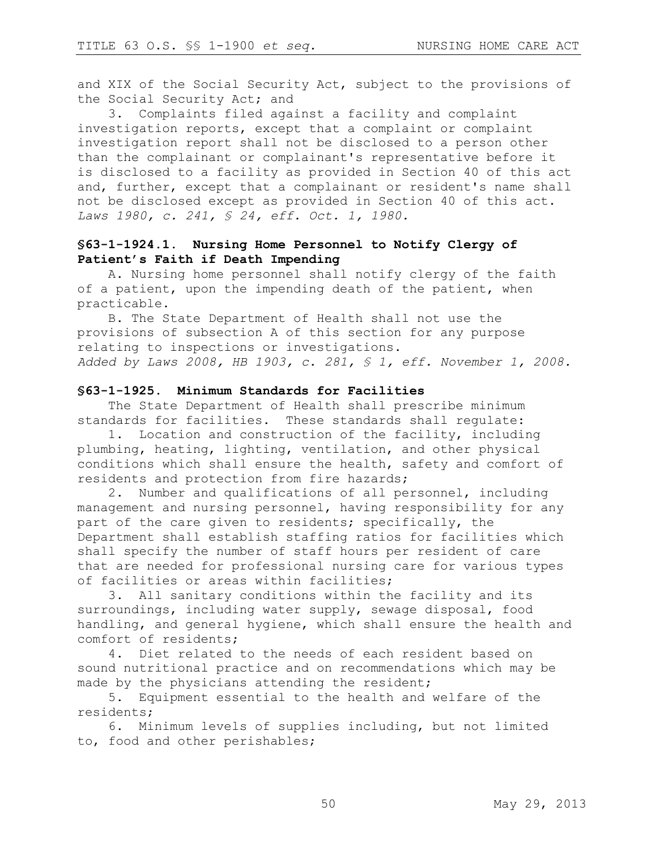and XIX of the Social Security Act, subject to the provisions of the Social Security Act; and

3. Complaints filed against a facility and complaint investigation reports, except that a complaint or complaint investigation report shall not be disclosed to a person other than the complainant or complainant's representative before it is disclosed to a facility as provided in Section 40 of this act and, further, except that a complainant or resident's name shall not be disclosed except as provided in Section 40 of this act. *Laws 1980, c. 241, § 24, eff. Oct. 1, 1980.* 

# **§63-1-1924.1. Nursing Home Personnel to Notify Clergy of Patient's Faith if Death Impending**

A. Nursing home personnel shall notify clergy of the faith of a patient, upon the impending death of the patient, when practicable.

B. The State Department of Health shall not use the provisions of subsection A of this section for any purpose relating to inspections or investigations. *Added by Laws 2008, HB 1903, c. 281, § 1, eff. November 1, 2008.*

### **§63-1-1925. Minimum Standards for Facilities**

The State Department of Health shall prescribe minimum standards for facilities. These standards shall regulate:

1. Location and construction of the facility, including plumbing, heating, lighting, ventilation, and other physical conditions which shall ensure the health, safety and comfort of residents and protection from fire hazards;

2. Number and qualifications of all personnel, including management and nursing personnel, having responsibility for any part of the care given to residents; specifically, the Department shall establish staffing ratios for facilities which shall specify the number of staff hours per resident of care that are needed for professional nursing care for various types of facilities or areas within facilities;

3. All sanitary conditions within the facility and its surroundings, including water supply, sewage disposal, food handling, and general hygiene, which shall ensure the health and comfort of residents;

4. Diet related to the needs of each resident based on sound nutritional practice and on recommendations which may be made by the physicians attending the resident;

5. Equipment essential to the health and welfare of the residents;

6. Minimum levels of supplies including, but not limited to, food and other perishables;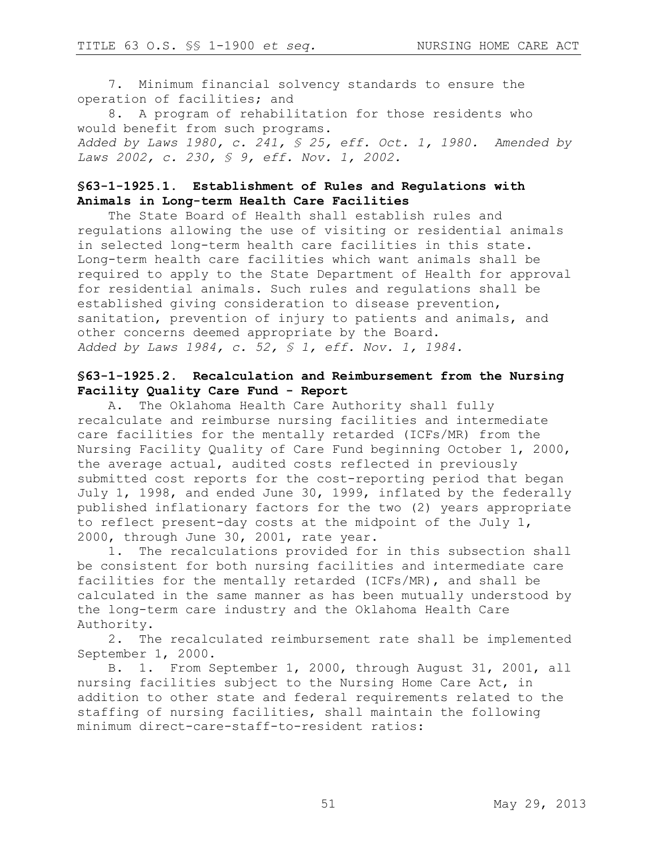7. Minimum financial solvency standards to ensure the operation of facilities; and

8. A program of rehabilitation for those residents who would benefit from such programs. *Added by Laws 1980, c. 241, § 25, eff. Oct. 1, 1980. Amended by Laws 2002, c. 230, § 9, eff. Nov. 1, 2002.*

## **§63-1-1925.1. Establishment of Rules and Regulations with Animals in Long-term Health Care Facilities**

The State Board of Health shall establish rules and regulations allowing the use of visiting or residential animals in selected long-term health care facilities in this state. Long-term health care facilities which want animals shall be required to apply to the State Department of Health for approval for residential animals. Such rules and regulations shall be established giving consideration to disease prevention, sanitation, prevention of injury to patients and animals, and other concerns deemed appropriate by the Board. *Added by Laws 1984, c. 52, § 1, eff. Nov. 1, 1984.* 

## **§63-1-1925.2. Recalculation and Reimbursement from the Nursing Facility Quality Care Fund - Report**

A. The Oklahoma Health Care Authority shall fully recalculate and reimburse nursing facilities and intermediate care facilities for the mentally retarded (ICFs/MR) from the Nursing Facility Quality of Care Fund beginning October 1, 2000, the average actual, audited costs reflected in previously submitted cost reports for the cost-reporting period that began July 1, 1998, and ended June 30, 1999, inflated by the federally published inflationary factors for the two (2) years appropriate to reflect present-day costs at the midpoint of the July 1, 2000, through June 30, 2001, rate year.

1. The recalculations provided for in this subsection shall be consistent for both nursing facilities and intermediate care facilities for the mentally retarded (ICFs/MR), and shall be calculated in the same manner as has been mutually understood by the long-term care industry and the Oklahoma Health Care Authority.

2. The recalculated reimbursement rate shall be implemented September 1, 2000.

B. 1. From September 1, 2000, through August 31, 2001, all nursing facilities subject to the Nursing Home Care Act, in addition to other state and federal requirements related to the staffing of nursing facilities, shall maintain the following minimum direct-care-staff-to-resident ratios: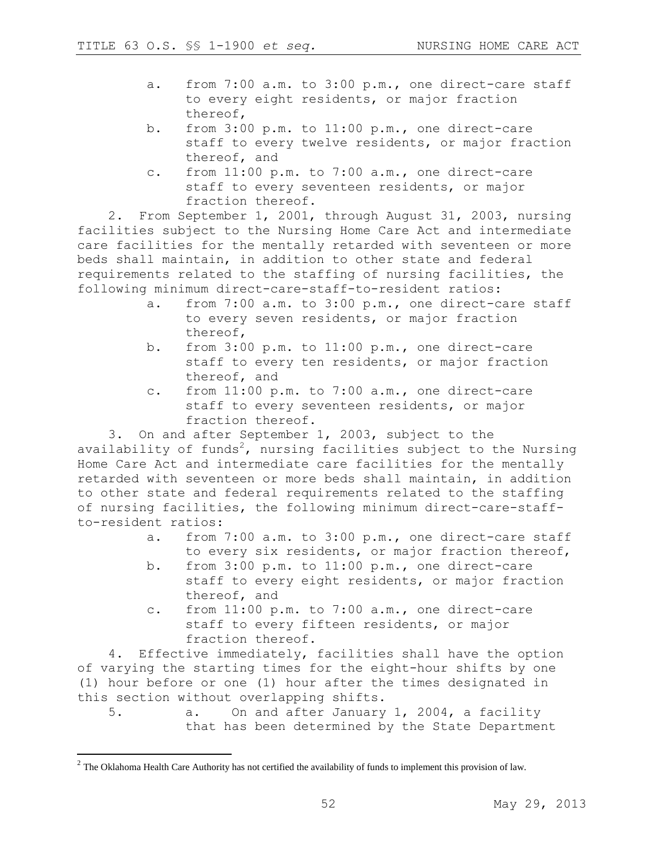- a. from 7:00 a.m. to 3:00 p.m., one direct-care staff to every eight residents, or major fraction thereof,
- b. from 3:00 p.m. to 11:00 p.m., one direct-care staff to every twelve residents, or major fraction thereof, and
- c. from 11:00 p.m. to 7:00 a.m., one direct-care staff to every seventeen residents, or major fraction thereof.

2. From September 1, 2001, through August 31, 2003, nursing facilities subject to the Nursing Home Care Act and intermediate care facilities for the mentally retarded with seventeen or more beds shall maintain, in addition to other state and federal requirements related to the staffing of nursing facilities, the following minimum direct-care-staff-to-resident ratios:

- a. from 7:00 a.m. to 3:00 p.m., one direct-care staff to every seven residents, or major fraction thereof,
- b. from 3:00 p.m. to 11:00 p.m., one direct-care staff to every ten residents, or major fraction thereof, and
- c. from 11:00 p.m. to 7:00 a.m., one direct-care staff to every seventeen residents, or major fraction thereof.

3. On and after September 1, 2003, subject to the availability of funds<sup>2</sup>, nursing facilities subject to the Nursing Home Care Act and intermediate care facilities for the mentally retarded with seventeen or more beds shall maintain, in addition to other state and federal requirements related to the staffing of nursing facilities, the following minimum direct-care-staffto-resident ratios:

- a. from 7:00 a.m. to 3:00 p.m., one direct-care staff to every six residents, or major fraction thereof,
- b. from 3:00 p.m. to 11:00 p.m., one direct-care staff to every eight residents, or major fraction thereof, and
- c. from 11:00 p.m. to 7:00 a.m., one direct-care staff to every fifteen residents, or major fraction thereof.

4. Effective immediately, facilities shall have the option of varying the starting times for the eight-hour shifts by one (1) hour before or one (1) hour after the times designated in this section without overlapping shifts.

5. a. On and after January 1, 2004, a facility that has been determined by the State Department

 $\overline{a}$ 

<sup>&</sup>lt;sup>2</sup> The Oklahoma Health Care Authority has not certified the availability of funds to implement this provision of law.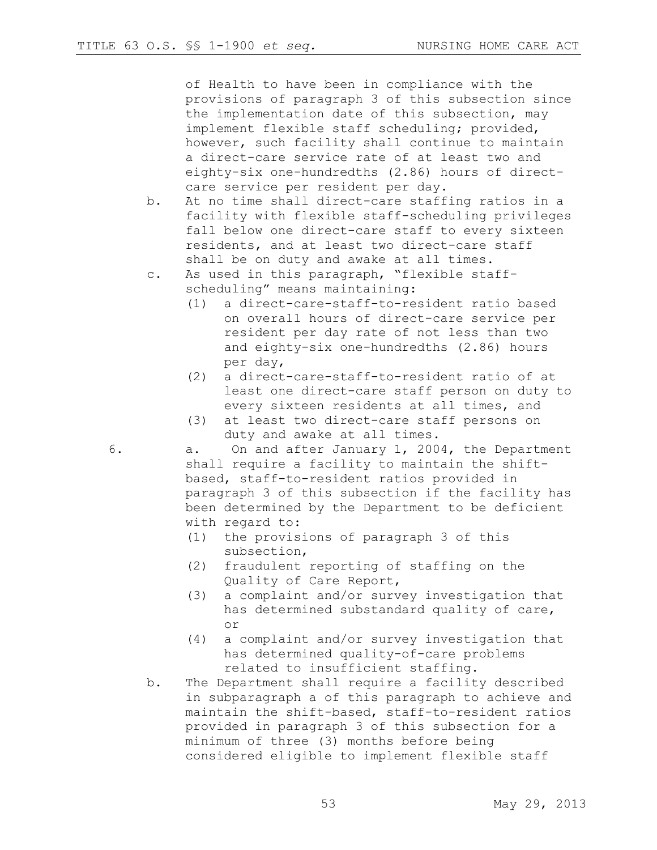of Health to have been in compliance with the provisions of paragraph 3 of this subsection since the implementation date of this subsection, may implement flexible staff scheduling; provided, however, such facility shall continue to maintain a direct-care service rate of at least two and eighty-six one-hundredths (2.86) hours of directcare service per resident per day.

- b. At no time shall direct-care staffing ratios in a facility with flexible staff-scheduling privileges fall below one direct-care staff to every sixteen residents, and at least two direct-care staff shall be on duty and awake at all times.
- c. As used in this paragraph, "flexible staffscheduling" means maintaining:
	- (1) a direct-care-staff-to-resident ratio based on overall hours of direct-care service per resident per day rate of not less than two and eighty-six one-hundredths (2.86) hours per day,
	- (2) a direct-care-staff-to-resident ratio of at least one direct-care staff person on duty to every sixteen residents at all times, and
	- (3) at least two direct-care staff persons on duty and awake at all times.

6. a. On and after January 1, 2004, the Department shall require a facility to maintain the shiftbased, staff-to-resident ratios provided in paragraph 3 of this subsection if the facility has been determined by the Department to be deficient with regard to:

- (1) the provisions of paragraph 3 of this subsection,
- (2) fraudulent reporting of staffing on the Quality of Care Report,
- (3) a complaint and/or survey investigation that has determined substandard quality of care, or
- (4) a complaint and/or survey investigation that has determined quality-of-care problems related to insufficient staffing.
- b. The Department shall require a facility described in subparagraph a of this paragraph to achieve and maintain the shift-based, staff-to-resident ratios provided in paragraph 3 of this subsection for a minimum of three (3) months before being considered eligible to implement flexible staff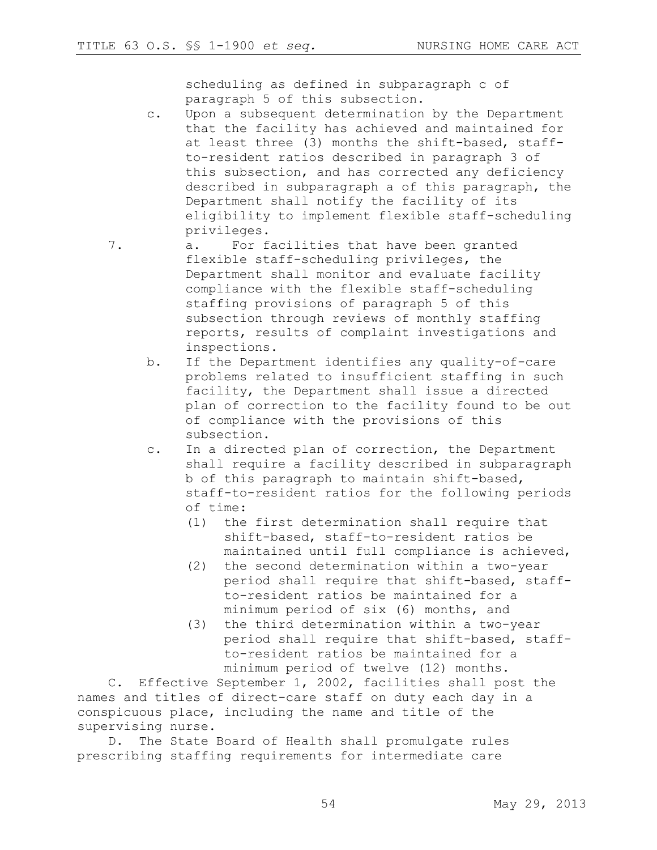scheduling as defined in subparagraph c of paragraph 5 of this subsection.

c. Upon a subsequent determination by the Department that the facility has achieved and maintained for at least three (3) months the shift-based, staffto-resident ratios described in paragraph 3 of this subsection, and has corrected any deficiency described in subparagraph a of this paragraph, the Department shall notify the facility of its eligibility to implement flexible staff-scheduling privileges.

7. a. For facilities that have been granted flexible staff-scheduling privileges, the Department shall monitor and evaluate facility compliance with the flexible staff-scheduling staffing provisions of paragraph 5 of this subsection through reviews of monthly staffing reports, results of complaint investigations and inspections.

- b. If the Department identifies any quality-of-care problems related to insufficient staffing in such facility, the Department shall issue a directed plan of correction to the facility found to be out of compliance with the provisions of this subsection.
- c. In a directed plan of correction, the Department shall require a facility described in subparagraph b of this paragraph to maintain shift-based, staff-to-resident ratios for the following periods of time:
	- (1) the first determination shall require that shift-based, staff-to-resident ratios be maintained until full compliance is achieved,
	- (2) the second determination within a two-year period shall require that shift-based, staffto-resident ratios be maintained for a minimum period of six (6) months, and
	- (3) the third determination within a two-year period shall require that shift-based, staffto-resident ratios be maintained for a minimum period of twelve (12) months.

C. Effective September 1, 2002, facilities shall post the names and titles of direct-care staff on duty each day in a conspicuous place, including the name and title of the supervising nurse.

D. The State Board of Health shall promulgate rules prescribing staffing requirements for intermediate care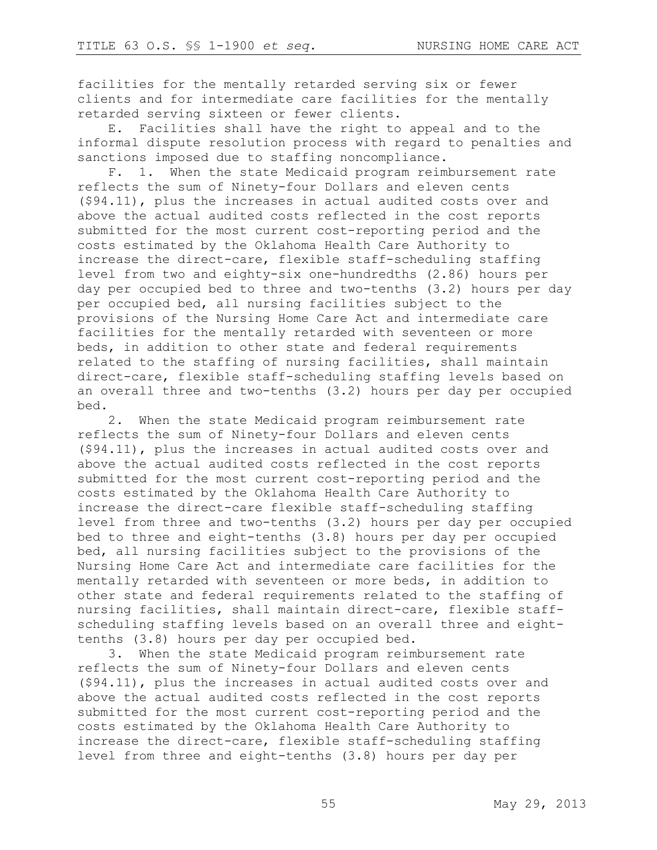facilities for the mentally retarded serving six or fewer clients and for intermediate care facilities for the mentally retarded serving sixteen or fewer clients.

E. Facilities shall have the right to appeal and to the informal dispute resolution process with regard to penalties and sanctions imposed due to staffing noncompliance.

F. 1. When the state Medicaid program reimbursement rate reflects the sum of Ninety-four Dollars and eleven cents (\$94.11), plus the increases in actual audited costs over and above the actual audited costs reflected in the cost reports submitted for the most current cost-reporting period and the costs estimated by the Oklahoma Health Care Authority to increase the direct-care, flexible staff-scheduling staffing level from two and eighty-six one-hundredths (2.86) hours per day per occupied bed to three and two-tenths (3.2) hours per day per occupied bed, all nursing facilities subject to the provisions of the Nursing Home Care Act and intermediate care facilities for the mentally retarded with seventeen or more beds, in addition to other state and federal requirements related to the staffing of nursing facilities, shall maintain direct-care, flexible staff-scheduling staffing levels based on an overall three and two-tenths (3.2) hours per day per occupied bed.

2. When the state Medicaid program reimbursement rate reflects the sum of Ninety-four Dollars and eleven cents (\$94.11), plus the increases in actual audited costs over and above the actual audited costs reflected in the cost reports submitted for the most current cost-reporting period and the costs estimated by the Oklahoma Health Care Authority to increase the direct-care flexible staff-scheduling staffing level from three and two-tenths (3.2) hours per day per occupied bed to three and eight-tenths (3.8) hours per day per occupied bed, all nursing facilities subject to the provisions of the Nursing Home Care Act and intermediate care facilities for the mentally retarded with seventeen or more beds, in addition to other state and federal requirements related to the staffing of nursing facilities, shall maintain direct-care, flexible staffscheduling staffing levels based on an overall three and eighttenths (3.8) hours per day per occupied bed.

3. When the state Medicaid program reimbursement rate reflects the sum of Ninety-four Dollars and eleven cents (\$94.11), plus the increases in actual audited costs over and above the actual audited costs reflected in the cost reports submitted for the most current cost-reporting period and the costs estimated by the Oklahoma Health Care Authority to increase the direct-care, flexible staff-scheduling staffing level from three and eight-tenths (3.8) hours per day per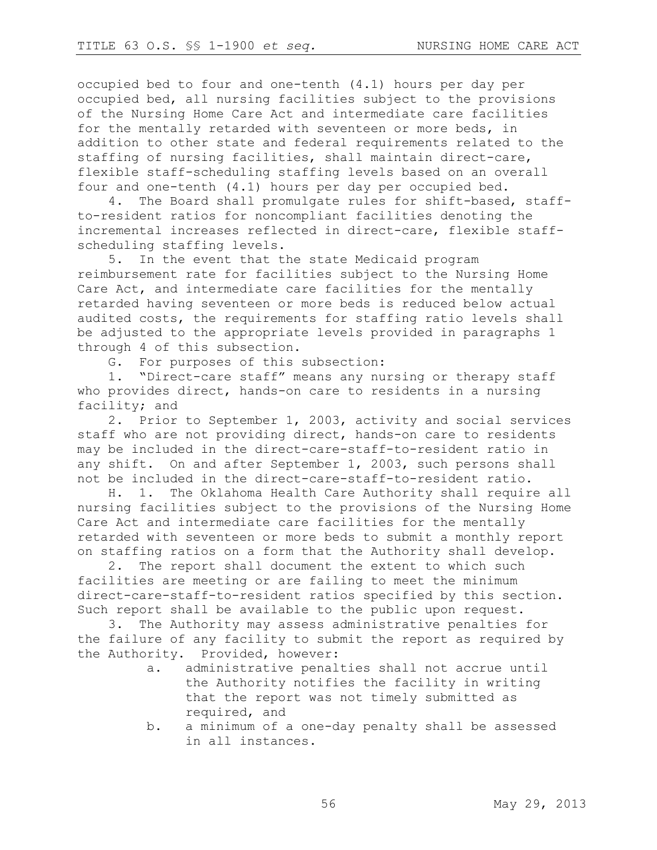occupied bed to four and one-tenth (4.1) hours per day per occupied bed, all nursing facilities subject to the provisions of the Nursing Home Care Act and intermediate care facilities for the mentally retarded with seventeen or more beds, in addition to other state and federal requirements related to the staffing of nursing facilities, shall maintain direct-care, flexible staff-scheduling staffing levels based on an overall four and one-tenth (4.1) hours per day per occupied bed.

4. The Board shall promulgate rules for shift-based, staffto-resident ratios for noncompliant facilities denoting the incremental increases reflected in direct-care, flexible staffscheduling staffing levels.

5. In the event that the state Medicaid program reimbursement rate for facilities subject to the Nursing Home Care Act, and intermediate care facilities for the mentally retarded having seventeen or more beds is reduced below actual audited costs, the requirements for staffing ratio levels shall be adjusted to the appropriate levels provided in paragraphs 1 through 4 of this subsection.

G. For purposes of this subsection:

1. "Direct-care staff" means any nursing or therapy staff who provides direct, hands-on care to residents in a nursing facility; and

2. Prior to September 1, 2003, activity and social services staff who are not providing direct, hands-on care to residents may be included in the direct-care-staff-to-resident ratio in any shift. On and after September 1, 2003, such persons shall not be included in the direct-care-staff-to-resident ratio.

H. 1. The Oklahoma Health Care Authority shall require all nursing facilities subject to the provisions of the Nursing Home Care Act and intermediate care facilities for the mentally retarded with seventeen or more beds to submit a monthly report on staffing ratios on a form that the Authority shall develop.

2. The report shall document the extent to which such facilities are meeting or are failing to meet the minimum direct-care-staff-to-resident ratios specified by this section. Such report shall be available to the public upon request.

3. The Authority may assess administrative penalties for the failure of any facility to submit the report as required by the Authority. Provided, however:

- a. administrative penalties shall not accrue until the Authority notifies the facility in writing that the report was not timely submitted as required, and
- b. a minimum of a one-day penalty shall be assessed in all instances.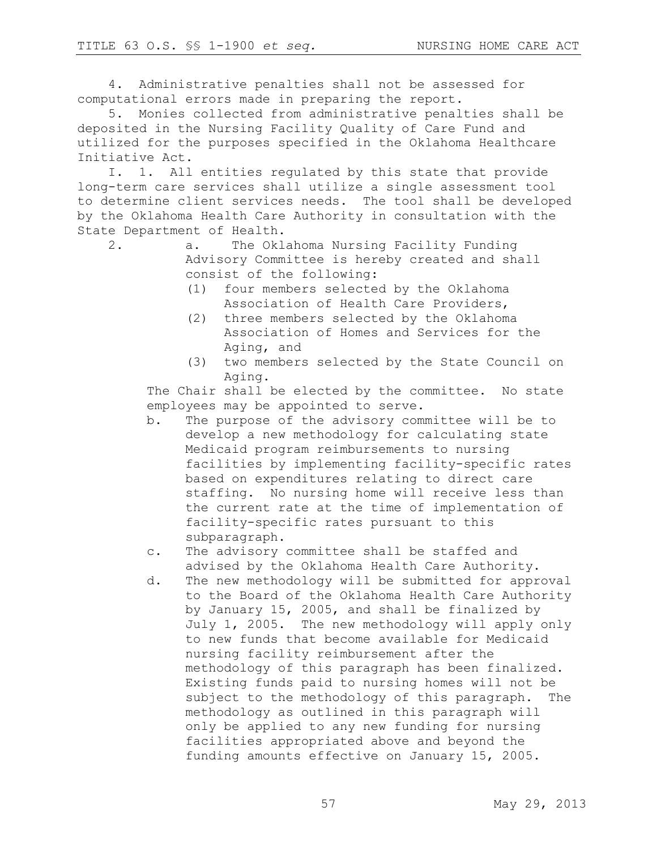4. Administrative penalties shall not be assessed for computational errors made in preparing the report.

5. Monies collected from administrative penalties shall be deposited in the Nursing Facility Quality of Care Fund and utilized for the purposes specified in the Oklahoma Healthcare Initiative Act.

I. 1. All entities regulated by this state that provide long-term care services shall utilize a single assessment tool to determine client services needs. The tool shall be developed by the Oklahoma Health Care Authority in consultation with the State Department of Health.

2. a. The Oklahoma Nursing Facility Funding Advisory Committee is hereby created and shall consist of the following:

- (1) four members selected by the Oklahoma Association of Health Care Providers,
- (2) three members selected by the Oklahoma Association of Homes and Services for the Aging, and
- (3) two members selected by the State Council on Aging.

The Chair shall be elected by the committee. No state employees may be appointed to serve.

b. The purpose of the advisory committee will be to develop a new methodology for calculating state Medicaid program reimbursements to nursing facilities by implementing facility-specific rates based on expenditures relating to direct care staffing. No nursing home will receive less than the current rate at the time of implementation of facility-specific rates pursuant to this subparagraph.

c. The advisory committee shall be staffed and advised by the Oklahoma Health Care Authority.

d. The new methodology will be submitted for approval to the Board of the Oklahoma Health Care Authority by January 15, 2005, and shall be finalized by July 1, 2005. The new methodology will apply only to new funds that become available for Medicaid nursing facility reimbursement after the methodology of this paragraph has been finalized. Existing funds paid to nursing homes will not be subject to the methodology of this paragraph. The methodology as outlined in this paragraph will only be applied to any new funding for nursing facilities appropriated above and beyond the funding amounts effective on January 15, 2005.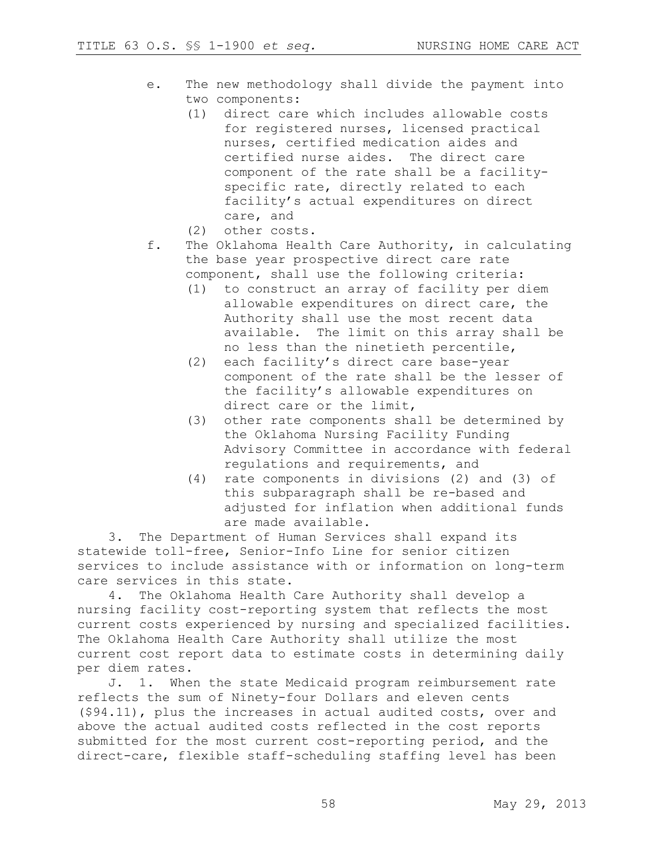- e. The new methodology shall divide the payment into two components:
	- (1) direct care which includes allowable costs for registered nurses, licensed practical nurses, certified medication aides and certified nurse aides. The direct care component of the rate shall be a facilityspecific rate, directly related to each facility's actual expenditures on direct care, and
	- (2) other costs.
- f. The Oklahoma Health Care Authority, in calculating the base year prospective direct care rate component, shall use the following criteria:
	- (1) to construct an array of facility per diem allowable expenditures on direct care, the Authority shall use the most recent data available. The limit on this array shall be no less than the ninetieth percentile,
	- (2) each facility's direct care base-year component of the rate shall be the lesser of the facility's allowable expenditures on direct care or the limit,
	- (3) other rate components shall be determined by the Oklahoma Nursing Facility Funding Advisory Committee in accordance with federal regulations and requirements, and
	- (4) rate components in divisions (2) and (3) of this subparagraph shall be re-based and adjusted for inflation when additional funds are made available.

3. The Department of Human Services shall expand its statewide toll-free, Senior-Info Line for senior citizen services to include assistance with or information on long-term care services in this state.

4. The Oklahoma Health Care Authority shall develop a nursing facility cost-reporting system that reflects the most current costs experienced by nursing and specialized facilities. The Oklahoma Health Care Authority shall utilize the most current cost report data to estimate costs in determining daily per diem rates.

J. 1. When the state Medicaid program reimbursement rate reflects the sum of Ninety-four Dollars and eleven cents (\$94.11), plus the increases in actual audited costs, over and above the actual audited costs reflected in the cost reports submitted for the most current cost-reporting period, and the direct-care, flexible staff-scheduling staffing level has been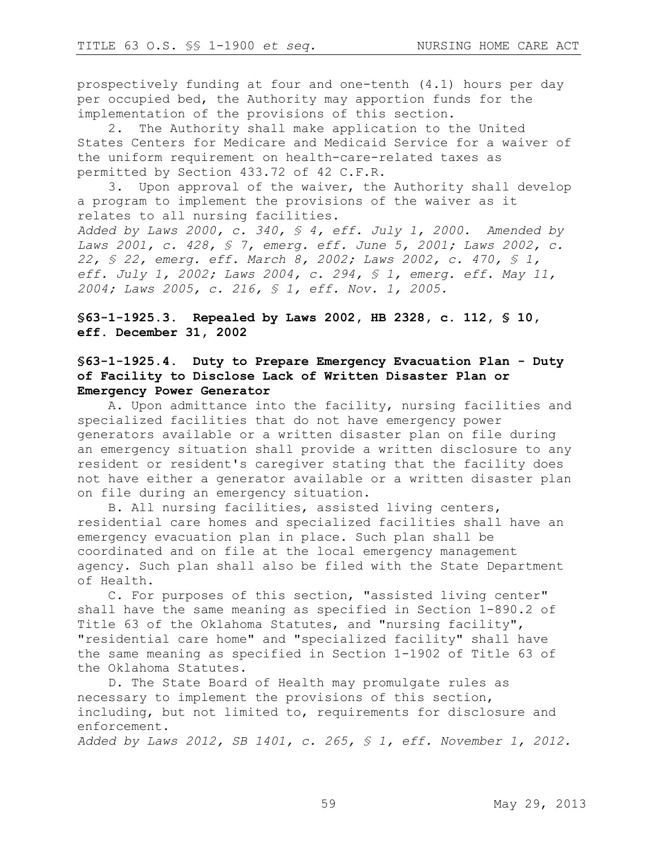prospectively funding at four and one-tenth (4.1) hours per day per occupied bed, the Authority may apportion funds for the implementation of the provisions of this section.

2. The Authority shall make application to the United States Centers for Medicare and Medicaid Service for a waiver of the uniform requirement on health-care-related taxes as permitted by Section 433.72 of 42 C.F.R.

3. Upon approval of the waiver, the Authority shall develop a program to implement the provisions of the waiver as it relates to all nursing facilities.

*Added by Laws 2000, c. 340, § 4, eff. July 1, 2000. Amended by Laws 2001, c. 428, § 7, emerg. eff. June 5, 2001; Laws 2002, c. 22, § 22, emerg. eff. March 8, 2002; Laws 2002, c. 470, § 1, eff. July 1, 2002; Laws 2004, c. 294, § 1, emerg. eff. May 11, 2004; Laws 2005, c. 216, § 1, eff. Nov. 1, 2005.*

**§63-1-1925.3. Repealed by Laws 2002, HB 2328, c. 112, § 10, eff. December 31, 2002**

## **§63-1-1925.4. Duty to Prepare Emergency Evacuation Plan - Duty of Facility to Disclose Lack of Written Disaster Plan or Emergency Power Generator**

A. Upon admittance into the facility, nursing facilities and specialized facilities that do not have emergency power generators available or a written disaster plan on file during an emergency situation shall provide a written disclosure to any resident or resident's caregiver stating that the facility does not have either a generator available or a written disaster plan on file during an emergency situation.

B. All nursing facilities, assisted living centers, residential care homes and specialized facilities shall have an emergency evacuation plan in place. Such plan shall be coordinated and on file at the local emergency management agency. Such plan shall also be filed with the State Department of Health.

C. For purposes of this section, "assisted living center" shall have the same meaning as specified in Section 1-890.2 of Title 63 of the Oklahoma Statutes, and "nursing facility", "residential care home" and "specialized facility" shall have the same meaning as specified in Section 1-1902 of Title 63 of the Oklahoma Statutes.

D. The State Board of Health may promulgate rules as necessary to implement the provisions of this section, including, but not limited to, requirements for disclosure and enforcement.

*Added by Laws 2012, SB 1401, c. 265, § 1, eff. November 1, 2012.*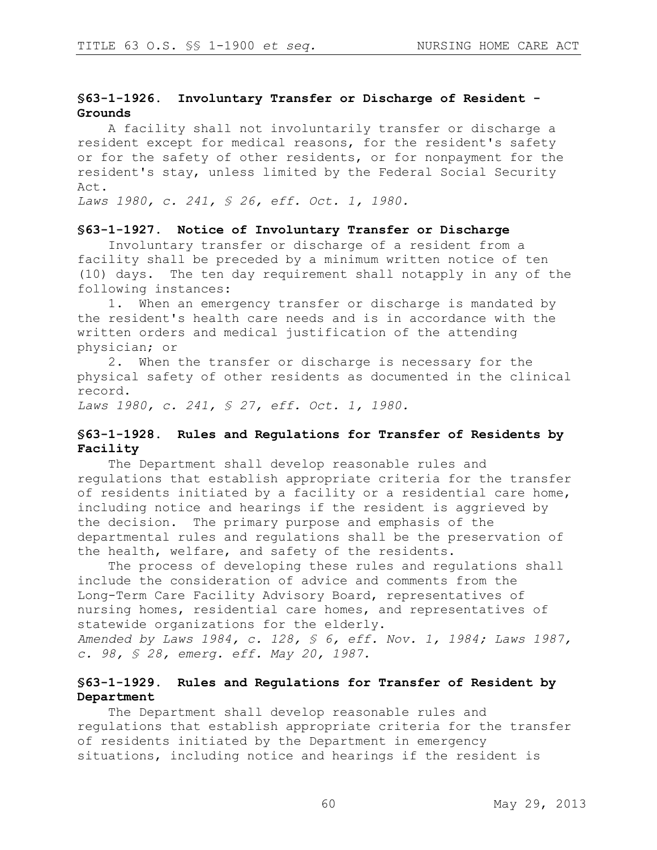# **§63-1-1926. Involuntary Transfer or Discharge of Resident - Grounds**

A facility shall not involuntarily transfer or discharge a resident except for medical reasons, for the resident's safety or for the safety of other residents, or for nonpayment for the resident's stay, unless limited by the Federal Social Security Act.

*Laws 1980, c. 241, § 26, eff. Oct. 1, 1980.* 

# **§63-1-1927. Notice of Involuntary Transfer or Discharge**

Involuntary transfer or discharge of a resident from a facility shall be preceded by a minimum written notice of ten (10) days. The ten day requirement shall notapply in any of the following instances:

1. When an emergency transfer or discharge is mandated by the resident's health care needs and is in accordance with the written orders and medical justification of the attending physician; or

2. When the transfer or discharge is necessary for the physical safety of other residents as documented in the clinical record.

*Laws 1980, c. 241, § 27, eff. Oct. 1, 1980.*

### **§63-1-1928. Rules and Regulations for Transfer of Residents by Facility**

The Department shall develop reasonable rules and regulations that establish appropriate criteria for the transfer of residents initiated by a facility or a residential care home, including notice and hearings if the resident is aggrieved by the decision. The primary purpose and emphasis of the departmental rules and regulations shall be the preservation of the health, welfare, and safety of the residents.

The process of developing these rules and regulations shall include the consideration of advice and comments from the Long-Term Care Facility Advisory Board, representatives of nursing homes, residential care homes, and representatives of statewide organizations for the elderly. *Amended by Laws 1984, c. 128, § 6, eff. Nov. 1, 1984; Laws 1987,* 

*c. 98, § 28, emerg. eff. May 20, 1987.* 

### **§63-1-1929. Rules and Regulations for Transfer of Resident by Department**

The Department shall develop reasonable rules and regulations that establish appropriate criteria for the transfer of residents initiated by the Department in emergency situations, including notice and hearings if the resident is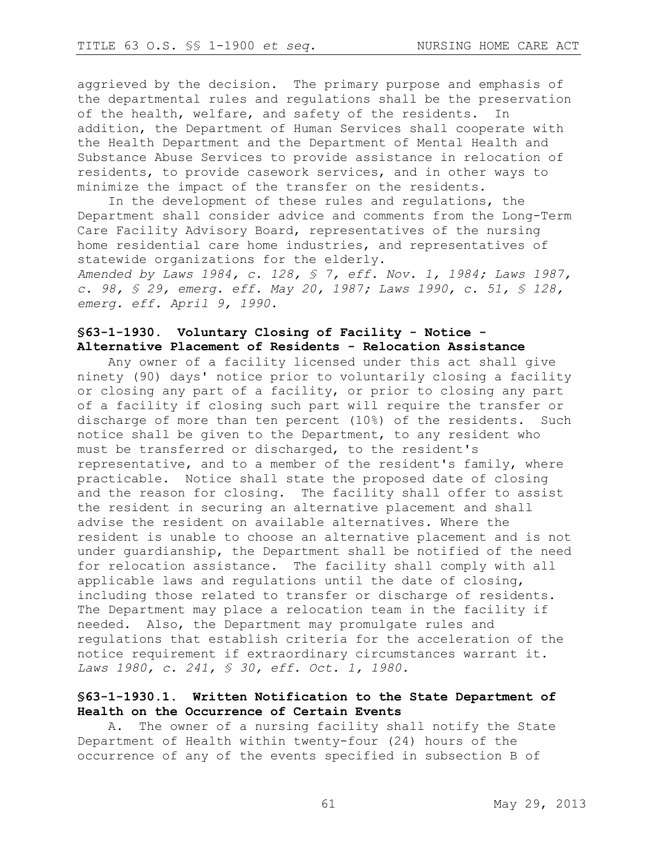aggrieved by the decision. The primary purpose and emphasis of the departmental rules and regulations shall be the preservation of the health, welfare, and safety of the residents. In addition, the Department of Human Services shall cooperate with the Health Department and the Department of Mental Health and Substance Abuse Services to provide assistance in relocation of residents, to provide casework services, and in other ways to minimize the impact of the transfer on the residents.

In the development of these rules and regulations, the Department shall consider advice and comments from the Long-Term Care Facility Advisory Board, representatives of the nursing home residential care home industries, and representatives of statewide organizations for the elderly.

*Amended by Laws 1984, c. 128, § 7, eff. Nov. 1, 1984; Laws 1987, c. 98, § 29, emerg. eff. May 20, 1987; Laws 1990, c. 51, § 128, emerg. eff. April 9, 1990.*

### **§63-1-1930. Voluntary Closing of Facility - Notice - Alternative Placement of Residents - Relocation Assistance**

Any owner of a facility licensed under this act shall give ninety (90) days' notice prior to voluntarily closing a facility or closing any part of a facility, or prior to closing any part of a facility if closing such part will require the transfer or discharge of more than ten percent (10%) of the residents. Such notice shall be given to the Department, to any resident who must be transferred or discharged, to the resident's representative, and to a member of the resident's family, where practicable. Notice shall state the proposed date of closing and the reason for closing. The facility shall offer to assist the resident in securing an alternative placement and shall advise the resident on available alternatives. Where the resident is unable to choose an alternative placement and is not under guardianship, the Department shall be notified of the need for relocation assistance. The facility shall comply with all applicable laws and regulations until the date of closing, including those related to transfer or discharge of residents. The Department may place a relocation team in the facility if needed. Also, the Department may promulgate rules and regulations that establish criteria for the acceleration of the notice requirement if extraordinary circumstances warrant it. *Laws 1980, c. 241, § 30, eff. Oct. 1, 1980.* 

### **§63-1-1930.1. Written Notification to the State Department of Health on the Occurrence of Certain Events**

A. The owner of a nursing facility shall notify the State Department of Health within twenty-four (24) hours of the occurrence of any of the events specified in subsection B of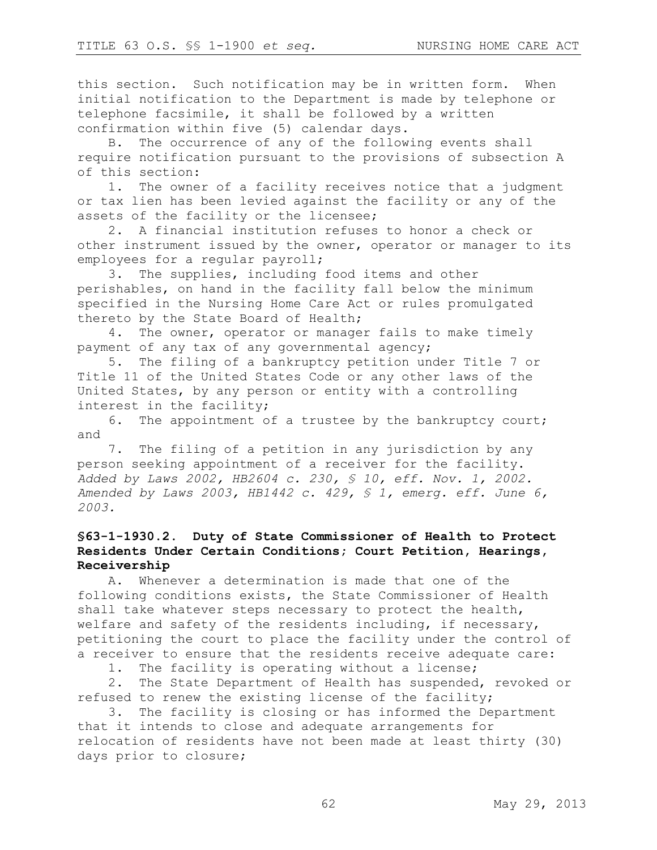this section. Such notification may be in written form. When initial notification to the Department is made by telephone or telephone facsimile, it shall be followed by a written confirmation within five (5) calendar days.

B. The occurrence of any of the following events shall require notification pursuant to the provisions of subsection A of this section:

1. The owner of a facility receives notice that a judgment or tax lien has been levied against the facility or any of the assets of the facility or the licensee;

2. A financial institution refuses to honor a check or other instrument issued by the owner, operator or manager to its employees for a regular payroll;

3. The supplies, including food items and other perishables, on hand in the facility fall below the minimum specified in the Nursing Home Care Act or rules promulgated thereto by the State Board of Health;

4. The owner, operator or manager fails to make timely payment of any tax of any governmental agency;

5. The filing of a bankruptcy petition under Title 7 or Title 11 of the United States Code or any other laws of the United States, by any person or entity with a controlling interest in the facility;

6. The appointment of a trustee by the bankruptcy court; and

7. The filing of a petition in any jurisdiction by any person seeking appointment of a receiver for the facility. *Added by Laws 2002, HB2604 c. 230, § 10, eff. Nov. 1, 2002. Amended by Laws 2003, HB1442 c. 429, § 1, emerg. eff. June 6, 2003.*

# **§63-1-1930.2. Duty of State Commissioner of Health to Protect Residents Under Certain Conditions; Court Petition, Hearings, Receivership**

A. Whenever a determination is made that one of the following conditions exists, the State Commissioner of Health shall take whatever steps necessary to protect the health, welfare and safety of the residents including, if necessary, petitioning the court to place the facility under the control of a receiver to ensure that the residents receive adequate care:

1. The facility is operating without a license;

2. The State Department of Health has suspended, revoked or refused to renew the existing license of the facility;

3. The facility is closing or has informed the Department that it intends to close and adequate arrangements for relocation of residents have not been made at least thirty (30) days prior to closure;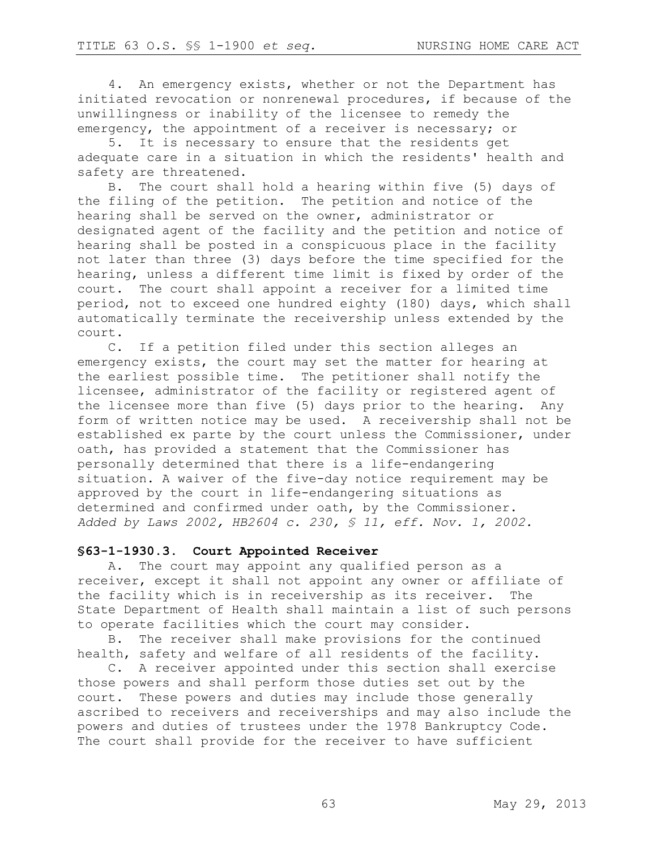4. An emergency exists, whether or not the Department has initiated revocation or nonrenewal procedures, if because of the unwillingness or inability of the licensee to remedy the emergency, the appointment of a receiver is necessary; or

5. It is necessary to ensure that the residents get adequate care in a situation in which the residents' health and safety are threatened.

B. The court shall hold a hearing within five (5) days of the filing of the petition. The petition and notice of the hearing shall be served on the owner, administrator or designated agent of the facility and the petition and notice of hearing shall be posted in a conspicuous place in the facility not later than three (3) days before the time specified for the hearing, unless a different time limit is fixed by order of the court. The court shall appoint a receiver for a limited time period, not to exceed one hundred eighty (180) days, which shall automatically terminate the receivership unless extended by the court.

C. If a petition filed under this section alleges an emergency exists, the court may set the matter for hearing at the earliest possible time. The petitioner shall notify the licensee, administrator of the facility or registered agent of the licensee more than five (5) days prior to the hearing. Any form of written notice may be used. A receivership shall not be established ex parte by the court unless the Commissioner, under oath, has provided a statement that the Commissioner has personally determined that there is a life-endangering situation. A waiver of the five-day notice requirement may be approved by the court in life-endangering situations as determined and confirmed under oath, by the Commissioner. *Added by Laws 2002, HB2604 c. 230, § 11, eff. Nov. 1, 2002.*

# **§63-1-1930.3. Court Appointed Receiver**

A. The court may appoint any qualified person as a receiver, except it shall not appoint any owner or affiliate of the facility which is in receivership as its receiver. The State Department of Health shall maintain a list of such persons to operate facilities which the court may consider.

B. The receiver shall make provisions for the continued health, safety and welfare of all residents of the facility.

C. A receiver appointed under this section shall exercise those powers and shall perform those duties set out by the court. These powers and duties may include those generally ascribed to receivers and receiverships and may also include the powers and duties of trustees under the 1978 Bankruptcy Code. The court shall provide for the receiver to have sufficient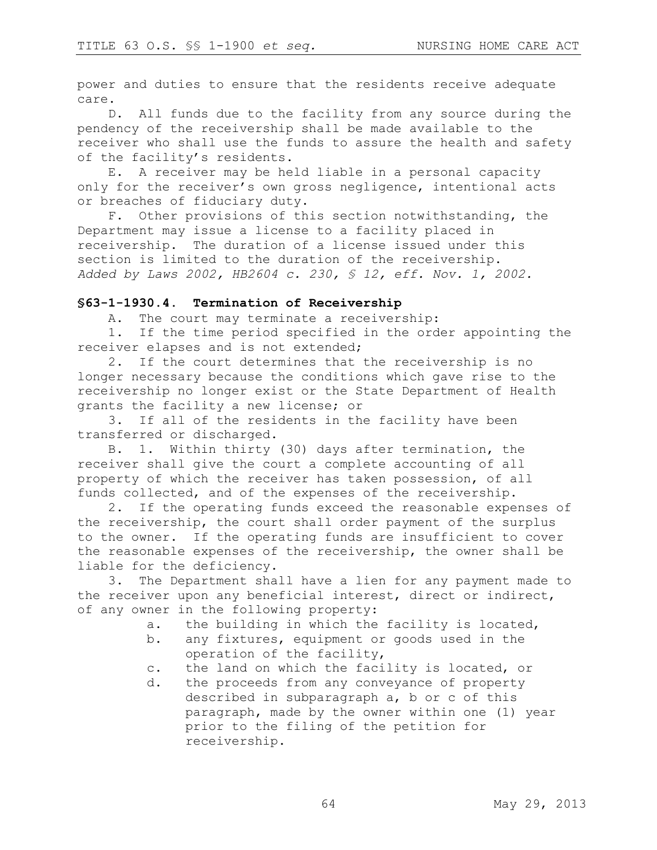power and duties to ensure that the residents receive adequate care.

D. All funds due to the facility from any source during the pendency of the receivership shall be made available to the receiver who shall use the funds to assure the health and safety of the facility's residents.

E. A receiver may be held liable in a personal capacity only for the receiver's own gross negligence, intentional acts or breaches of fiduciary duty.

F. Other provisions of this section notwithstanding, the Department may issue a license to a facility placed in receivership. The duration of a license issued under this section is limited to the duration of the receivership. *Added by Laws 2002, HB2604 c. 230, § 12, eff. Nov. 1, 2002.*

#### **§63-1-1930.4. Termination of Receivership**

A. The court may terminate a receivership:

1. If the time period specified in the order appointing the receiver elapses and is not extended;

2. If the court determines that the receivership is no longer necessary because the conditions which gave rise to the receivership no longer exist or the State Department of Health grants the facility a new license; or

3. If all of the residents in the facility have been transferred or discharged.

B. 1. Within thirty (30) days after termination, the receiver shall give the court a complete accounting of all property of which the receiver has taken possession, of all funds collected, and of the expenses of the receivership.

2. If the operating funds exceed the reasonable expenses of the receivership, the court shall order payment of the surplus to the owner. If the operating funds are insufficient to cover the reasonable expenses of the receivership, the owner shall be liable for the deficiency.

3. The Department shall have a lien for any payment made to the receiver upon any beneficial interest, direct or indirect, of any owner in the following property:

- a. the building in which the facility is located,
- b. any fixtures, equipment or goods used in the operation of the facility,
- c. the land on which the facility is located, or
- d. the proceeds from any conveyance of property described in subparagraph a, b or c of this paragraph, made by the owner within one (1) year prior to the filing of the petition for receivership.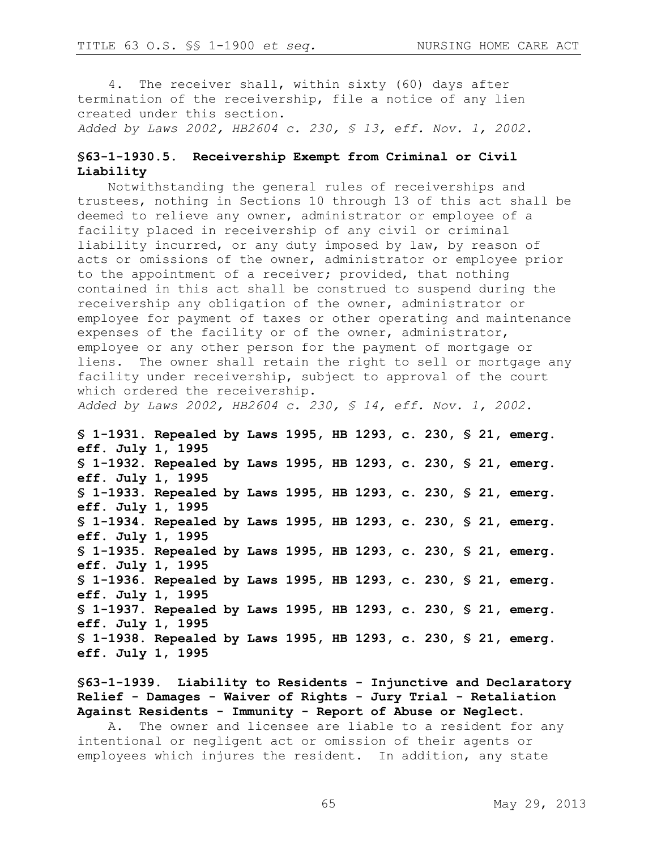4. The receiver shall, within sixty (60) days after termination of the receivership, file a notice of any lien created under this section. *Added by Laws 2002, HB2604 c. 230, § 13, eff. Nov. 1, 2002.*

### **§63-1-1930.5. Receivership Exempt from Criminal or Civil Liability**

Notwithstanding the general rules of receiverships and trustees, nothing in Sections 10 through 13 of this act shall be deemed to relieve any owner, administrator or employee of a facility placed in receivership of any civil or criminal liability incurred, or any duty imposed by law, by reason of acts or omissions of the owner, administrator or employee prior to the appointment of a receiver; provided, that nothing contained in this act shall be construed to suspend during the receivership any obligation of the owner, administrator or employee for payment of taxes or other operating and maintenance expenses of the facility or of the owner, administrator, employee or any other person for the payment of mortgage or liens. The owner shall retain the right to sell or mortgage any facility under receivership, subject to approval of the court which ordered the receivership.

*Added by Laws 2002, HB2604 c. 230, § 14, eff. Nov. 1, 2002.*

**§ 1-1931. Repealed by Laws 1995, HB 1293, c. 230, § 21, emerg. eff. July 1, 1995 § 1-1932. Repealed by Laws 1995, HB 1293, c. 230, § 21, emerg. eff. July 1, 1995 § 1-1933. Repealed by Laws 1995, HB 1293, c. 230, § 21, emerg. eff. July 1, 1995 § 1-1934. Repealed by Laws 1995, HB 1293, c. 230, § 21, emerg. eff. July 1, 1995 § 1-1935. Repealed by Laws 1995, HB 1293, c. 230, § 21, emerg. eff. July 1, 1995 § 1-1936. Repealed by Laws 1995, HB 1293, c. 230, § 21, emerg. eff. July 1, 1995 § 1-1937. Repealed by Laws 1995, HB 1293, c. 230, § 21, emerg. eff. July 1, 1995 § 1-1938. Repealed by Laws 1995, HB 1293, c. 230, § 21, emerg. eff. July 1, 1995**

**§63-1-1939. Liability to Residents - Injunctive and Declaratory Relief - Damages - Waiver of Rights - Jury Trial - Retaliation Against Residents - Immunity - Report of Abuse or Neglect.**

A. The owner and licensee are liable to a resident for any intentional or negligent act or omission of their agents or employees which injures the resident. In addition, any state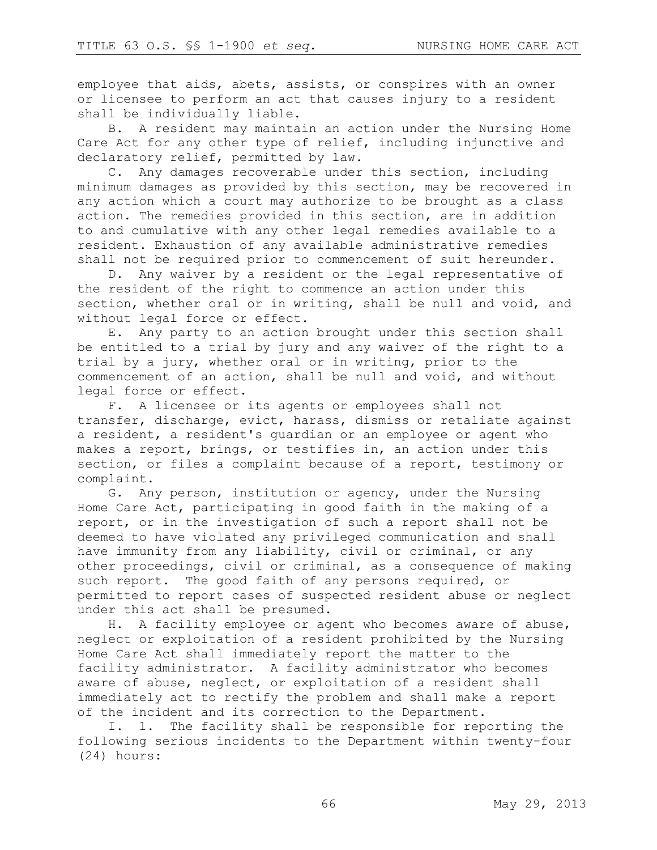employee that aids, abets, assists, or conspires with an owner or licensee to perform an act that causes injury to a resident shall be individually liable.

B. A resident may maintain an action under the Nursing Home Care Act for any other type of relief, including injunctive and declaratory relief, permitted by law.

C. Any damages recoverable under this section, including minimum damages as provided by this section, may be recovered in any action which a court may authorize to be brought as a class action. The remedies provided in this section, are in addition to and cumulative with any other legal remedies available to a resident. Exhaustion of any available administrative remedies shall not be required prior to commencement of suit hereunder.

D. Any waiver by a resident or the legal representative of the resident of the right to commence an action under this section, whether oral or in writing, shall be null and void, and without legal force or effect.

E. Any party to an action brought under this section shall be entitled to a trial by jury and any waiver of the right to a trial by a jury, whether oral or in writing, prior to the commencement of an action, shall be null and void, and without legal force or effect.

F. A licensee or its agents or employees shall not transfer, discharge, evict, harass, dismiss or retaliate against a resident, a resident's guardian or an employee or agent who makes a report, brings, or testifies in, an action under this section, or files a complaint because of a report, testimony or complaint.

G. Any person, institution or agency, under the Nursing Home Care Act, participating in good faith in the making of a report, or in the investigation of such a report shall not be deemed to have violated any privileged communication and shall have immunity from any liability, civil or criminal, or any other proceedings, civil or criminal, as a consequence of making such report. The good faith of any persons required, or permitted to report cases of suspected resident abuse or neglect under this act shall be presumed.

H. A facility employee or agent who becomes aware of abuse, neglect or exploitation of a resident prohibited by the Nursing Home Care Act shall immediately report the matter to the facility administrator. A facility administrator who becomes aware of abuse, neglect, or exploitation of a resident shall immediately act to rectify the problem and shall make a report of the incident and its correction to the Department.

I. 1. The facility shall be responsible for reporting the following serious incidents to the Department within twenty-four (24) hours: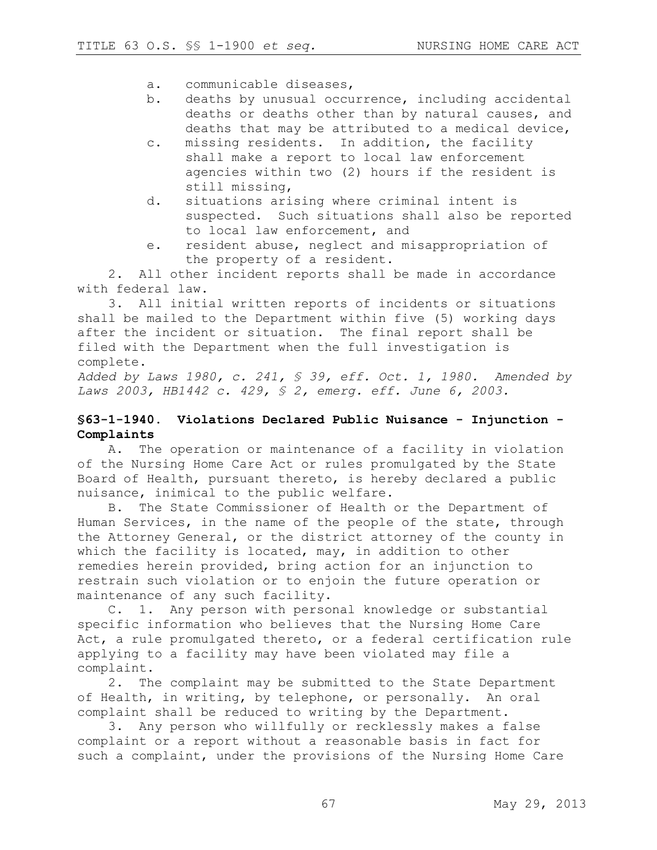- a. communicable diseases,
- b. deaths by unusual occurrence, including accidental deaths or deaths other than by natural causes, and deaths that may be attributed to a medical device,
- c. missing residents. In addition, the facility shall make a report to local law enforcement agencies within two (2) hours if the resident is still missing,
- d. situations arising where criminal intent is suspected. Such situations shall also be reported to local law enforcement, and
- e. resident abuse, neglect and misappropriation of the property of a resident.

2. All other incident reports shall be made in accordance with federal law.

3. All initial written reports of incidents or situations shall be mailed to the Department within five (5) working days after the incident or situation. The final report shall be filed with the Department when the full investigation is complete.

*Added by Laws 1980, c. 241, § 39, eff. Oct. 1, 1980. Amended by Laws 2003, HB1442 c. 429, § 2, emerg. eff. June 6, 2003.*

### **§63-1-1940. Violations Declared Public Nuisance - Injunction - Complaints**

A. The operation or maintenance of a facility in violation of the Nursing Home Care Act or rules promulgated by the State Board of Health, pursuant thereto, is hereby declared a public nuisance, inimical to the public welfare.

B. The State Commissioner of Health or the Department of Human Services, in the name of the people of the state, through the Attorney General, or the district attorney of the county in which the facility is located, may, in addition to other remedies herein provided, bring action for an injunction to restrain such violation or to enjoin the future operation or maintenance of any such facility.

C. 1. Any person with personal knowledge or substantial specific information who believes that the Nursing Home Care Act, a rule promulgated thereto, or a federal certification rule applying to a facility may have been violated may file a complaint.

2. The complaint may be submitted to the State Department of Health, in writing, by telephone, or personally. An oral complaint shall be reduced to writing by the Department.

3. Any person who willfully or recklessly makes a false complaint or a report without a reasonable basis in fact for such a complaint, under the provisions of the Nursing Home Care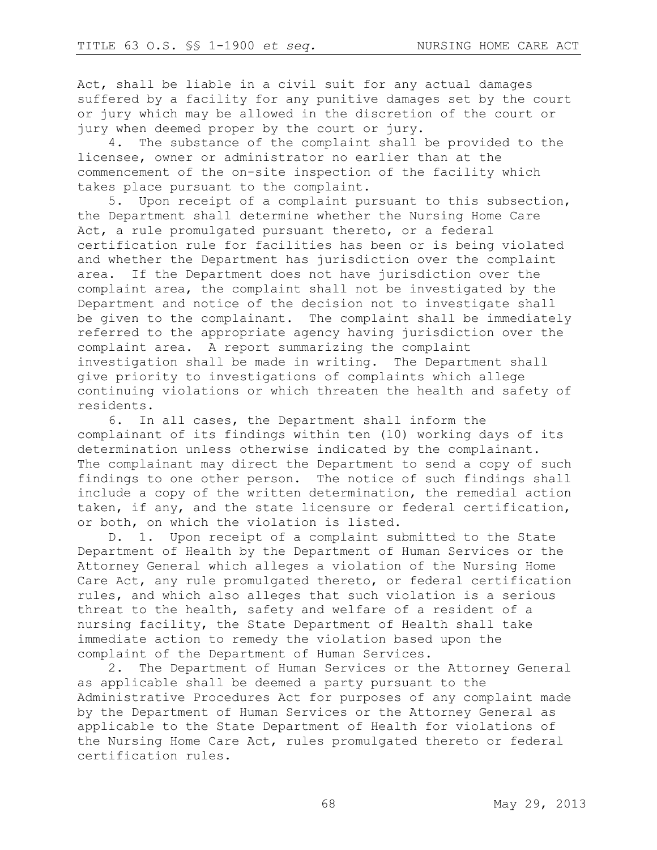Act, shall be liable in a civil suit for any actual damages suffered by a facility for any punitive damages set by the court or jury which may be allowed in the discretion of the court or jury when deemed proper by the court or jury.

4. The substance of the complaint shall be provided to the licensee, owner or administrator no earlier than at the commencement of the on-site inspection of the facility which takes place pursuant to the complaint.

5. Upon receipt of a complaint pursuant to this subsection, the Department shall determine whether the Nursing Home Care Act, a rule promulgated pursuant thereto, or a federal certification rule for facilities has been or is being violated and whether the Department has jurisdiction over the complaint area. If the Department does not have jurisdiction over the complaint area, the complaint shall not be investigated by the Department and notice of the decision not to investigate shall be given to the complainant. The complaint shall be immediately referred to the appropriate agency having jurisdiction over the complaint area. A report summarizing the complaint investigation shall be made in writing. The Department shall give priority to investigations of complaints which allege continuing violations or which threaten the health and safety of residents.

6. In all cases, the Department shall inform the complainant of its findings within ten (10) working days of its determination unless otherwise indicated by the complainant. The complainant may direct the Department to send a copy of such findings to one other person. The notice of such findings shall include a copy of the written determination, the remedial action taken, if any, and the state licensure or federal certification, or both, on which the violation is listed.

D. 1. Upon receipt of a complaint submitted to the State Department of Health by the Department of Human Services or the Attorney General which alleges a violation of the Nursing Home Care Act, any rule promulgated thereto, or federal certification rules, and which also alleges that such violation is a serious threat to the health, safety and welfare of a resident of a nursing facility, the State Department of Health shall take immediate action to remedy the violation based upon the complaint of the Department of Human Services.

2. The Department of Human Services or the Attorney General as applicable shall be deemed a party pursuant to the Administrative Procedures Act for purposes of any complaint made by the Department of Human Services or the Attorney General as applicable to the State Department of Health for violations of the Nursing Home Care Act, rules promulgated thereto or federal certification rules.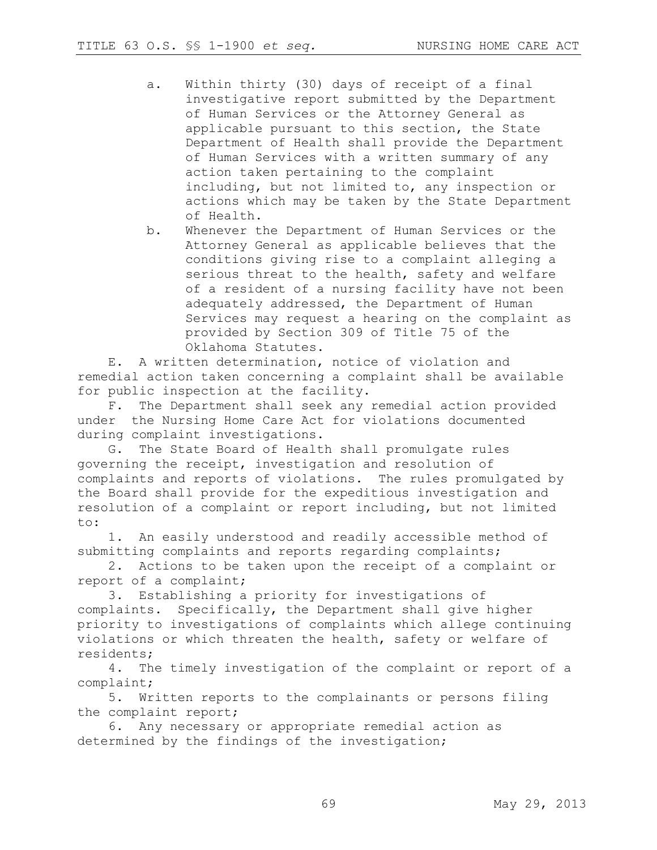- a. Within thirty (30) days of receipt of a final investigative report submitted by the Department of Human Services or the Attorney General as applicable pursuant to this section, the State Department of Health shall provide the Department of Human Services with a written summary of any action taken pertaining to the complaint including, but not limited to, any inspection or actions which may be taken by the State Department of Health.
- b. Whenever the Department of Human Services or the Attorney General as applicable believes that the conditions giving rise to a complaint alleging a serious threat to the health, safety and welfare of a resident of a nursing facility have not been adequately addressed, the Department of Human Services may request a hearing on the complaint as provided by Section 309 of Title 75 of the Oklahoma Statutes.

E. A written determination, notice of violation and remedial action taken concerning a complaint shall be available for public inspection at the facility.

F. The Department shall seek any remedial action provided under the Nursing Home Care Act for violations documented during complaint investigations.

G. The State Board of Health shall promulgate rules governing the receipt, investigation and resolution of complaints and reports of violations. The rules promulgated by the Board shall provide for the expeditious investigation and resolution of a complaint or report including, but not limited to:

1. An easily understood and readily accessible method of submitting complaints and reports regarding complaints;

2. Actions to be taken upon the receipt of a complaint or report of a complaint;

3. Establishing a priority for investigations of complaints. Specifically, the Department shall give higher priority to investigations of complaints which allege continuing violations or which threaten the health, safety or welfare of residents;

4. The timely investigation of the complaint or report of a complaint;

5. Written reports to the complainants or persons filing the complaint report;

6. Any necessary or appropriate remedial action as determined by the findings of the investigation;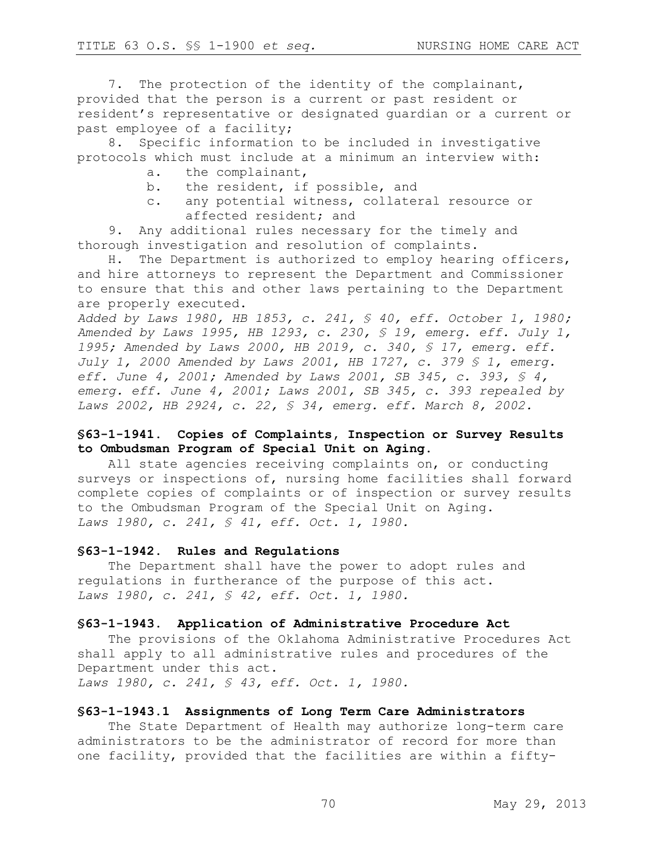7. The protection of the identity of the complainant, provided that the person is a current or past resident or resident's representative or designated guardian or a current or past employee of a facility;

8. Specific information to be included in investigative protocols which must include at a minimum an interview with:

- a. the complainant,
- b. the resident, if possible, and
- c. any potential witness, collateral resource or affected resident; and

9. Any additional rules necessary for the timely and thorough investigation and resolution of complaints.

H. The Department is authorized to employ hearing officers, and hire attorneys to represent the Department and Commissioner to ensure that this and other laws pertaining to the Department are properly executed.

*Added by Laws 1980, HB 1853, c. 241, § 40, eff. October 1, 1980; Amended by Laws 1995, HB 1293, c. 230, § 19, emerg. eff. July 1, 1995; Amended by Laws 2000, HB 2019, c. 340, § 17, emerg. eff. July 1, 2000 Amended by Laws 2001, HB 1727, c. 379 § 1, emerg. eff. June 4, 2001; Amended by Laws 2001, SB 345, c. 393, § 4, emerg. eff. June 4, 2001; Laws 2001, SB 345, c. 393 repealed by Laws 2002, HB 2924, c. 22, § 34, emerg. eff. March 8, 2002.*

### **§63-1-1941. Copies of Complaints, Inspection or Survey Results to Ombudsman Program of Special Unit on Aging.**

All state agencies receiving complaints on, or conducting surveys or inspections of, nursing home facilities shall forward complete copies of complaints or of inspection or survey results to the Ombudsman Program of the Special Unit on Aging. *Laws 1980, c. 241, § 41, eff. Oct. 1, 1980.* 

#### **§63-1-1942. Rules and Regulations**

The Department shall have the power to adopt rules and regulations in furtherance of the purpose of this act. *Laws 1980, c. 241, § 42, eff. Oct. 1, 1980.* 

#### **§63-1-1943. Application of Administrative Procedure Act**

The provisions of the Oklahoma Administrative Procedures Act shall apply to all administrative rules and procedures of the Department under this act. *Laws 1980, c. 241, § 43, eff. Oct. 1, 1980.* 

#### **§63-1-1943.1 Assignments of Long Term Care Administrators**

The State Department of Health may authorize long-term care administrators to be the administrator of record for more than one facility, provided that the facilities are within a fifty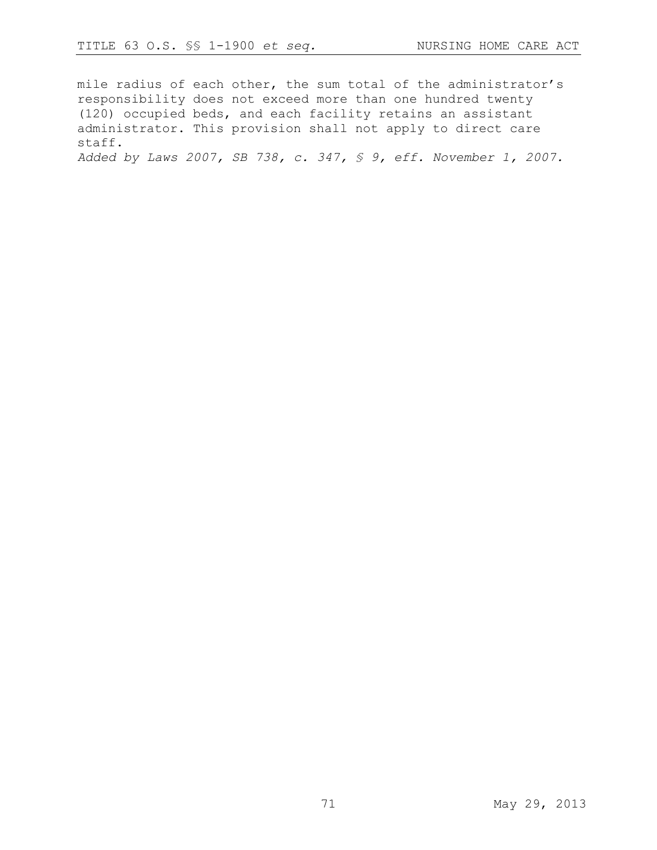mile radius of each other, the sum total of the administrator's responsibility does not exceed more than one hundred twenty (120) occupied beds, and each facility retains an assistant administrator. This provision shall not apply to direct care staff.

*Added by Laws 2007, SB 738, c. 347, § 9, eff. November 1, 2007.*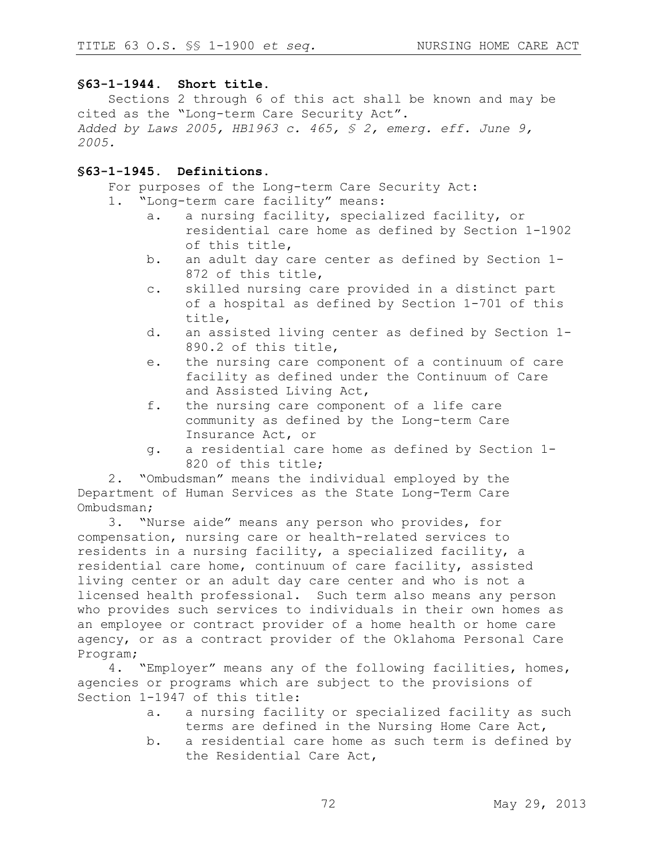### **§63-1-1944. Short title.**

Sections 2 through 6 of this act shall be known and may be cited as the "Long-term Care Security Act". *Added by Laws 2005, HB1963 c. 465, § 2, emerg. eff. June 9, 2005.*

### **§63-1-1945. Definitions.**

For purposes of the Long-term Care Security Act:

- 1. "Long-term care facility" means:
	- a. a nursing facility, specialized facility, or residential care home as defined by Section 1-1902 of this title,
	- b. an adult day care center as defined by Section 1- 872 of this title,
	- c. skilled nursing care provided in a distinct part of a hospital as defined by Section 1-701 of this title,
	- d. an assisted living center as defined by Section 1- 890.2 of this title,
	- e. the nursing care component of a continuum of care facility as defined under the Continuum of Care and Assisted Living Act,
	- f. the nursing care component of a life care community as defined by the Long-term Care Insurance Act, or
	- g. a residential care home as defined by Section 1- 820 of this title;

2. "Ombudsman" means the individual employed by the Department of Human Services as the State Long-Term Care Ombudsman;

3. "Nurse aide" means any person who provides, for compensation, nursing care or health-related services to residents in a nursing facility, a specialized facility, a residential care home, continuum of care facility, assisted living center or an adult day care center and who is not a licensed health professional. Such term also means any person who provides such services to individuals in their own homes as an employee or contract provider of a home health or home care agency, or as a contract provider of the Oklahoma Personal Care Program;

4. "Employer" means any of the following facilities, homes, agencies or programs which are subject to the provisions of Section 1-1947 of this title:

- a. a nursing facility or specialized facility as such terms are defined in the Nursing Home Care Act,
- b. a residential care home as such term is defined by the Residential Care Act,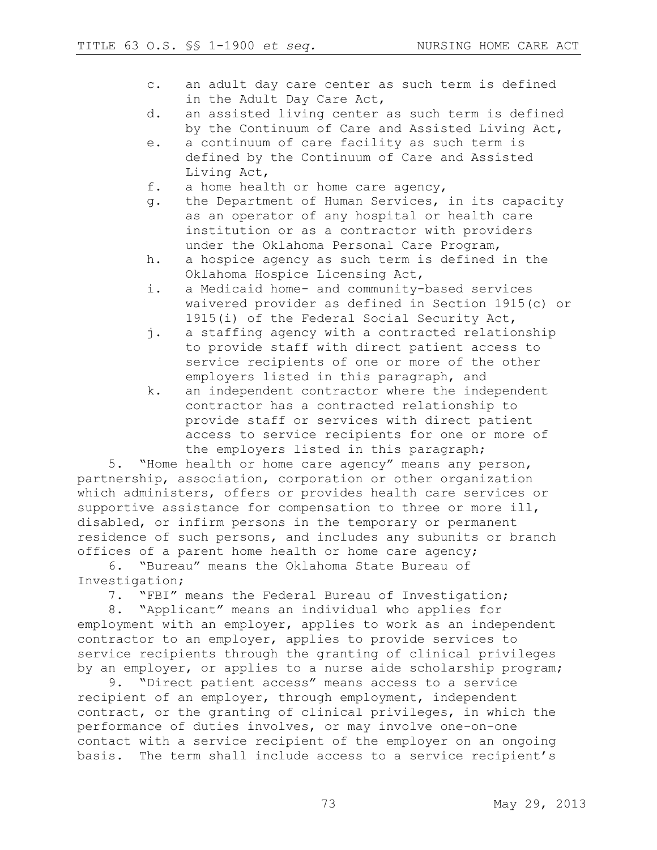- c. an adult day care center as such term is defined in the Adult Day Care Act,
- d. an assisted living center as such term is defined by the Continuum of Care and Assisted Living Act,
- e. a continuum of care facility as such term is defined by the Continuum of Care and Assisted Living Act,
- f. a home health or home care agency,
- g. the Department of Human Services, in its capacity as an operator of any hospital or health care institution or as a contractor with providers under the Oklahoma Personal Care Program,
- h. a hospice agency as such term is defined in the Oklahoma Hospice Licensing Act,
- i. a Medicaid home- and community-based services waivered provider as defined in Section 1915(c) or 1915(i) of the Federal Social Security Act,
- j. a staffing agency with a contracted relationship to provide staff with direct patient access to service recipients of one or more of the other employers listed in this paragraph, and
- k. an independent contractor where the independent contractor has a contracted relationship to provide staff or services with direct patient access to service recipients for one or more of the employers listed in this paragraph;

5. "Home health or home care agency" means any person, partnership, association, corporation or other organization which administers, offers or provides health care services or supportive assistance for compensation to three or more ill, disabled, or infirm persons in the temporary or permanent residence of such persons, and includes any subunits or branch offices of a parent home health or home care agency;

6. "Bureau" means the Oklahoma State Bureau of Investigation;

7. "FBI" means the Federal Bureau of Investigation;

8. "Applicant" means an individual who applies for employment with an employer, applies to work as an independent contractor to an employer, applies to provide services to service recipients through the granting of clinical privileges by an employer, or applies to a nurse aide scholarship program;

9. "Direct patient access" means access to a service recipient of an employer, through employment, independent contract, or the granting of clinical privileges, in which the performance of duties involves, or may involve one-on-one contact with a service recipient of the employer on an ongoing basis. The term shall include access to a service recipient's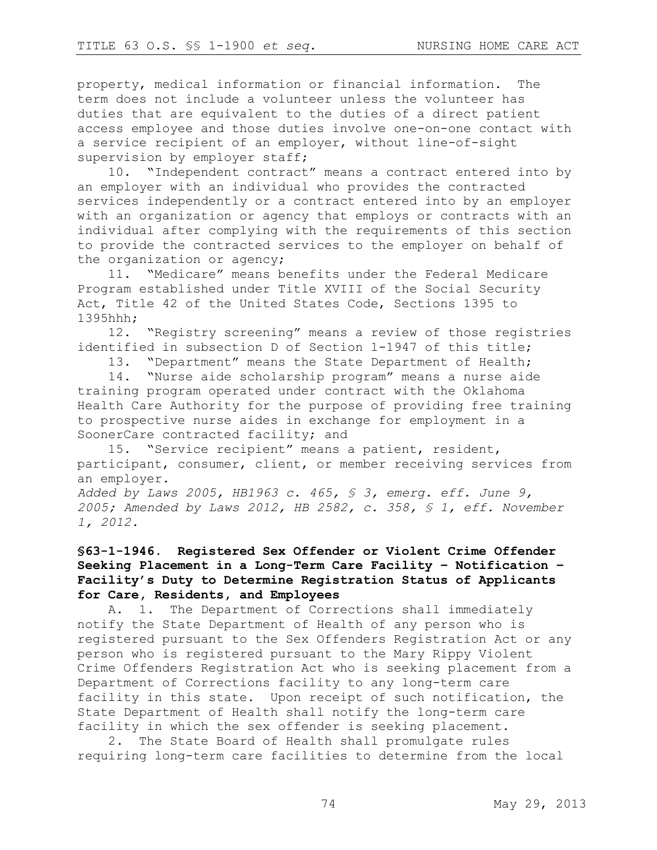property, medical information or financial information. The term does not include a volunteer unless the volunteer has duties that are equivalent to the duties of a direct patient access employee and those duties involve one-on-one contact with a service recipient of an employer, without line-of-sight supervision by employer staff;

10. "Independent contract" means a contract entered into by an employer with an individual who provides the contracted services independently or a contract entered into by an employer with an organization or agency that employs or contracts with an individual after complying with the requirements of this section to provide the contracted services to the employer on behalf of the organization or agency;

11. "Medicare" means benefits under the Federal Medicare Program established under Title XVIII of the Social Security Act, Title 42 of the United States Code, Sections 1395 to 1395hhh;

12. "Registry screening" means a review of those registries identified in subsection D of Section 1-1947 of this title;

13. "Department" means the State Department of Health;

14. "Nurse aide scholarship program" means a nurse aide training program operated under contract with the Oklahoma Health Care Authority for the purpose of providing free training to prospective nurse aides in exchange for employment in a SoonerCare contracted facility; and

15. "Service recipient" means a patient, resident, participant, consumer, client, or member receiving services from an employer.

*Added by Laws 2005, HB1963 c. 465, § 3, emerg. eff. June 9, 2005; Amended by Laws 2012, HB 2582, c. 358, § 1, eff. November 1, 2012.*

# **§63-1-1946. Registered Sex Offender or Violent Crime Offender Seeking Placement in a Long-Term Care Facility – Notification – Facility's Duty to Determine Registration Status of Applicants for Care, Residents, and Employees**

A. 1. The Department of Corrections shall immediately notify the State Department of Health of any person who is registered pursuant to the Sex Offenders Registration Act or any person who is registered pursuant to the Mary Rippy Violent Crime Offenders Registration Act who is seeking placement from a Department of Corrections facility to any long-term care facility in this state. Upon receipt of such notification, the State Department of Health shall notify the long-term care facility in which the sex offender is seeking placement.

2. The State Board of Health shall promulgate rules requiring long-term care facilities to determine from the local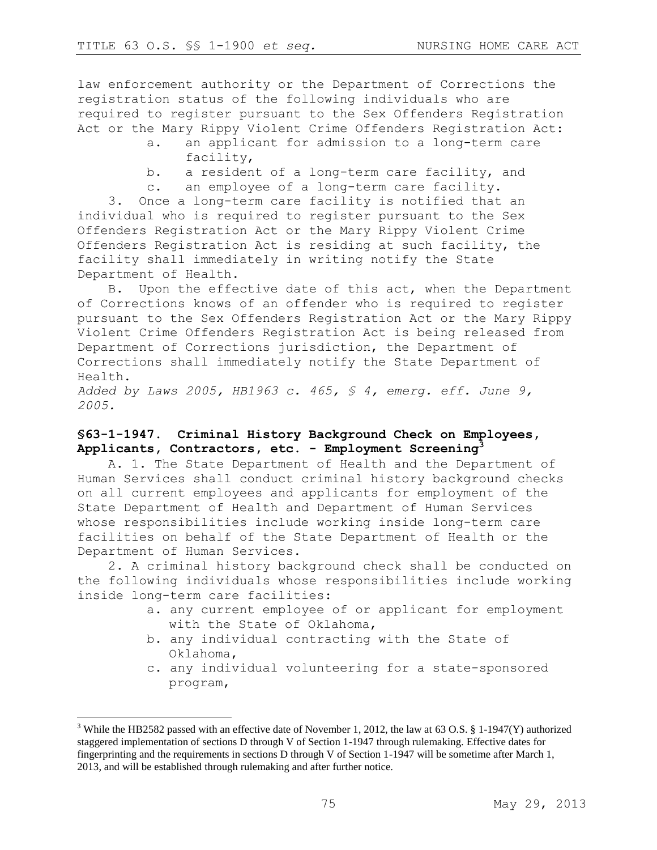$\overline{a}$ 

law enforcement authority or the Department of Corrections the registration status of the following individuals who are required to register pursuant to the Sex Offenders Registration Act or the Mary Rippy Violent Crime Offenders Registration Act:

- a. an applicant for admission to a long-term care facility,
- b. a resident of a long-term care facility, and
- c. an employee of a long-term care facility.

3. Once a long-term care facility is notified that an individual who is required to register pursuant to the Sex Offenders Registration Act or the Mary Rippy Violent Crime Offenders Registration Act is residing at such facility, the facility shall immediately in writing notify the State Department of Health.

B. Upon the effective date of this act, when the Department of Corrections knows of an offender who is required to register pursuant to the Sex Offenders Registration Act or the Mary Rippy Violent Crime Offenders Registration Act is being released from Department of Corrections jurisdiction, the Department of Corrections shall immediately notify the State Department of Health.

*Added by Laws 2005, HB1963 c. 465, § 4, emerg. eff. June 9, 2005.*

## **§63-1-1947. Criminal History Background Check on Employees, Applicants, Contractors, etc. - Employment Screening<sup>3</sup>**

A. 1. The State Department of Health and the Department of Human Services shall conduct criminal history background checks on all current employees and applicants for employment of the State Department of Health and Department of Human Services whose responsibilities include working inside long-term care facilities on behalf of the State Department of Health or the Department of Human Services.

2. A criminal history background check shall be conducted on the following individuals whose responsibilities include working inside long-term care facilities:

- a. any current employee of or applicant for employment with the State of Oklahoma,
- b. any individual contracting with the State of Oklahoma,
- c. any individual volunteering for a state-sponsored program,

<sup>&</sup>lt;sup>3</sup> While the HB2582 passed with an effective date of November 1, 2012, the law at 63 O.S. § 1-1947(Y) authorized staggered implementation of sections D through V of Section 1-1947 through rulemaking. Effective dates for fingerprinting and the requirements in sections D through V of Section 1-1947 will be sometime after March 1, 2013, and will be established through rulemaking and after further notice.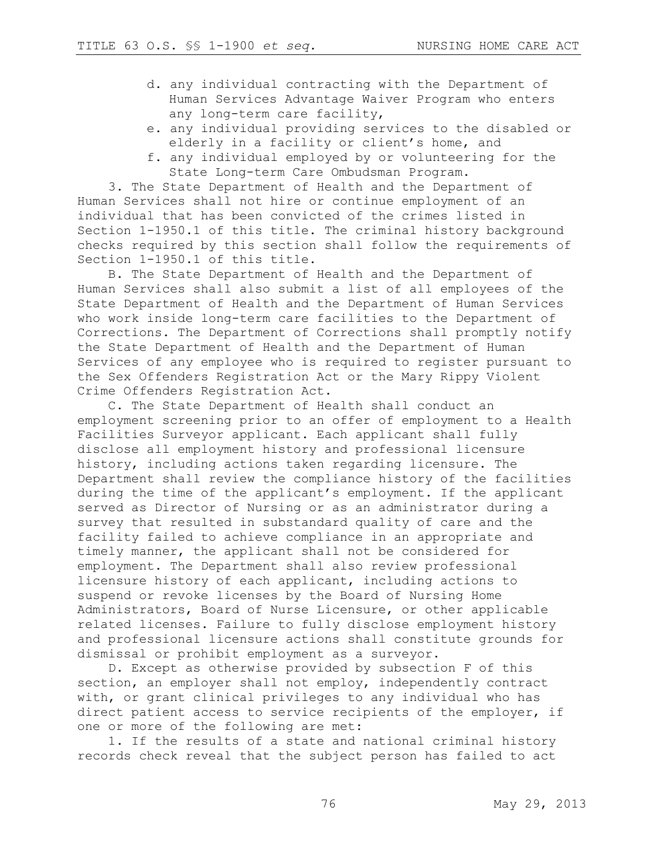- d. any individual contracting with the Department of Human Services Advantage Waiver Program who enters any long-term care facility,
- e. any individual providing services to the disabled or elderly in a facility or client's home, and
- f. any individual employed by or volunteering for the State Long-term Care Ombudsman Program.

3. The State Department of Health and the Department of Human Services shall not hire or continue employment of an individual that has been convicted of the crimes listed in Section 1-1950.1 of this title. The criminal history background checks required by this section shall follow the requirements of Section 1-1950.1 of this title.

B. The State Department of Health and the Department of Human Services shall also submit a list of all employees of the State Department of Health and the Department of Human Services who work inside long-term care facilities to the Department of Corrections. The Department of Corrections shall promptly notify the State Department of Health and the Department of Human Services of any employee who is required to register pursuant to the Sex Offenders Registration Act or the Mary Rippy Violent Crime Offenders Registration Act.

C. The State Department of Health shall conduct an employment screening prior to an offer of employment to a Health Facilities Surveyor applicant. Each applicant shall fully disclose all employment history and professional licensure history, including actions taken regarding licensure. The Department shall review the compliance history of the facilities during the time of the applicant's employment. If the applicant served as Director of Nursing or as an administrator during a survey that resulted in substandard quality of care and the facility failed to achieve compliance in an appropriate and timely manner, the applicant shall not be considered for employment. The Department shall also review professional licensure history of each applicant, including actions to suspend or revoke licenses by the Board of Nursing Home Administrators, Board of Nurse Licensure, or other applicable related licenses. Failure to fully disclose employment history and professional licensure actions shall constitute grounds for dismissal or prohibit employment as a surveyor.

D. Except as otherwise provided by subsection F of this section, an employer shall not employ, independently contract with, or grant clinical privileges to any individual who has direct patient access to service recipients of the employer, if one or more of the following are met:

1. If the results of a state and national criminal history records check reveal that the subject person has failed to act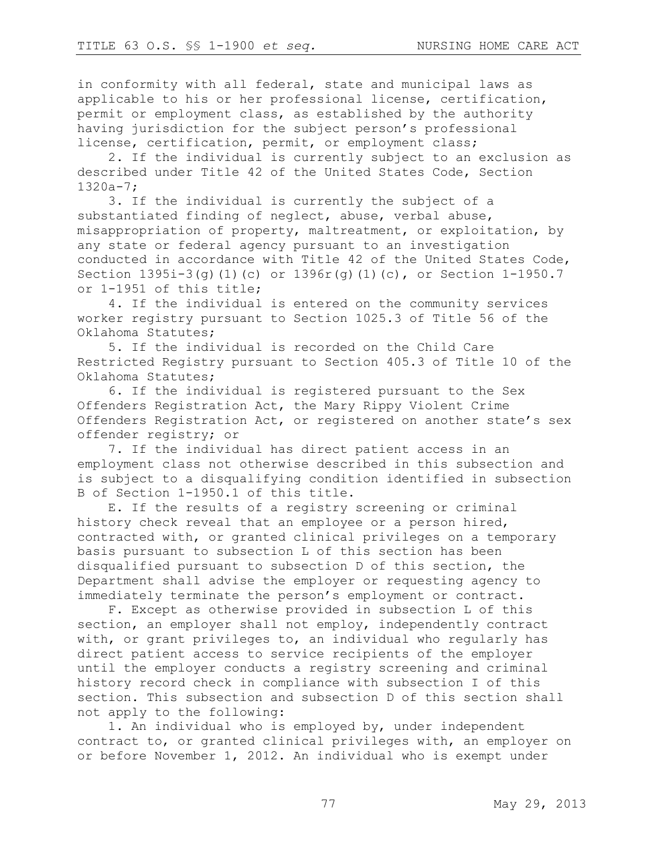in conformity with all federal, state and municipal laws as applicable to his or her professional license, certification, permit or employment class, as established by the authority having jurisdiction for the subject person's professional license, certification, permit, or employment class;

2. If the individual is currently subject to an exclusion as described under Title 42 of the United States Code, Section 1320a-7;

3. If the individual is currently the subject of a substantiated finding of neglect, abuse, verbal abuse, misappropriation of property, maltreatment, or exploitation, by any state or federal agency pursuant to an investigation conducted in accordance with Title 42 of the United States Code, Section 1395i-3(g)(1)(c) or 1396r(g)(1)(c), or Section 1-1950.7 or 1-1951 of this title;

4. If the individual is entered on the community services worker registry pursuant to Section 1025.3 of Title 56 of the Oklahoma Statutes;

5. If the individual is recorded on the Child Care Restricted Registry pursuant to Section 405.3 of Title 10 of the Oklahoma Statutes;

6. If the individual is registered pursuant to the Sex Offenders Registration Act, the Mary Rippy Violent Crime Offenders Registration Act, or registered on another state's sex offender registry; or

7. If the individual has direct patient access in an employment class not otherwise described in this subsection and is subject to a disqualifying condition identified in subsection B of Section 1-1950.1 of this title.

E. If the results of a registry screening or criminal history check reveal that an employee or a person hired, contracted with, or granted clinical privileges on a temporary basis pursuant to subsection L of this section has been disqualified pursuant to subsection D of this section, the Department shall advise the employer or requesting agency to immediately terminate the person's employment or contract.

F. Except as otherwise provided in subsection L of this section, an employer shall not employ, independently contract with, or grant privileges to, an individual who regularly has direct patient access to service recipients of the employer until the employer conducts a registry screening and criminal history record check in compliance with subsection I of this section. This subsection and subsection D of this section shall not apply to the following:

1. An individual who is employed by, under independent contract to, or granted clinical privileges with, an employer on or before November 1, 2012. An individual who is exempt under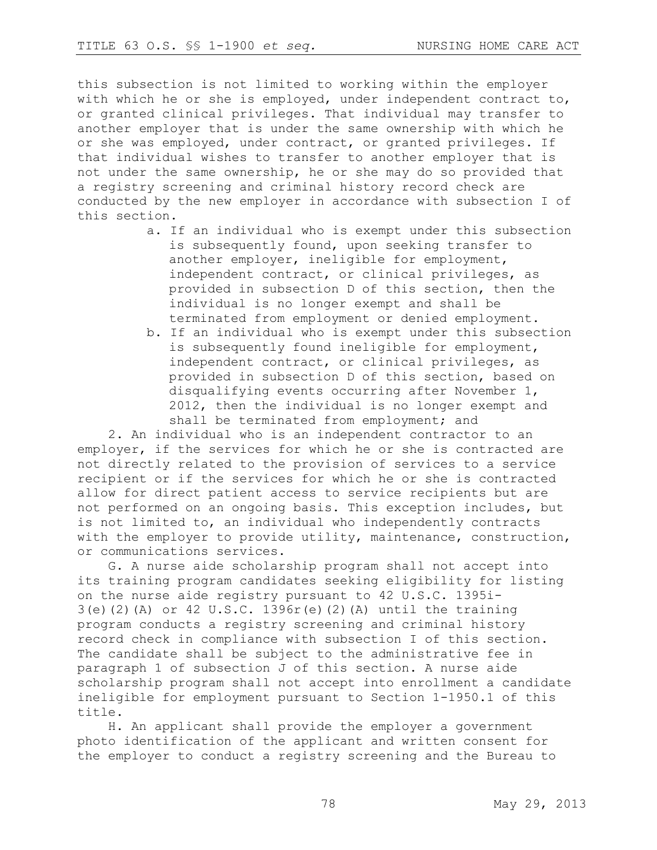this subsection is not limited to working within the employer with which he or she is employed, under independent contract to, or granted clinical privileges. That individual may transfer to another employer that is under the same ownership with which he or she was employed, under contract, or granted privileges. If that individual wishes to transfer to another employer that is not under the same ownership, he or she may do so provided that a registry screening and criminal history record check are conducted by the new employer in accordance with subsection I of this section.

- a. If an individual who is exempt under this subsection is subsequently found, upon seeking transfer to another employer, ineligible for employment, independent contract, or clinical privileges, as provided in subsection D of this section, then the individual is no longer exempt and shall be terminated from employment or denied employment.
- b. If an individual who is exempt under this subsection is subsequently found ineligible for employment, independent contract, or clinical privileges, as provided in subsection D of this section, based on disqualifying events occurring after November 1, 2012, then the individual is no longer exempt and shall be terminated from employment; and

2. An individual who is an independent contractor to an employer, if the services for which he or she is contracted are not directly related to the provision of services to a service recipient or if the services for which he or she is contracted allow for direct patient access to service recipients but are not performed on an ongoing basis. This exception includes, but is not limited to, an individual who independently contracts with the employer to provide utility, maintenance, construction, or communications services.

G. A nurse aide scholarship program shall not accept into its training program candidates seeking eligibility for listing on the nurse aide registry pursuant to 42 U.S.C. 1395i-3(e)(2)(A) or 42 U.S.C. 1396r(e)(2)(A) until the training program conducts a registry screening and criminal history record check in compliance with subsection I of this section. The candidate shall be subject to the administrative fee in paragraph 1 of subsection J of this section. A nurse aide scholarship program shall not accept into enrollment a candidate ineligible for employment pursuant to Section 1-1950.1 of this title.

H. An applicant shall provide the employer a government photo identification of the applicant and written consent for the employer to conduct a registry screening and the Bureau to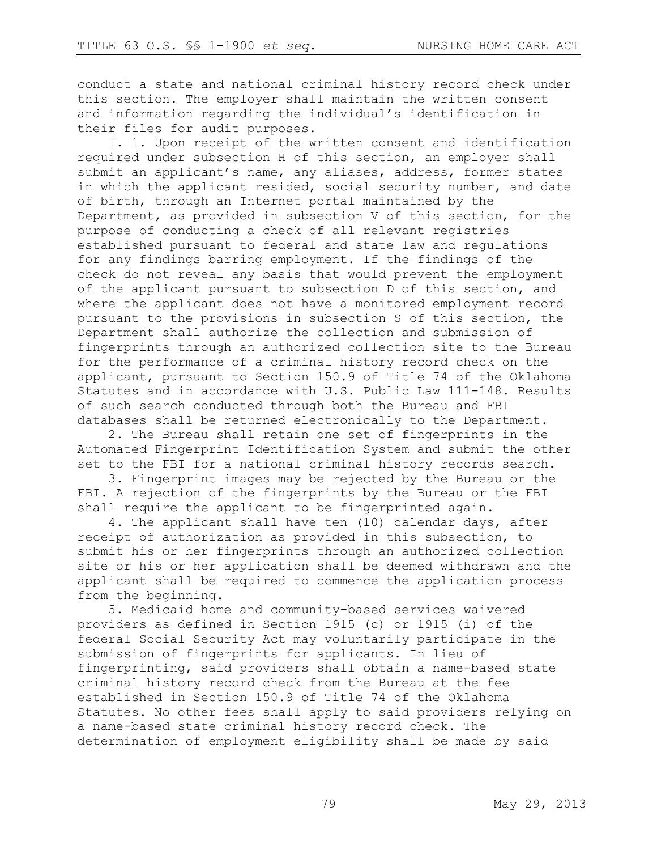conduct a state and national criminal history record check under this section. The employer shall maintain the written consent and information regarding the individual's identification in their files for audit purposes.

I. 1. Upon receipt of the written consent and identification required under subsection H of this section, an employer shall submit an applicant's name, any aliases, address, former states in which the applicant resided, social security number, and date of birth, through an Internet portal maintained by the Department, as provided in subsection V of this section, for the purpose of conducting a check of all relevant registries established pursuant to federal and state law and regulations for any findings barring employment. If the findings of the check do not reveal any basis that would prevent the employment of the applicant pursuant to subsection D of this section, and where the applicant does not have a monitored employment record pursuant to the provisions in subsection S of this section, the Department shall authorize the collection and submission of fingerprints through an authorized collection site to the Bureau for the performance of a criminal history record check on the applicant, pursuant to Section 150.9 of Title 74 of the Oklahoma Statutes and in accordance with U.S. Public Law 111-148. Results of such search conducted through both the Bureau and FBI databases shall be returned electronically to the Department.

2. The Bureau shall retain one set of fingerprints in the Automated Fingerprint Identification System and submit the other set to the FBI for a national criminal history records search.

3. Fingerprint images may be rejected by the Bureau or the FBI. A rejection of the fingerprints by the Bureau or the FBI shall require the applicant to be fingerprinted again.

4. The applicant shall have ten (10) calendar days, after receipt of authorization as provided in this subsection, to submit his or her fingerprints through an authorized collection site or his or her application shall be deemed withdrawn and the applicant shall be required to commence the application process from the beginning.

5. Medicaid home and community-based services waivered providers as defined in Section 1915 (c) or 1915 (i) of the federal Social Security Act may voluntarily participate in the submission of fingerprints for applicants. In lieu of fingerprinting, said providers shall obtain a name-based state criminal history record check from the Bureau at the fee established in Section 150.9 of Title 74 of the Oklahoma Statutes. No other fees shall apply to said providers relying on a name-based state criminal history record check. The determination of employment eligibility shall be made by said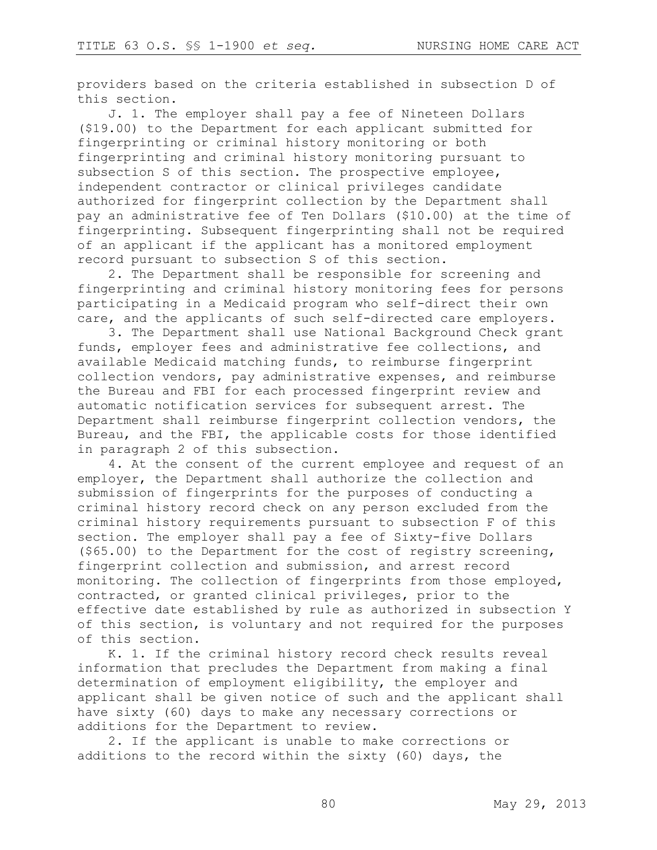providers based on the criteria established in subsection D of this section.

J. 1. The employer shall pay a fee of Nineteen Dollars (\$19.00) to the Department for each applicant submitted for fingerprinting or criminal history monitoring or both fingerprinting and criminal history monitoring pursuant to subsection S of this section. The prospective employee, independent contractor or clinical privileges candidate authorized for fingerprint collection by the Department shall pay an administrative fee of Ten Dollars (\$10.00) at the time of fingerprinting. Subsequent fingerprinting shall not be required of an applicant if the applicant has a monitored employment record pursuant to subsection S of this section.

2. The Department shall be responsible for screening and fingerprinting and criminal history monitoring fees for persons participating in a Medicaid program who self-direct their own care, and the applicants of such self-directed care employers.

3. The Department shall use National Background Check grant funds, employer fees and administrative fee collections, and available Medicaid matching funds, to reimburse fingerprint collection vendors, pay administrative expenses, and reimburse the Bureau and FBI for each processed fingerprint review and automatic notification services for subsequent arrest. The Department shall reimburse fingerprint collection vendors, the Bureau, and the FBI, the applicable costs for those identified in paragraph 2 of this subsection.

4. At the consent of the current employee and request of an employer, the Department shall authorize the collection and submission of fingerprints for the purposes of conducting a criminal history record check on any person excluded from the criminal history requirements pursuant to subsection F of this section. The employer shall pay a fee of Sixty-five Dollars (\$65.00) to the Department for the cost of registry screening, fingerprint collection and submission, and arrest record monitoring. The collection of fingerprints from those employed, contracted, or granted clinical privileges, prior to the effective date established by rule as authorized in subsection Y of this section, is voluntary and not required for the purposes of this section.

K. 1. If the criminal history record check results reveal information that precludes the Department from making a final determination of employment eligibility, the employer and applicant shall be given notice of such and the applicant shall have sixty (60) days to make any necessary corrections or additions for the Department to review.

2. If the applicant is unable to make corrections or additions to the record within the sixty (60) days, the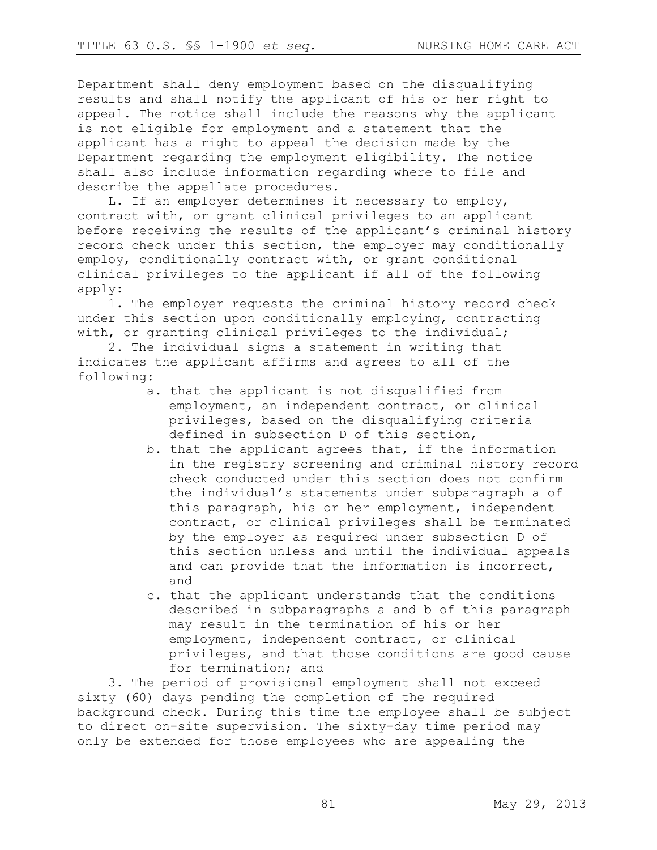Department shall deny employment based on the disqualifying results and shall notify the applicant of his or her right to appeal. The notice shall include the reasons why the applicant is not eligible for employment and a statement that the applicant has a right to appeal the decision made by the Department regarding the employment eligibility. The notice shall also include information regarding where to file and describe the appellate procedures.

L. If an employer determines it necessary to employ, contract with, or grant clinical privileges to an applicant before receiving the results of the applicant's criminal history record check under this section, the employer may conditionally employ, conditionally contract with, or grant conditional clinical privileges to the applicant if all of the following apply:

1. The employer requests the criminal history record check under this section upon conditionally employing, contracting with, or granting clinical privileges to the individual;

2. The individual signs a statement in writing that indicates the applicant affirms and agrees to all of the following:

- a. that the applicant is not disqualified from employment, an independent contract, or clinical privileges, based on the disqualifying criteria defined in subsection D of this section,
- b. that the applicant agrees that, if the information in the registry screening and criminal history record check conducted under this section does not confirm the individual's statements under subparagraph a of this paragraph, his or her employment, independent contract, or clinical privileges shall be terminated by the employer as required under subsection D of this section unless and until the individual appeals and can provide that the information is incorrect, and
- c. that the applicant understands that the conditions described in subparagraphs a and b of this paragraph may result in the termination of his or her employment, independent contract, or clinical privileges, and that those conditions are good cause for termination; and

3. The period of provisional employment shall not exceed sixty (60) days pending the completion of the required background check. During this time the employee shall be subject to direct on-site supervision. The sixty-day time period may only be extended for those employees who are appealing the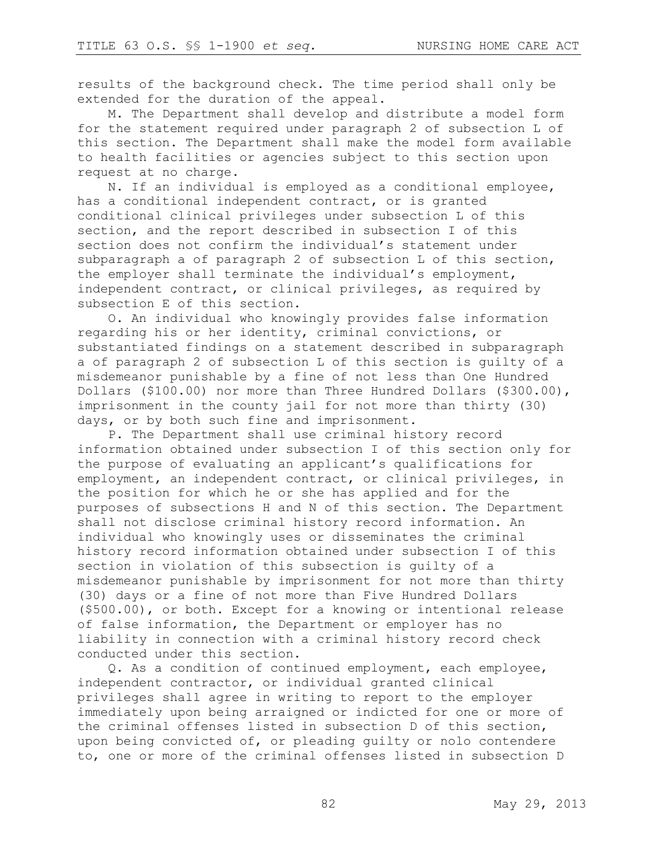results of the background check. The time period shall only be extended for the duration of the appeal.

M. The Department shall develop and distribute a model form for the statement required under paragraph 2 of subsection L of this section. The Department shall make the model form available to health facilities or agencies subject to this section upon request at no charge.

N. If an individual is employed as a conditional employee, has a conditional independent contract, or is granted conditional clinical privileges under subsection L of this section, and the report described in subsection I of this section does not confirm the individual's statement under subparagraph a of paragraph 2 of subsection L of this section, the employer shall terminate the individual's employment, independent contract, or clinical privileges, as required by subsection E of this section.

O. An individual who knowingly provides false information regarding his or her identity, criminal convictions, or substantiated findings on a statement described in subparagraph a of paragraph 2 of subsection L of this section is guilty of a misdemeanor punishable by a fine of not less than One Hundred Dollars (\$100.00) nor more than Three Hundred Dollars (\$300.00), imprisonment in the county jail for not more than thirty (30) days, or by both such fine and imprisonment.

P. The Department shall use criminal history record information obtained under subsection I of this section only for the purpose of evaluating an applicant's qualifications for employment, an independent contract, or clinical privileges, in the position for which he or she has applied and for the purposes of subsections H and N of this section. The Department shall not disclose criminal history record information. An individual who knowingly uses or disseminates the criminal history record information obtained under subsection I of this section in violation of this subsection is guilty of a misdemeanor punishable by imprisonment for not more than thirty (30) days or a fine of not more than Five Hundred Dollars (\$500.00), or both. Except for a knowing or intentional release of false information, the Department or employer has no liability in connection with a criminal history record check conducted under this section.

Q. As a condition of continued employment, each employee, independent contractor, or individual granted clinical privileges shall agree in writing to report to the employer immediately upon being arraigned or indicted for one or more of the criminal offenses listed in subsection D of this section, upon being convicted of, or pleading guilty or nolo contendere to, one or more of the criminal offenses listed in subsection D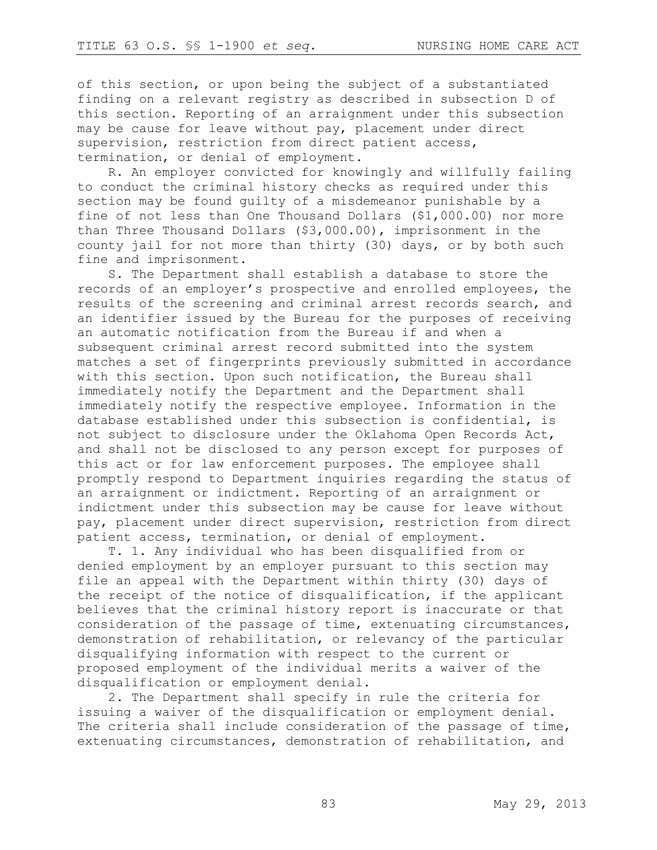of this section, or upon being the subject of a substantiated finding on a relevant registry as described in subsection D of this section. Reporting of an arraignment under this subsection may be cause for leave without pay, placement under direct supervision, restriction from direct patient access, termination, or denial of employment.

R. An employer convicted for knowingly and willfully failing to conduct the criminal history checks as required under this section may be found guilty of a misdemeanor punishable by a fine of not less than One Thousand Dollars (\$1,000.00) nor more than Three Thousand Dollars (\$3,000.00), imprisonment in the county jail for not more than thirty (30) days, or by both such fine and imprisonment.

S. The Department shall establish a database to store the records of an employer's prospective and enrolled employees, the results of the screening and criminal arrest records search, and an identifier issued by the Bureau for the purposes of receiving an automatic notification from the Bureau if and when a subsequent criminal arrest record submitted into the system matches a set of fingerprints previously submitted in accordance with this section. Upon such notification, the Bureau shall immediately notify the Department and the Department shall immediately notify the respective employee. Information in the database established under this subsection is confidential, is not subject to disclosure under the Oklahoma Open Records Act, and shall not be disclosed to any person except for purposes of this act or for law enforcement purposes. The employee shall promptly respond to Department inquiries regarding the status of an arraignment or indictment. Reporting of an arraignment or indictment under this subsection may be cause for leave without pay, placement under direct supervision, restriction from direct patient access, termination, or denial of employment.

T. 1. Any individual who has been disqualified from or denied employment by an employer pursuant to this section may file an appeal with the Department within thirty (30) days of the receipt of the notice of disqualification, if the applicant believes that the criminal history report is inaccurate or that consideration of the passage of time, extenuating circumstances, demonstration of rehabilitation, or relevancy of the particular disqualifying information with respect to the current or proposed employment of the individual merits a waiver of the disqualification or employment denial.

2. The Department shall specify in rule the criteria for issuing a waiver of the disqualification or employment denial. The criteria shall include consideration of the passage of time, extenuating circumstances, demonstration of rehabilitation, and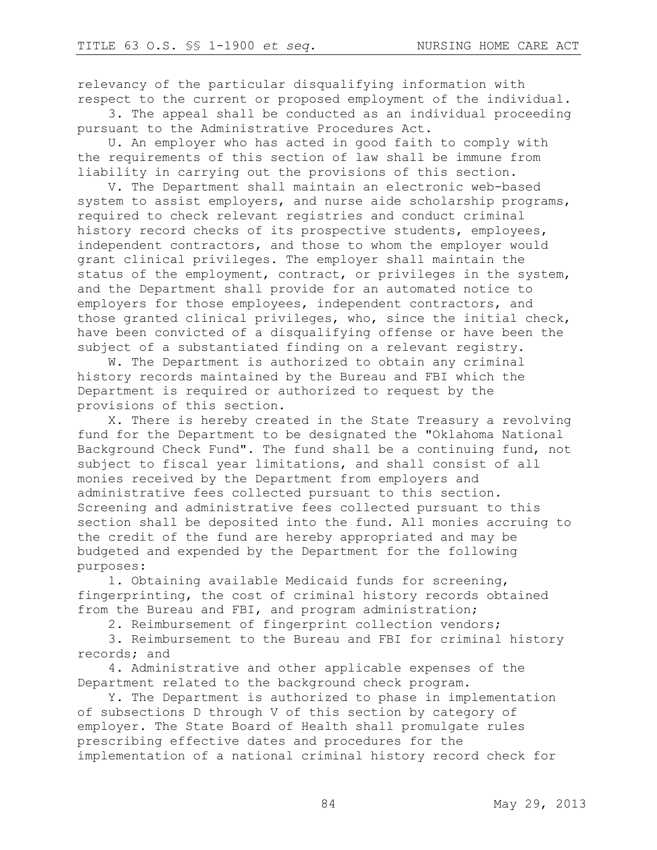relevancy of the particular disqualifying information with respect to the current or proposed employment of the individual.

3. The appeal shall be conducted as an individual proceeding pursuant to the Administrative Procedures Act.

U. An employer who has acted in good faith to comply with the requirements of this section of law shall be immune from liability in carrying out the provisions of this section.

V. The Department shall maintain an electronic web-based system to assist employers, and nurse aide scholarship programs, required to check relevant registries and conduct criminal history record checks of its prospective students, employees, independent contractors, and those to whom the employer would grant clinical privileges. The employer shall maintain the status of the employment, contract, or privileges in the system, and the Department shall provide for an automated notice to employers for those employees, independent contractors, and those granted clinical privileges, who, since the initial check, have been convicted of a disqualifying offense or have been the subject of a substantiated finding on a relevant registry.

W. The Department is authorized to obtain any criminal history records maintained by the Bureau and FBI which the Department is required or authorized to request by the provisions of this section.

X. There is hereby created in the State Treasury a revolving fund for the Department to be designated the "Oklahoma National Background Check Fund". The fund shall be a continuing fund, not subject to fiscal year limitations, and shall consist of all monies received by the Department from employers and administrative fees collected pursuant to this section. Screening and administrative fees collected pursuant to this section shall be deposited into the fund. All monies accruing to the credit of the fund are hereby appropriated and may be budgeted and expended by the Department for the following purposes:

1. Obtaining available Medicaid funds for screening, fingerprinting, the cost of criminal history records obtained from the Bureau and FBI, and program administration;

2. Reimbursement of fingerprint collection vendors;

3. Reimbursement to the Bureau and FBI for criminal history records; and

4. Administrative and other applicable expenses of the Department related to the background check program.

Y. The Department is authorized to phase in implementation of subsections D through V of this section by category of employer. The State Board of Health shall promulgate rules prescribing effective dates and procedures for the implementation of a national criminal history record check for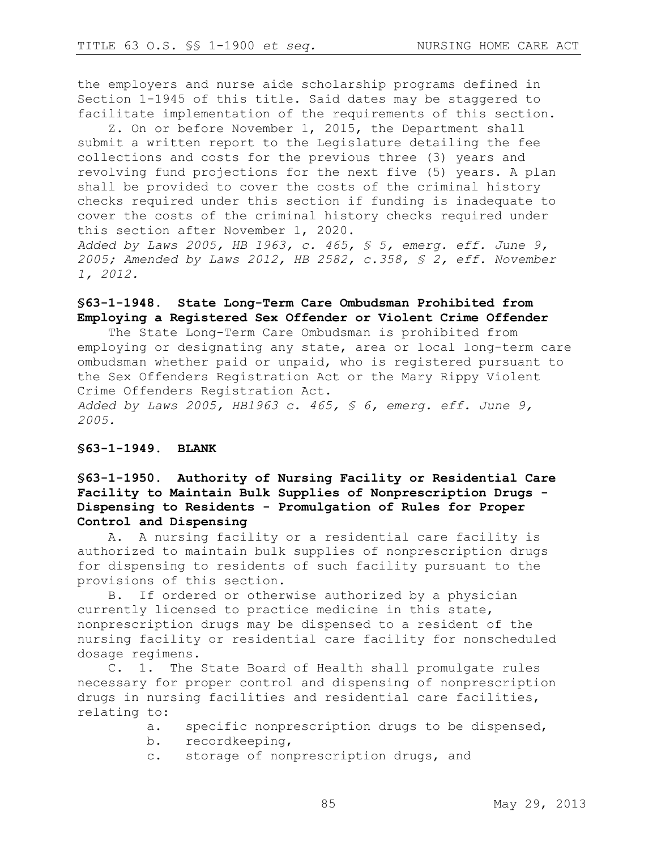the employers and nurse aide scholarship programs defined in Section 1-1945 of this title. Said dates may be staggered to facilitate implementation of the requirements of this section.

Z. On or before November 1, 2015, the Department shall submit a written report to the Legislature detailing the fee collections and costs for the previous three (3) years and revolving fund projections for the next five (5) years. A plan shall be provided to cover the costs of the criminal history checks required under this section if funding is inadequate to cover the costs of the criminal history checks required under this section after November 1, 2020.

*Added by Laws 2005, HB 1963, c. 465, § 5, emerg. eff. June 9, 2005; Amended by Laws 2012, HB 2582, c.358, § 2, eff. November 1, 2012.*

# **§63-1-1948. State Long-Term Care Ombudsman Prohibited from Employing a Registered Sex Offender or Violent Crime Offender**

The State Long-Term Care Ombudsman is prohibited from employing or designating any state, area or local long-term care ombudsman whether paid or unpaid, who is registered pursuant to the Sex Offenders Registration Act or the Mary Rippy Violent Crime Offenders Registration Act.

*Added by Laws 2005, HB1963 c. 465, § 6, emerg. eff. June 9, 2005.*

## **§63-1-1949. BLANK**

# **§63-1-1950. Authority of Nursing Facility or Residential Care Facility to Maintain Bulk Supplies of Nonprescription Drugs - Dispensing to Residents - Promulgation of Rules for Proper Control and Dispensing**

A. A nursing facility or a residential care facility is authorized to maintain bulk supplies of nonprescription drugs for dispensing to residents of such facility pursuant to the provisions of this section.

B. If ordered or otherwise authorized by a physician currently licensed to practice medicine in this state, nonprescription drugs may be dispensed to a resident of the nursing facility or residential care facility for nonscheduled dosage regimens.

C. 1. The State Board of Health shall promulgate rules necessary for proper control and dispensing of nonprescription drugs in nursing facilities and residential care facilities, relating to:

- a. specific nonprescription drugs to be dispensed,
- b. recordkeeping,
- c. storage of nonprescription drugs, and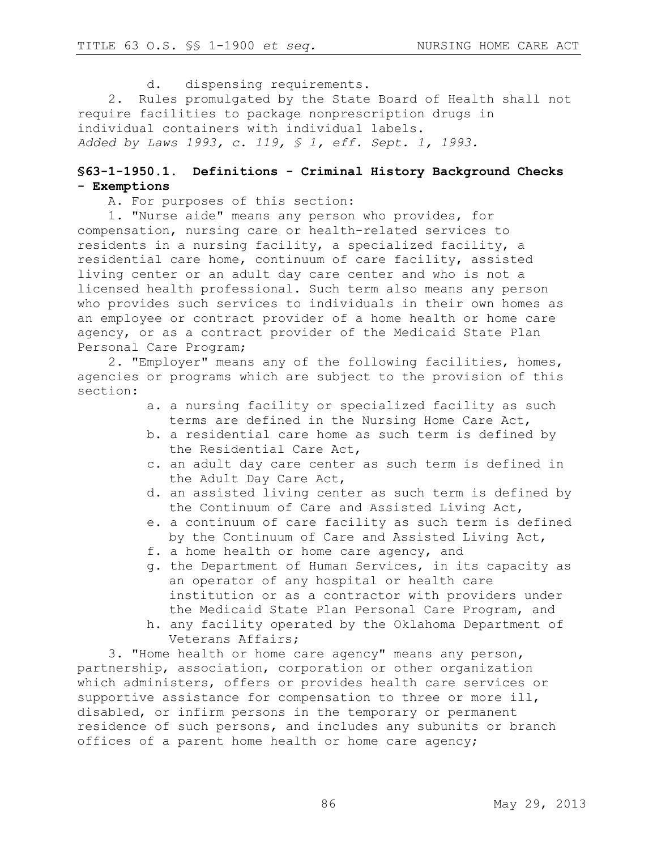d. dispensing requirements.

2. Rules promulgated by the State Board of Health shall not require facilities to package nonprescription drugs in individual containers with individual labels. *Added by Laws 1993, c. 119, § 1, eff. Sept. 1, 1993.*

## **§63-1-1950.1. Definitions - Criminal History Background Checks - Exemptions**

A. For purposes of this section:

1. "Nurse aide" means any person who provides, for compensation, nursing care or health-related services to residents in a nursing facility, a specialized facility, a residential care home, continuum of care facility, assisted living center or an adult day care center and who is not a licensed health professional. Such term also means any person who provides such services to individuals in their own homes as an employee or contract provider of a home health or home care agency, or as a contract provider of the Medicaid State Plan Personal Care Program;

2. "Employer" means any of the following facilities, homes, agencies or programs which are subject to the provision of this section:

- a. a nursing facility or specialized facility as such terms are defined in the Nursing Home Care Act,
- b. a residential care home as such term is defined by the Residential Care Act,
- c. an adult day care center as such term is defined in the Adult Day Care Act,
- d. an assisted living center as such term is defined by the Continuum of Care and Assisted Living Act,
- e. a continuum of care facility as such term is defined by the Continuum of Care and Assisted Living Act,
- f. a home health or home care agency, and
- g. the Department of Human Services, in its capacity as an operator of any hospital or health care institution or as a contractor with providers under the Medicaid State Plan Personal Care Program, and
- h. any facility operated by the Oklahoma Department of Veterans Affairs;

3. "Home health or home care agency" means any person, partnership, association, corporation or other organization which administers, offers or provides health care services or supportive assistance for compensation to three or more ill, disabled, or infirm persons in the temporary or permanent residence of such persons, and includes any subunits or branch offices of a parent home health or home care agency;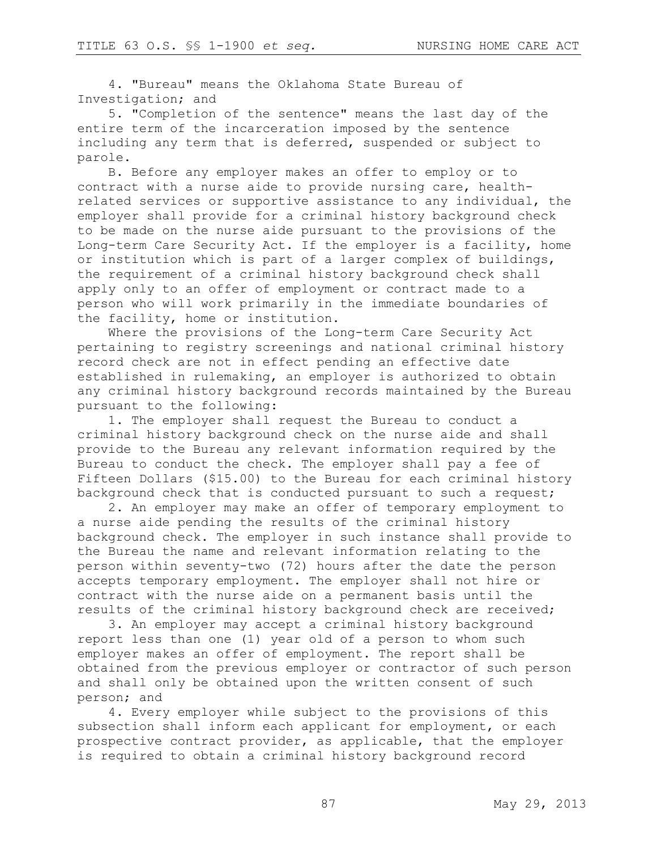4. "Bureau" means the Oklahoma State Bureau of Investigation; and

5. "Completion of the sentence" means the last day of the entire term of the incarceration imposed by the sentence including any term that is deferred, suspended or subject to parole.

B. Before any employer makes an offer to employ or to contract with a nurse aide to provide nursing care, healthrelated services or supportive assistance to any individual, the employer shall provide for a criminal history background check to be made on the nurse aide pursuant to the provisions of the Long-term Care Security Act. If the employer is a facility, home or institution which is part of a larger complex of buildings, the requirement of a criminal history background check shall apply only to an offer of employment or contract made to a person who will work primarily in the immediate boundaries of the facility, home or institution.

Where the provisions of the Long-term Care Security Act pertaining to registry screenings and national criminal history record check are not in effect pending an effective date established in rulemaking, an employer is authorized to obtain any criminal history background records maintained by the Bureau pursuant to the following:

1. The employer shall request the Bureau to conduct a criminal history background check on the nurse aide and shall provide to the Bureau any relevant information required by the Bureau to conduct the check. The employer shall pay a fee of Fifteen Dollars (\$15.00) to the Bureau for each criminal history background check that is conducted pursuant to such a request;

2. An employer may make an offer of temporary employment to a nurse aide pending the results of the criminal history background check. The employer in such instance shall provide to the Bureau the name and relevant information relating to the person within seventy-two (72) hours after the date the person accepts temporary employment. The employer shall not hire or contract with the nurse aide on a permanent basis until the results of the criminal history background check are received;

3. An employer may accept a criminal history background report less than one (1) year old of a person to whom such employer makes an offer of employment. The report shall be obtained from the previous employer or contractor of such person and shall only be obtained upon the written consent of such person; and

4. Every employer while subject to the provisions of this subsection shall inform each applicant for employment, or each prospective contract provider, as applicable, that the employer is required to obtain a criminal history background record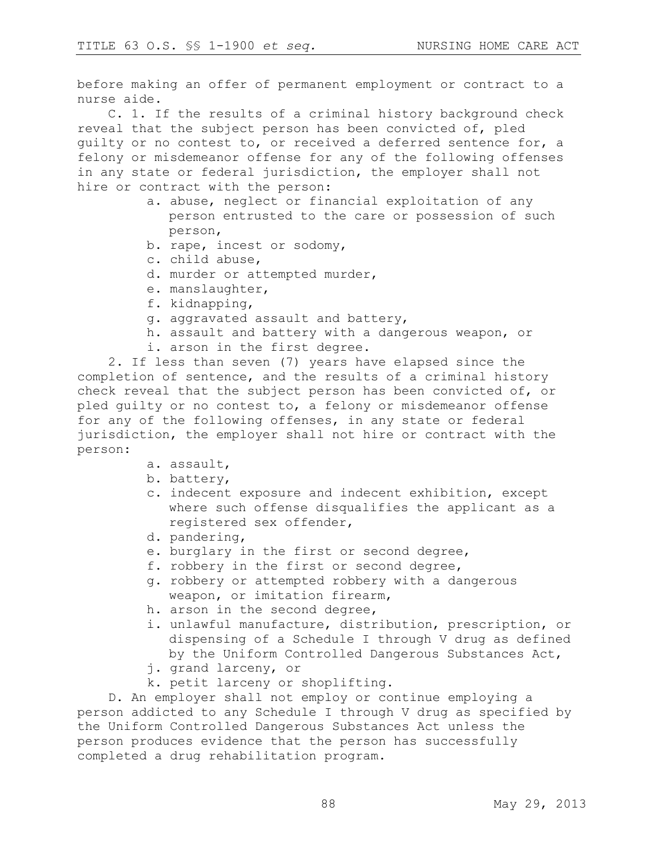before making an offer of permanent employment or contract to a nurse aide.

C. 1. If the results of a criminal history background check reveal that the subject person has been convicted of, pled guilty or no contest to, or received a deferred sentence for, a felony or misdemeanor offense for any of the following offenses in any state or federal jurisdiction, the employer shall not hire or contract with the person:

- a. abuse, neglect or financial exploitation of any person entrusted to the care or possession of such person,
- b. rape, incest or sodomy,
- c. child abuse,
- d. murder or attempted murder,
- e. manslaughter,
- f. kidnapping,
- g. aggravated assault and battery,
- h. assault and battery with a dangerous weapon, or
- i. arson in the first degree.

2. If less than seven (7) years have elapsed since the completion of sentence, and the results of a criminal history check reveal that the subject person has been convicted of, or pled guilty or no contest to, a felony or misdemeanor offense for any of the following offenses, in any state or federal jurisdiction, the employer shall not hire or contract with the person:

- a. assault,
- b. battery,
- c. indecent exposure and indecent exhibition, except where such offense disqualifies the applicant as a registered sex offender,
- d. pandering,
- e. burglary in the first or second degree,
- f. robbery in the first or second degree,
- g. robbery or attempted robbery with a dangerous weapon, or imitation firearm,
- h. arson in the second degree,
- i. unlawful manufacture, distribution, prescription, or dispensing of a Schedule I through V drug as defined by the Uniform Controlled Dangerous Substances Act,
- j. grand larceny, or
- k. petit larceny or shoplifting.

D. An employer shall not employ or continue employing a person addicted to any Schedule I through V drug as specified by the Uniform Controlled Dangerous Substances Act unless the person produces evidence that the person has successfully completed a drug rehabilitation program.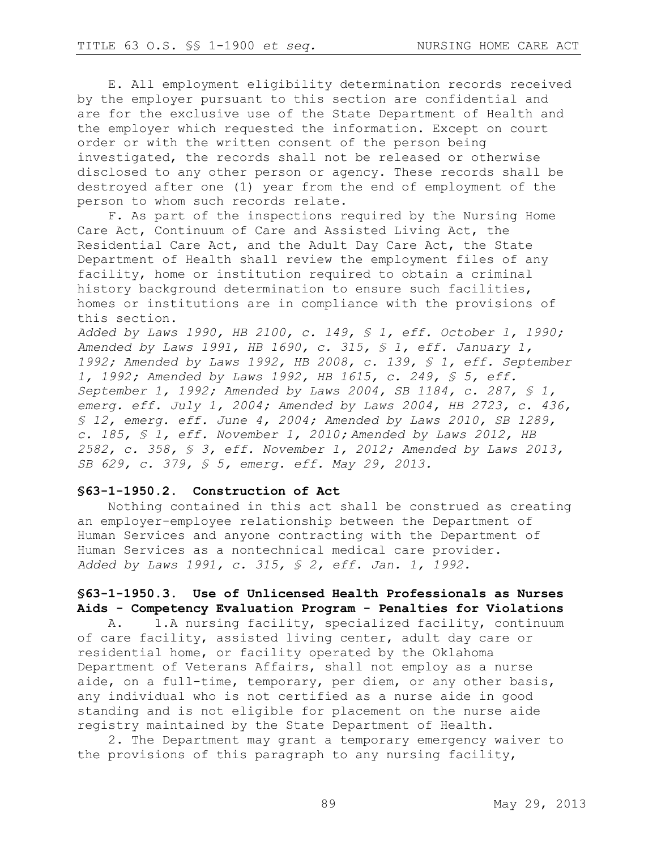E. All employment eligibility determination records received by the employer pursuant to this section are confidential and are for the exclusive use of the State Department of Health and the employer which requested the information. Except on court order or with the written consent of the person being investigated, the records shall not be released or otherwise disclosed to any other person or agency. These records shall be destroyed after one (1) year from the end of employment of the person to whom such records relate.

F. As part of the inspections required by the Nursing Home Care Act, Continuum of Care and Assisted Living Act, the Residential Care Act, and the Adult Day Care Act, the State Department of Health shall review the employment files of any facility, home or institution required to obtain a criminal history background determination to ensure such facilities, homes or institutions are in compliance with the provisions of this section.

*Added by Laws 1990, HB 2100, c. 149, § 1, eff. October 1, 1990; Amended by Laws 1991, HB 1690, c. 315, § 1, eff. January 1, 1992; Amended by Laws 1992, HB 2008, c. 139, § 1, eff. September 1, 1992; Amended by Laws 1992, HB 1615, c. 249, § 5, eff. September 1, 1992; Amended by Laws 2004, SB 1184, c. 287, § 1, emerg. eff. July 1, 2004; Amended by Laws 2004, HB 2723, c. 436, § 12, emerg. eff. June 4, 2004; Amended by Laws 2010, SB 1289, c. 185, § 1, eff. November 1, 2010; Amended by Laws 2012, HB 2582, c. 358, § 3, eff. November 1, 2012; Amended by Laws 2013, SB 629, c. 379, § 5, emerg. eff. May 29, 2013.*

#### **§63-1-1950.2. Construction of Act**

Nothing contained in this act shall be construed as creating an employer-employee relationship between the Department of Human Services and anyone contracting with the Department of Human Services as a nontechnical medical care provider. *Added by Laws 1991, c. 315, § 2, eff. Jan. 1, 1992.*

# **§63-1-1950.3. Use of Unlicensed Health Professionals as Nurses Aids - Competency Evaluation Program - Penalties for Violations**

A. 1.A nursing facility, specialized facility, continuum of care facility, assisted living center, adult day care or residential home, or facility operated by the Oklahoma Department of Veterans Affairs, shall not employ as a nurse aide, on a full-time, temporary, per diem, or any other basis, any individual who is not certified as a nurse aide in good standing and is not eligible for placement on the nurse aide registry maintained by the State Department of Health.

2. The Department may grant a temporary emergency waiver to the provisions of this paragraph to any nursing facility,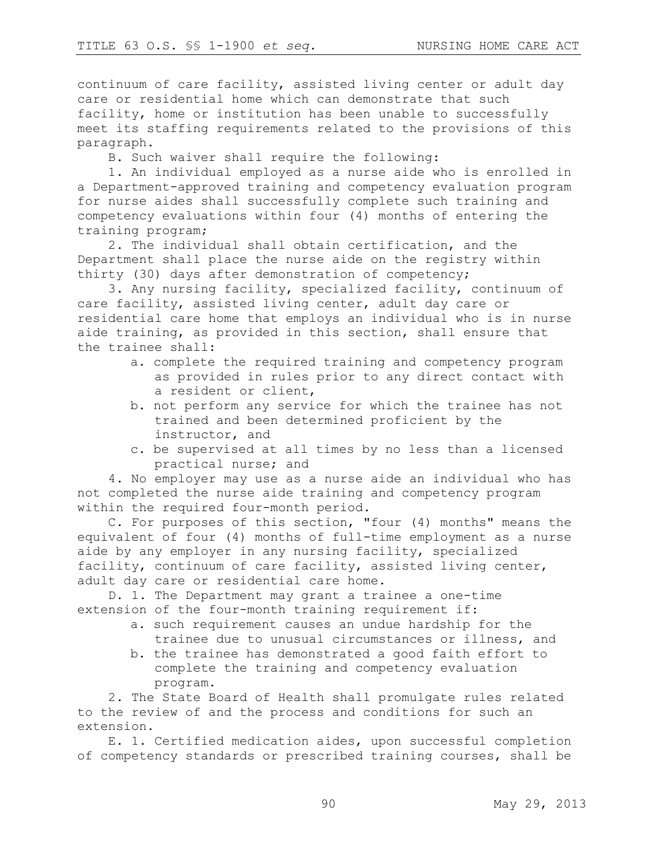continuum of care facility, assisted living center or adult day care or residential home which can demonstrate that such facility, home or institution has been unable to successfully meet its staffing requirements related to the provisions of this paragraph.

B. Such waiver shall require the following:

1. An individual employed as a nurse aide who is enrolled in a Department-approved training and competency evaluation program for nurse aides shall successfully complete such training and competency evaluations within four (4) months of entering the training program;

2. The individual shall obtain certification, and the Department shall place the nurse aide on the registry within thirty (30) days after demonstration of competency;

3. Any nursing facility, specialized facility, continuum of care facility, assisted living center, adult day care or residential care home that employs an individual who is in nurse aide training, as provided in this section, shall ensure that the trainee shall:

- a. complete the required training and competency program as provided in rules prior to any direct contact with a resident or client,
- b. not perform any service for which the trainee has not trained and been determined proficient by the instructor, and
- c. be supervised at all times by no less than a licensed practical nurse; and

4. No employer may use as a nurse aide an individual who has not completed the nurse aide training and competency program within the required four-month period.

C. For purposes of this section, "four (4) months" means the equivalent of four (4) months of full-time employment as a nurse aide by any employer in any nursing facility, specialized facility, continuum of care facility, assisted living center, adult day care or residential care home.

D. 1. The Department may grant a trainee a one-time extension of the four-month training requirement if:

- a. such requirement causes an undue hardship for the trainee due to unusual circumstances or illness, and
- b. the trainee has demonstrated a good faith effort to complete the training and competency evaluation program.

2. The State Board of Health shall promulgate rules related to the review of and the process and conditions for such an extension.

E. 1. Certified medication aides, upon successful completion of competency standards or prescribed training courses, shall be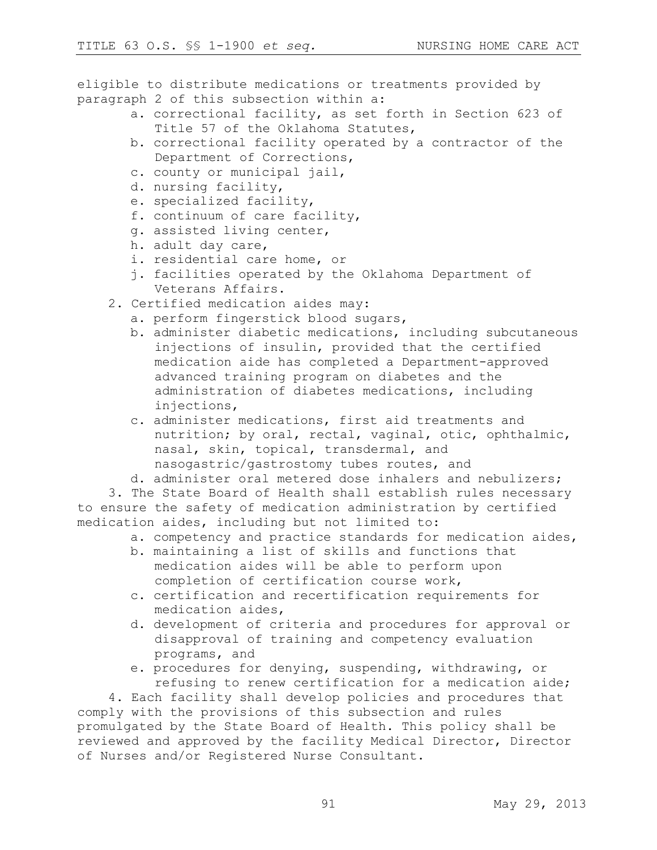eligible to distribute medications or treatments provided by paragraph 2 of this subsection within a:

- a. correctional facility, as set forth in Section 623 of Title 57 of the Oklahoma Statutes,
- b. correctional facility operated by a contractor of the Department of Corrections,
- c. county or municipal jail,
- d. nursing facility,
- e. specialized facility,
- f. continuum of care facility,
- g. assisted living center,
- h. adult day care,
- i. residential care home, or
- j. facilities operated by the Oklahoma Department of Veterans Affairs.
- 2. Certified medication aides may:
	- a. perform fingerstick blood sugars,
	- b. administer diabetic medications, including subcutaneous injections of insulin, provided that the certified medication aide has completed a Department-approved advanced training program on diabetes and the administration of diabetes medications, including injections,
	- c. administer medications, first aid treatments and nutrition; by oral, rectal, vaginal, otic, ophthalmic, nasal, skin, topical, transdermal, and nasogastric/gastrostomy tubes routes, and
	- d. administer oral metered dose inhalers and nebulizers;

3. The State Board of Health shall establish rules necessary to ensure the safety of medication administration by certified medication aides, including but not limited to:

- a. competency and practice standards for medication aides,
- b. maintaining a list of skills and functions that medication aides will be able to perform upon completion of certification course work,
- c. certification and recertification requirements for medication aides,
- d. development of criteria and procedures for approval or disapproval of training and competency evaluation programs, and
- e. procedures for denying, suspending, withdrawing, or refusing to renew certification for a medication aide;

4. Each facility shall develop policies and procedures that comply with the provisions of this subsection and rules promulgated by the State Board of Health. This policy shall be reviewed and approved by the facility Medical Director, Director of Nurses and/or Registered Nurse Consultant.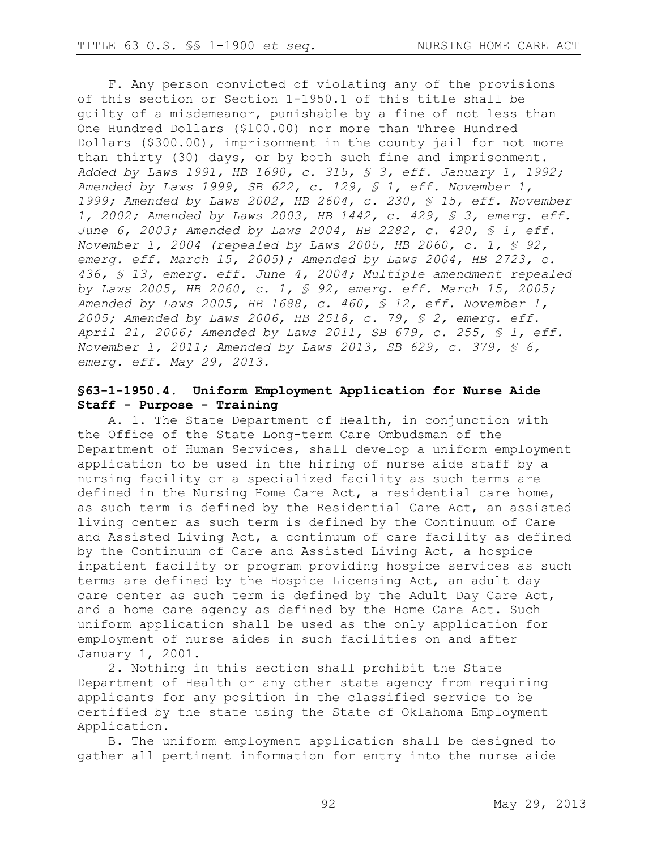F. Any person convicted of violating any of the provisions of this section or Section 1-1950.1 of this title shall be guilty of a misdemeanor, punishable by a fine of not less than One Hundred Dollars (\$100.00) nor more than Three Hundred Dollars (\$300.00), imprisonment in the county jail for not more than thirty (30) days, or by both such fine and imprisonment. *Added by Laws 1991, HB 1690, c. 315, § 3, eff. January 1, 1992; Amended by Laws 1999, SB 622, c. 129, § 1, eff. November 1, 1999; Amended by Laws 2002, HB 2604, c. 230, § 15, eff. November 1, 2002; Amended by Laws 2003, HB 1442, c. 429, § 3, emerg. eff. June 6, 2003; Amended by Laws 2004, HB 2282, c. 420, § 1, eff. November 1, 2004 (repealed by Laws 2005, HB 2060, c. 1, § 92, emerg. eff. March 15, 2005); Amended by Laws 2004, HB 2723, c. 436, § 13, emerg. eff. June 4, 2004; Multiple amendment repealed by Laws 2005, HB 2060, c. 1, § 92, emerg. eff. March 15, 2005; Amended by Laws 2005, HB 1688, c. 460, § 12, eff. November 1, 2005; Amended by Laws 2006, HB 2518, c. 79, § 2, emerg. eff. April 21, 2006; Amended by Laws 2011, SB 679, c. 255, § 1, eff. November 1, 2011; Amended by Laws 2013, SB 629, c. 379, § 6, emerg. eff. May 29, 2013.*

## **§63-1-1950.4. Uniform Employment Application for Nurse Aide Staff - Purpose - Training**

A. 1. The State Department of Health, in conjunction with the Office of the State Long-term Care Ombudsman of the Department of Human Services, shall develop a uniform employment application to be used in the hiring of nurse aide staff by a nursing facility or a specialized facility as such terms are defined in the Nursing Home Care Act, a residential care home, as such term is defined by the Residential Care Act, an assisted living center as such term is defined by the Continuum of Care and Assisted Living Act, a continuum of care facility as defined by the Continuum of Care and Assisted Living Act, a hospice inpatient facility or program providing hospice services as such terms are defined by the Hospice Licensing Act, an adult day care center as such term is defined by the Adult Day Care Act, and a home care agency as defined by the Home Care Act. Such uniform application shall be used as the only application for employment of nurse aides in such facilities on and after January 1, 2001.

2. Nothing in this section shall prohibit the State Department of Health or any other state agency from requiring applicants for any position in the classified service to be certified by the state using the State of Oklahoma Employment Application.

B. The uniform employment application shall be designed to gather all pertinent information for entry into the nurse aide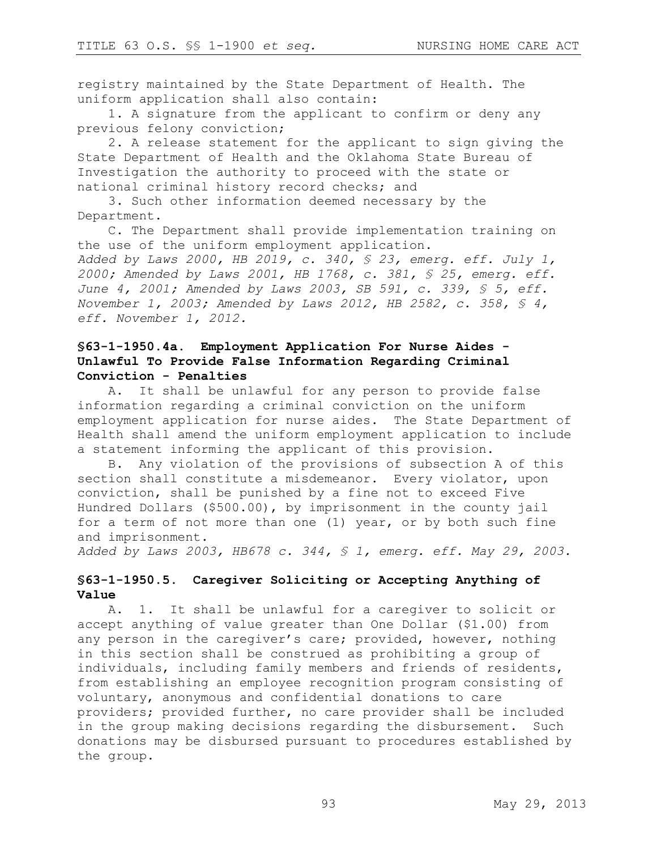registry maintained by the State Department of Health. The uniform application shall also contain:

1. A signature from the applicant to confirm or deny any previous felony conviction;

2. A release statement for the applicant to sign giving the State Department of Health and the Oklahoma State Bureau of Investigation the authority to proceed with the state or national criminal history record checks; and

3. Such other information deemed necessary by the Department.

C. The Department shall provide implementation training on the use of the uniform employment application. *Added by Laws 2000, HB 2019, c. 340, § 23, emerg. eff. July 1, 2000; Amended by Laws 2001, HB 1768, c. 381, § 25, emerg. eff. June 4, 2001; Amended by Laws 2003, SB 591, c. 339, § 5, eff. November 1, 2003; Amended by Laws 2012, HB 2582, c. 358, § 4, eff. November 1, 2012.*

## **§63-1-1950.4a. Employment Application For Nurse Aides - Unlawful To Provide False Information Regarding Criminal Conviction - Penalties**

A. It shall be unlawful for any person to provide false information regarding a criminal conviction on the uniform employment application for nurse aides. The State Department of Health shall amend the uniform employment application to include a statement informing the applicant of this provision.

B. Any violation of the provisions of subsection A of this section shall constitute a misdemeanor. Every violator, upon conviction, shall be punished by a fine not to exceed Five Hundred Dollars (\$500.00), by imprisonment in the county jail for a term of not more than one (1) year, or by both such fine and imprisonment.

*Added by Laws 2003, HB678 c. 344, § 1, emerg. eff. May 29, 2003.*

## **§63-1-1950.5. Caregiver Soliciting or Accepting Anything of Value**

A. 1. It shall be unlawful for a caregiver to solicit or accept anything of value greater than One Dollar (\$1.00) from any person in the caregiver's care; provided, however, nothing in this section shall be construed as prohibiting a group of individuals, including family members and friends of residents, from establishing an employee recognition program consisting of voluntary, anonymous and confidential donations to care providers; provided further, no care provider shall be included in the group making decisions regarding the disbursement. Such donations may be disbursed pursuant to procedures established by the group.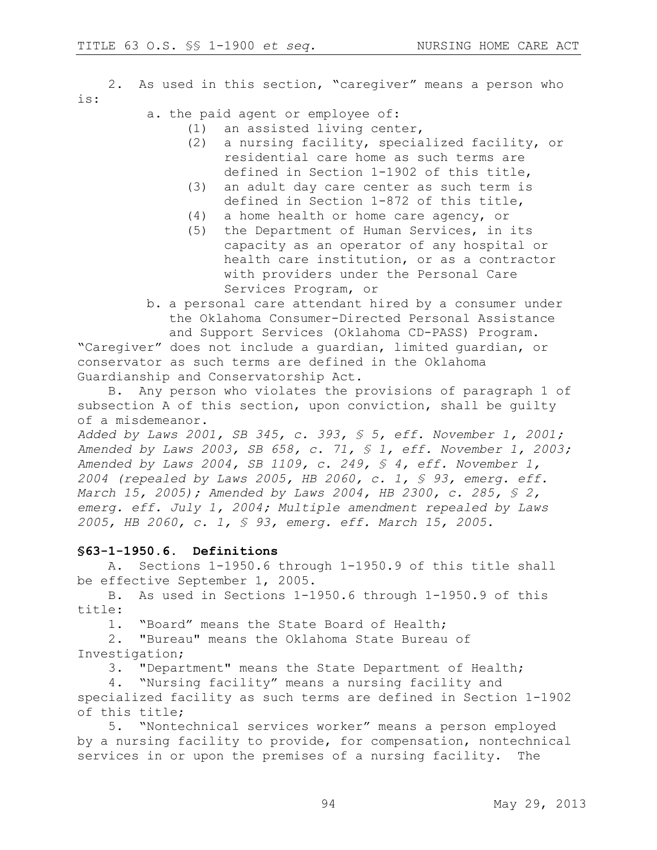2. As used in this section, "caregiver" means a person who is:

## a. the paid agent or employee of:

- (1) an assisted living center,
- (2) a nursing facility, specialized facility, or residential care home as such terms are defined in Section 1-1902 of this title,
- (3) an adult day care center as such term is defined in Section 1-872 of this title,
- (4) a home health or home care agency, or
- (5) the Department of Human Services, in its capacity as an operator of any hospital or health care institution, or as a contractor with providers under the Personal Care Services Program, or
- b. a personal care attendant hired by a consumer under the Oklahoma Consumer-Directed Personal Assistance and Support Services (Oklahoma CD-PASS) Program. "Caregiver" does not include a guardian, limited guardian, or

conservator as such terms are defined in the Oklahoma Guardianship and Conservatorship Act.

B. Any person who violates the provisions of paragraph 1 of subsection A of this section, upon conviction, shall be guilty of a misdemeanor.

*Added by Laws 2001, SB 345, c. 393, § 5, eff. November 1, 2001; Amended by Laws 2003, SB 658, c. 71, § 1, eff. November 1, 2003; Amended by Laws 2004, SB 1109, c. 249, § 4, eff. November 1, 2004 (repealed by Laws 2005, HB 2060, c. 1, § 93, emerg. eff. March 15, 2005); Amended by Laws 2004, HB 2300, c. 285, § 2, emerg. eff. July 1, 2004; Multiple amendment repealed by Laws 2005, HB 2060, c. 1, § 93, emerg. eff. March 15, 2005.*

## **§63-1-1950.6. Definitions**

A. Sections 1-1950.6 through 1-1950.9 of this title shall be effective September 1, 2005.

B. As used in Sections 1-1950.6 through 1-1950.9 of this title:

1. "Board" means the State Board of Health;

2. "Bureau" means the Oklahoma State Bureau of Investigation;

3. "Department" means the State Department of Health;

4. "Nursing facility" means a nursing facility and specialized facility as such terms are defined in Section 1-1902 of this title;

5. "Nontechnical services worker" means a person employed by a nursing facility to provide, for compensation, nontechnical services in or upon the premises of a nursing facility. The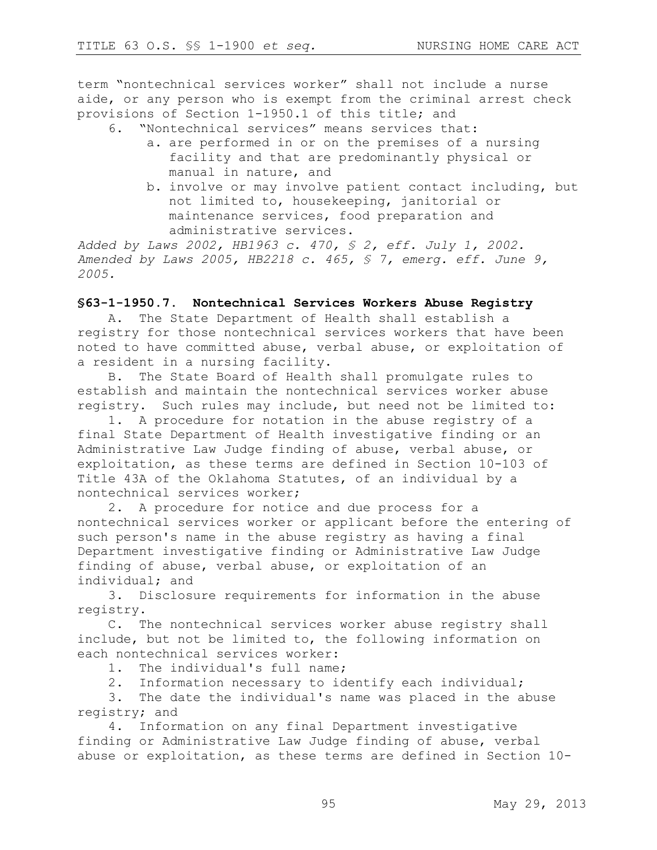term "nontechnical services worker" shall not include a nurse aide, or any person who is exempt from the criminal arrest check provisions of Section 1-1950.1 of this title; and

- 6. "Nontechnical services" means services that:
	- a. are performed in or on the premises of a nursing facility and that are predominantly physical or manual in nature, and
	- b. involve or may involve patient contact including, but not limited to, housekeeping, janitorial or maintenance services, food preparation and administrative services.

*Added by Laws 2002, HB1963 c. 470, § 2, eff. July 1, 2002. Amended by Laws 2005, HB2218 c. 465, § 7, emerg. eff. June 9, 2005.*

#### **§63-1-1950.7. Nontechnical Services Workers Abuse Registry**

A. The State Department of Health shall establish a registry for those nontechnical services workers that have been noted to have committed abuse, verbal abuse, or exploitation of a resident in a nursing facility.

B. The State Board of Health shall promulgate rules to establish and maintain the nontechnical services worker abuse registry. Such rules may include, but need not be limited to:

1. A procedure for notation in the abuse registry of a final State Department of Health investigative finding or an Administrative Law Judge finding of abuse, verbal abuse, or exploitation, as these terms are defined in Section 10-103 of Title 43A of the Oklahoma Statutes, of an individual by a nontechnical services worker;

2. A procedure for notice and due process for a nontechnical services worker or applicant before the entering of such person's name in the abuse registry as having a final Department investigative finding or Administrative Law Judge finding of abuse, verbal abuse, or exploitation of an individual; and

3. Disclosure requirements for information in the abuse registry.

C. The nontechnical services worker abuse registry shall include, but not be limited to, the following information on each nontechnical services worker:

1. The individual's full name;

2. Information necessary to identify each individual;

3. The date the individual's name was placed in the abuse registry; and

4. Information on any final Department investigative finding or Administrative Law Judge finding of abuse, verbal abuse or exploitation, as these terms are defined in Section 10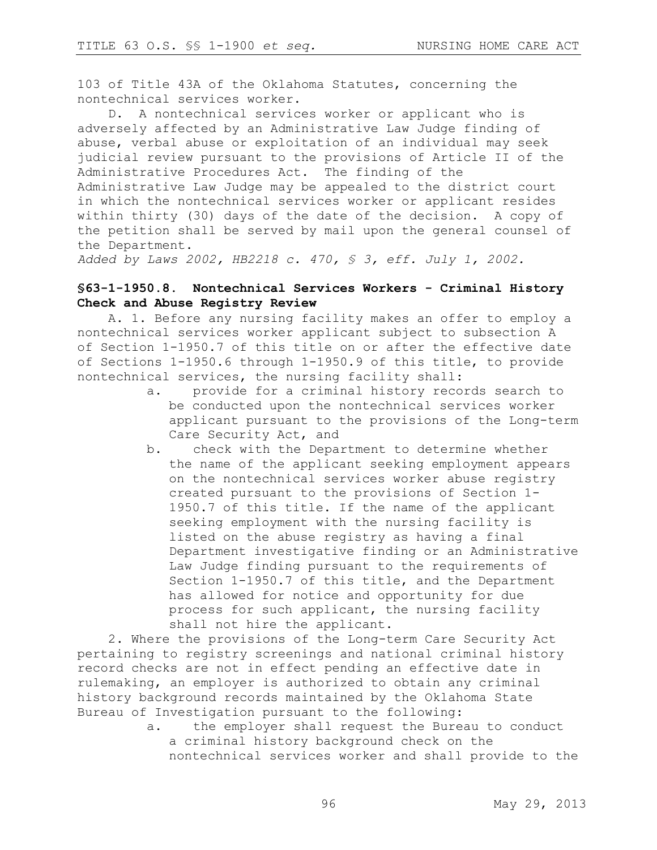103 of Title 43A of the Oklahoma Statutes, concerning the nontechnical services worker.

D. A nontechnical services worker or applicant who is adversely affected by an Administrative Law Judge finding of abuse, verbal abuse or exploitation of an individual may seek judicial review pursuant to the provisions of Article II of the Administrative Procedures Act. The finding of the Administrative Law Judge may be appealed to the district court in which the nontechnical services worker or applicant resides within thirty (30) days of the date of the decision. A copy of the petition shall be served by mail upon the general counsel of the Department.

*Added by Laws 2002, HB2218 c. 470, § 3, eff. July 1, 2002.*

## **§63-1-1950.8. Nontechnical Services Workers - Criminal History Check and Abuse Registry Review**

A. 1. Before any nursing facility makes an offer to employ a nontechnical services worker applicant subject to subsection A of Section 1-1950.7 of this title on or after the effective date of Sections 1-1950.6 through 1-1950.9 of this title, to provide nontechnical services, the nursing facility shall:

- a. provide for a criminal history records search to be conducted upon the nontechnical services worker applicant pursuant to the provisions of the Long-term Care Security Act, and
- b. check with the Department to determine whether the name of the applicant seeking employment appears on the nontechnical services worker abuse registry created pursuant to the provisions of Section 1- 1950.7 of this title. If the name of the applicant seeking employment with the nursing facility is listed on the abuse registry as having a final Department investigative finding or an Administrative Law Judge finding pursuant to the requirements of Section 1-1950.7 of this title, and the Department has allowed for notice and opportunity for due process for such applicant, the nursing facility shall not hire the applicant.

2. Where the provisions of the Long-term Care Security Act pertaining to registry screenings and national criminal history record checks are not in effect pending an effective date in rulemaking, an employer is authorized to obtain any criminal history background records maintained by the Oklahoma State Bureau of Investigation pursuant to the following:

a. the employer shall request the Bureau to conduct a criminal history background check on the nontechnical services worker and shall provide to the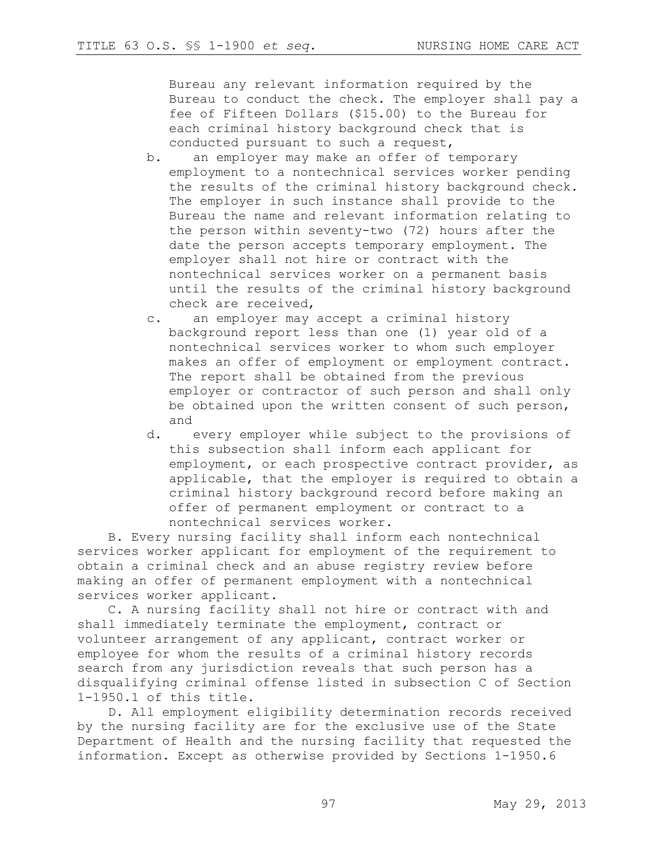Bureau any relevant information required by the Bureau to conduct the check. The employer shall pay a fee of Fifteen Dollars (\$15.00) to the Bureau for each criminal history background check that is conducted pursuant to such a request,

- b. an employer may make an offer of temporary employment to a nontechnical services worker pending the results of the criminal history background check. The employer in such instance shall provide to the Bureau the name and relevant information relating to the person within seventy-two (72) hours after the date the person accepts temporary employment. The employer shall not hire or contract with the nontechnical services worker on a permanent basis until the results of the criminal history background check are received,
- c. an employer may accept a criminal history background report less than one (1) year old of a nontechnical services worker to whom such employer makes an offer of employment or employment contract. The report shall be obtained from the previous employer or contractor of such person and shall only be obtained upon the written consent of such person, and
- d. every employer while subject to the provisions of this subsection shall inform each applicant for employment, or each prospective contract provider, as applicable, that the employer is required to obtain a criminal history background record before making an offer of permanent employment or contract to a nontechnical services worker.

B. Every nursing facility shall inform each nontechnical services worker applicant for employment of the requirement to obtain a criminal check and an abuse registry review before making an offer of permanent employment with a nontechnical services worker applicant.

C. A nursing facility shall not hire or contract with and shall immediately terminate the employment, contract or volunteer arrangement of any applicant, contract worker or employee for whom the results of a criminal history records search from any jurisdiction reveals that such person has a disqualifying criminal offense listed in subsection C of Section 1-1950.1 of this title.

D. All employment eligibility determination records received by the nursing facility are for the exclusive use of the State Department of Health and the nursing facility that requested the information. Except as otherwise provided by Sections 1-1950.6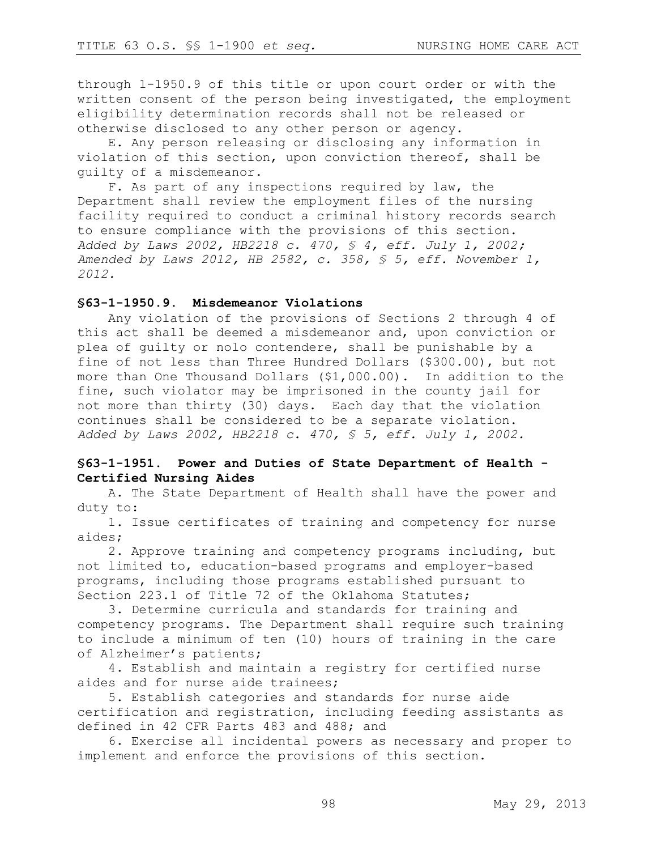through 1-1950.9 of this title or upon court order or with the written consent of the person being investigated, the employment eligibility determination records shall not be released or otherwise disclosed to any other person or agency.

E. Any person releasing or disclosing any information in violation of this section, upon conviction thereof, shall be guilty of a misdemeanor.

F. As part of any inspections required by law, the Department shall review the employment files of the nursing facility required to conduct a criminal history records search to ensure compliance with the provisions of this section. *Added by Laws 2002, HB2218 c. 470, § 4, eff. July 1, 2002; Amended by Laws 2012, HB 2582, c. 358, § 5, eff. November 1, 2012.*

#### **§63-1-1950.9. Misdemeanor Violations**

Any violation of the provisions of Sections 2 through 4 of this act shall be deemed a misdemeanor and, upon conviction or plea of guilty or nolo contendere, shall be punishable by a fine of not less than Three Hundred Dollars (\$300.00), but not more than One Thousand Dollars (\$1,000.00). In addition to the fine, such violator may be imprisoned in the county jail for not more than thirty (30) days. Each day that the violation continues shall be considered to be a separate violation. *Added by Laws 2002, HB2218 c. 470, § 5, eff. July 1, 2002.*

## **§63-1-1951. Power and Duties of State Department of Health - Certified Nursing Aides**

A. The State Department of Health shall have the power and duty to:

1. Issue certificates of training and competency for nurse aides;

2. Approve training and competency programs including, but not limited to, education-based programs and employer-based programs, including those programs established pursuant to Section 223.1 of Title 72 of the Oklahoma Statutes;

3. Determine curricula and standards for training and competency programs. The Department shall require such training to include a minimum of ten (10) hours of training in the care of Alzheimer's patients;

4. Establish and maintain a registry for certified nurse aides and for nurse aide trainees;

5. Establish categories and standards for nurse aide certification and registration, including feeding assistants as defined in 42 CFR Parts 483 and 488; and

6. Exercise all incidental powers as necessary and proper to implement and enforce the provisions of this section.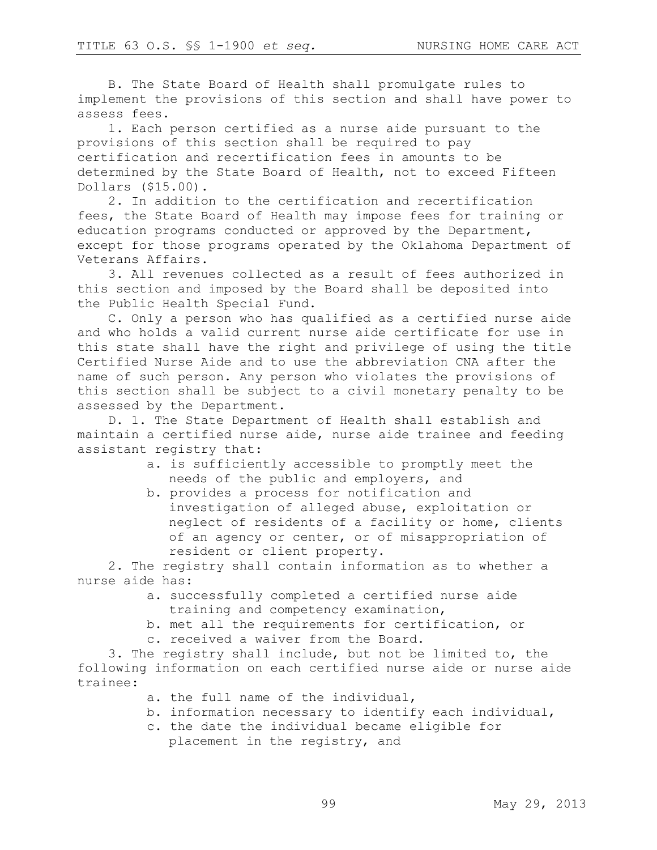B. The State Board of Health shall promulgate rules to implement the provisions of this section and shall have power to assess fees.

1. Each person certified as a nurse aide pursuant to the provisions of this section shall be required to pay certification and recertification fees in amounts to be determined by the State Board of Health, not to exceed Fifteen Dollars (\$15.00).

2. In addition to the certification and recertification fees, the State Board of Health may impose fees for training or education programs conducted or approved by the Department, except for those programs operated by the Oklahoma Department of Veterans Affairs.

3. All revenues collected as a result of fees authorized in this section and imposed by the Board shall be deposited into the Public Health Special Fund.

C. Only a person who has qualified as a certified nurse aide and who holds a valid current nurse aide certificate for use in this state shall have the right and privilege of using the title Certified Nurse Aide and to use the abbreviation CNA after the name of such person. Any person who violates the provisions of this section shall be subject to a civil monetary penalty to be assessed by the Department.

D. 1. The State Department of Health shall establish and maintain a certified nurse aide, nurse aide trainee and feeding assistant registry that:

- a. is sufficiently accessible to promptly meet the needs of the public and employers, and
- b. provides a process for notification and investigation of alleged abuse, exploitation or neglect of residents of a facility or home, clients of an agency or center, or of misappropriation of resident or client property.

2. The registry shall contain information as to whether a nurse aide has:

- a. successfully completed a certified nurse aide training and competency examination,
- b. met all the requirements for certification, or
- c. received a waiver from the Board.

3. The registry shall include, but not be limited to, the following information on each certified nurse aide or nurse aide trainee:

- a. the full name of the individual,
- b. information necessary to identify each individual,
- c. the date the individual became eligible for placement in the registry, and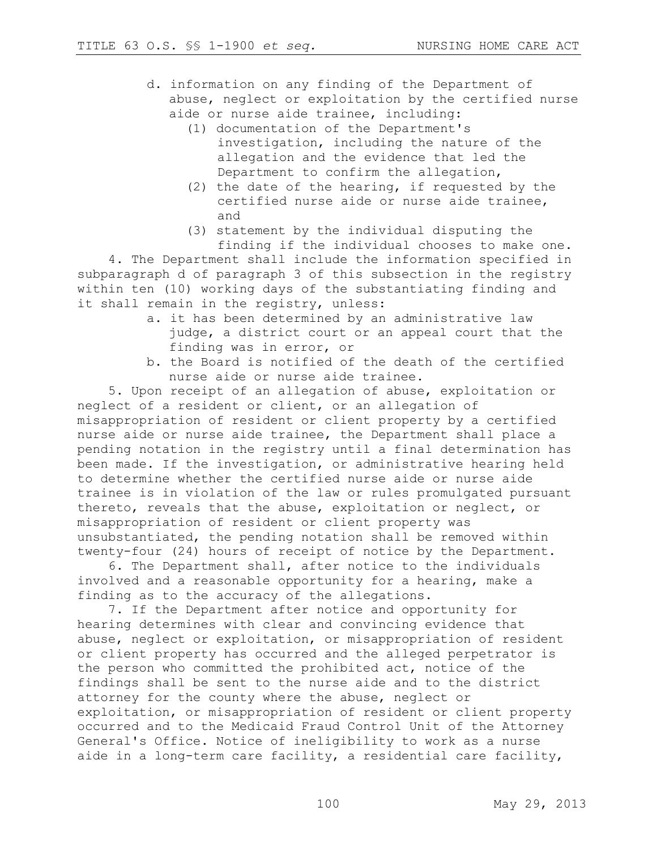- d. information on any finding of the Department of abuse, neglect or exploitation by the certified nurse aide or nurse aide trainee, including:
	- (1) documentation of the Department's investigation, including the nature of the allegation and the evidence that led the Department to confirm the allegation,
	- (2) the date of the hearing, if requested by the certified nurse aide or nurse aide trainee, and
	- (3) statement by the individual disputing the finding if the individual chooses to make one.

4. The Department shall include the information specified in subparagraph d of paragraph 3 of this subsection in the registry within ten (10) working days of the substantiating finding and it shall remain in the registry, unless:

- a. it has been determined by an administrative law judge, a district court or an appeal court that the finding was in error, or
- b. the Board is notified of the death of the certified nurse aide or nurse aide trainee.

5. Upon receipt of an allegation of abuse, exploitation or neglect of a resident or client, or an allegation of misappropriation of resident or client property by a certified nurse aide or nurse aide trainee, the Department shall place a pending notation in the registry until a final determination has been made. If the investigation, or administrative hearing held to determine whether the certified nurse aide or nurse aide trainee is in violation of the law or rules promulgated pursuant thereto, reveals that the abuse, exploitation or neglect, or misappropriation of resident or client property was unsubstantiated, the pending notation shall be removed within twenty-four (24) hours of receipt of notice by the Department.

6. The Department shall, after notice to the individuals involved and a reasonable opportunity for a hearing, make a finding as to the accuracy of the allegations.

7. If the Department after notice and opportunity for hearing determines with clear and convincing evidence that abuse, neglect or exploitation, or misappropriation of resident or client property has occurred and the alleged perpetrator is the person who committed the prohibited act, notice of the findings shall be sent to the nurse aide and to the district attorney for the county where the abuse, neglect or exploitation, or misappropriation of resident or client property occurred and to the Medicaid Fraud Control Unit of the Attorney General's Office. Notice of ineligibility to work as a nurse aide in a long-term care facility, a residential care facility,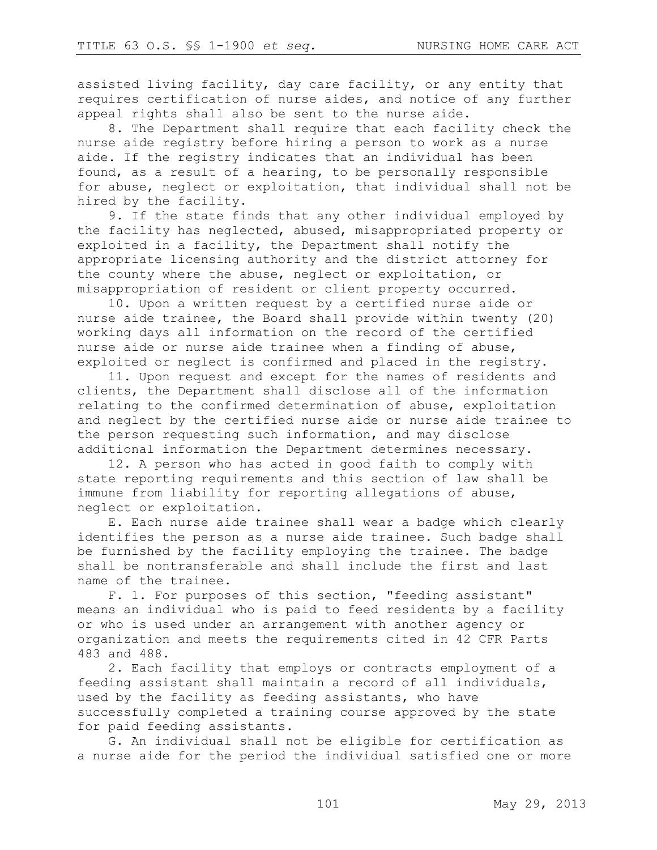assisted living facility, day care facility, or any entity that requires certification of nurse aides, and notice of any further appeal rights shall also be sent to the nurse aide.

8. The Department shall require that each facility check the nurse aide registry before hiring a person to work as a nurse aide. If the registry indicates that an individual has been found, as a result of a hearing, to be personally responsible for abuse, neglect or exploitation, that individual shall not be hired by the facility.

9. If the state finds that any other individual employed by the facility has neglected, abused, misappropriated property or exploited in a facility, the Department shall notify the appropriate licensing authority and the district attorney for the county where the abuse, neglect or exploitation, or misappropriation of resident or client property occurred.

10. Upon a written request by a certified nurse aide or nurse aide trainee, the Board shall provide within twenty (20) working days all information on the record of the certified nurse aide or nurse aide trainee when a finding of abuse, exploited or neglect is confirmed and placed in the registry.

11. Upon request and except for the names of residents and clients, the Department shall disclose all of the information relating to the confirmed determination of abuse, exploitation and neglect by the certified nurse aide or nurse aide trainee to the person requesting such information, and may disclose additional information the Department determines necessary.

12. A person who has acted in good faith to comply with state reporting requirements and this section of law shall be immune from liability for reporting allegations of abuse, neglect or exploitation.

E. Each nurse aide trainee shall wear a badge which clearly identifies the person as a nurse aide trainee. Such badge shall be furnished by the facility employing the trainee. The badge shall be nontransferable and shall include the first and last name of the trainee.

F. 1. For purposes of this section, "feeding assistant" means an individual who is paid to feed residents by a facility or who is used under an arrangement with another agency or organization and meets the requirements cited in 42 CFR Parts 483 and 488.

2. Each facility that employs or contracts employment of a feeding assistant shall maintain a record of all individuals, used by the facility as feeding assistants, who have successfully completed a training course approved by the state for paid feeding assistants.

G. An individual shall not be eligible for certification as a nurse aide for the period the individual satisfied one or more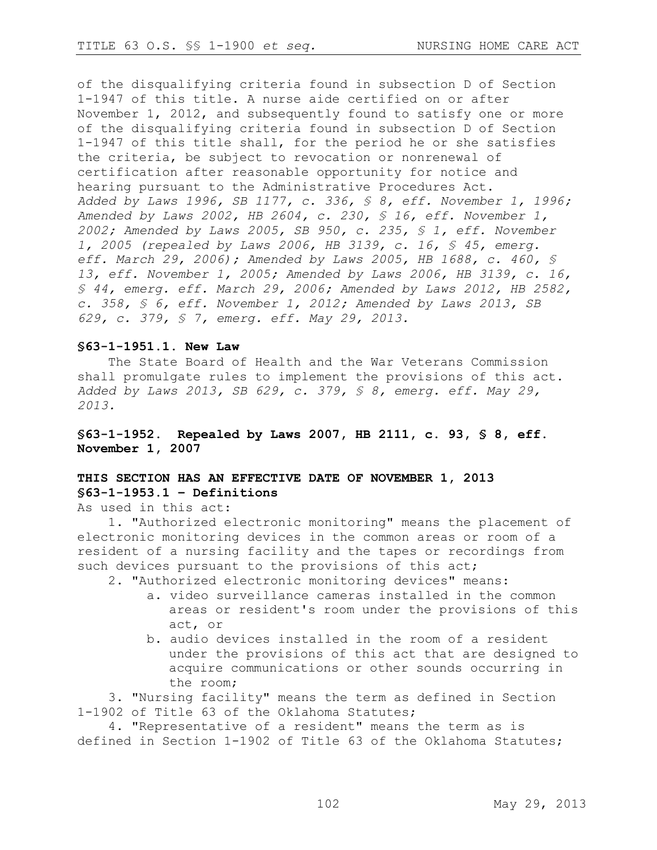of the disqualifying criteria found in subsection D of Section 1-1947 of this title. A nurse aide certified on or after November 1, 2012, and subsequently found to satisfy one or more of the disqualifying criteria found in subsection D of Section 1-1947 of this title shall, for the period he or she satisfies the criteria, be subject to revocation or nonrenewal of certification after reasonable opportunity for notice and hearing pursuant to the Administrative Procedures Act. *Added by Laws 1996, SB 1177, c. 336, § 8, eff. November 1, 1996; Amended by Laws 2002, HB 2604, c. 230, § 16, eff. November 1, 2002; Amended by Laws 2005, SB 950, c. 235, § 1, eff. November 1, 2005 (repealed by Laws 2006, HB 3139, c. 16, § 45, emerg. eff. March 29, 2006); Amended by Laws 2005, HB 1688, c. 460, § 13, eff. November 1, 2005; Amended by Laws 2006, HB 3139, c. 16, § 44, emerg. eff. March 29, 2006; Amended by Laws 2012, HB 2582, c. 358, § 6, eff. November 1, 2012; Amended by Laws 2013, SB 629, c. 379, § 7, emerg. eff. May 29, 2013.*

#### **§63-1-1951.1. New Law**

The State Board of Health and the War Veterans Commission shall promulgate rules to implement the provisions of this act. *Added by Laws 2013, SB 629, c. 379, § 8, emerg. eff. May 29, 2013.*

**§63-1-1952. Repealed by Laws 2007, HB 2111, c. 93, § 8, eff. November 1, 2007**

# **THIS SECTION HAS AN EFFECTIVE DATE OF NOVEMBER 1, 2013 §63-1-1953.1 – Definitions**

As used in this act:

1. "Authorized electronic monitoring" means the placement of electronic monitoring devices in the common areas or room of a resident of a nursing facility and the tapes or recordings from such devices pursuant to the provisions of this act;

- 2. "Authorized electronic monitoring devices" means: a. video surveillance cameras installed in the common
	- areas or resident's room under the provisions of this act, or
	- b. audio devices installed in the room of a resident under the provisions of this act that are designed to acquire communications or other sounds occurring in the room;

3. "Nursing facility" means the term as defined in Section 1-1902 of Title 63 of the Oklahoma Statutes;

4. "Representative of a resident" means the term as is defined in Section 1-1902 of Title 63 of the Oklahoma Statutes;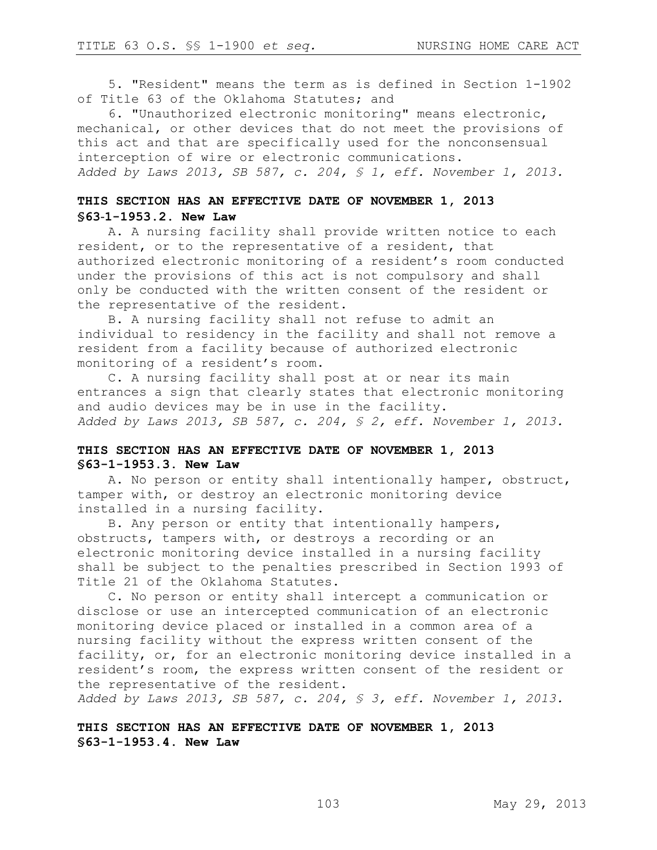5. "Resident" means the term as is defined in Section 1-1902 of Title 63 of the Oklahoma Statutes; and

6. "Unauthorized electronic monitoring" means electronic, mechanical, or other devices that do not meet the provisions of this act and that are specifically used for the nonconsensual interception of wire or electronic communications. *Added by Laws 2013, SB 587, c. 204, § 1, eff. November 1, 2013.*

# **THIS SECTION HAS AN EFFECTIVE DATE OF NOVEMBER 1, 2013 §63**-**1-1953.2. New Law**

A. A nursing facility shall provide written notice to each resident, or to the representative of a resident, that authorized electronic monitoring of a resident's room conducted under the provisions of this act is not compulsory and shall only be conducted with the written consent of the resident or the representative of the resident.

B. A nursing facility shall not refuse to admit an individual to residency in the facility and shall not remove a resident from a facility because of authorized electronic monitoring of a resident's room.

C. A nursing facility shall post at or near its main entrances a sign that clearly states that electronic monitoring and audio devices may be in use in the facility. *Added by Laws 2013, SB 587, c. 204, § 2, eff. November 1, 2013.*

## **THIS SECTION HAS AN EFFECTIVE DATE OF NOVEMBER 1, 2013 §63-1-1953.3. New Law**

A. No person or entity shall intentionally hamper, obstruct, tamper with, or destroy an electronic monitoring device installed in a nursing facility.

B. Any person or entity that intentionally hampers, obstructs, tampers with, or destroys a recording or an electronic monitoring device installed in a nursing facility shall be subject to the penalties prescribed in Section 1993 of Title 21 of the Oklahoma Statutes.

C. No person or entity shall intercept a communication or disclose or use an intercepted communication of an electronic monitoring device placed or installed in a common area of a nursing facility without the express written consent of the facility, or, for an electronic monitoring device installed in a resident's room, the express written consent of the resident or the representative of the resident.

*Added by Laws 2013, SB 587, c. 204, § 3, eff. November 1, 2013.*

**THIS SECTION HAS AN EFFECTIVE DATE OF NOVEMBER 1, 2013 §63-1-1953.4. New Law**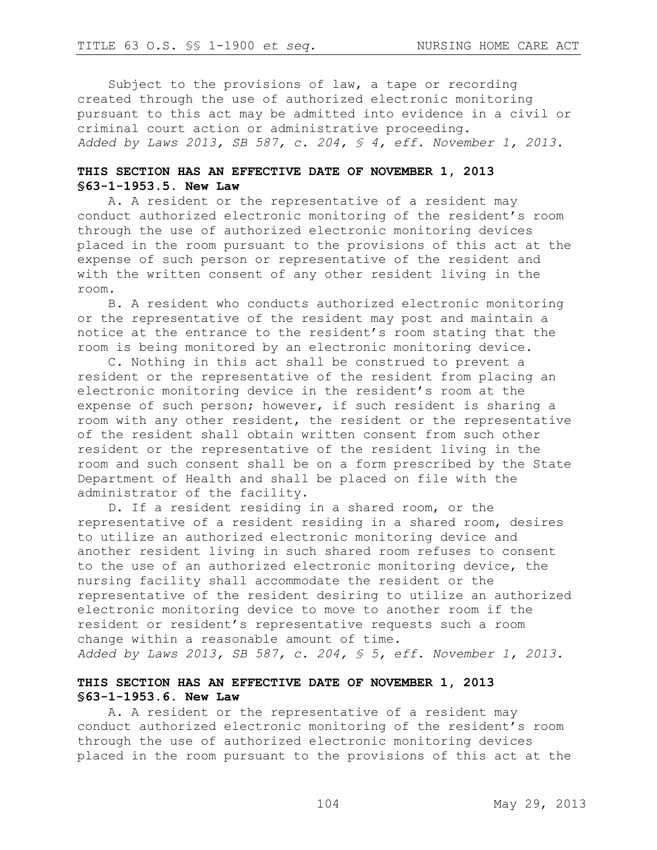Subject to the provisions of law, a tape or recording created through the use of authorized electronic monitoring pursuant to this act may be admitted into evidence in a civil or criminal court action or administrative proceeding. *Added by Laws 2013, SB 587, c. 204, § 4, eff. November 1, 2013.*

## **THIS SECTION HAS AN EFFECTIVE DATE OF NOVEMBER 1, 2013 §63-1-1953.5. New Law**

A. A resident or the representative of a resident may conduct authorized electronic monitoring of the resident's room through the use of authorized electronic monitoring devices placed in the room pursuant to the provisions of this act at the expense of such person or representative of the resident and with the written consent of any other resident living in the room.

B. A resident who conducts authorized electronic monitoring or the representative of the resident may post and maintain a notice at the entrance to the resident's room stating that the room is being monitored by an electronic monitoring device.

C. Nothing in this act shall be construed to prevent a resident or the representative of the resident from placing an electronic monitoring device in the resident's room at the expense of such person; however, if such resident is sharing a room with any other resident, the resident or the representative of the resident shall obtain written consent from such other resident or the representative of the resident living in the room and such consent shall be on a form prescribed by the State Department of Health and shall be placed on file with the administrator of the facility.

D. If a resident residing in a shared room, or the representative of a resident residing in a shared room, desires to utilize an authorized electronic monitoring device and another resident living in such shared room refuses to consent to the use of an authorized electronic monitoring device, the nursing facility shall accommodate the resident or the representative of the resident desiring to utilize an authorized electronic monitoring device to move to another room if the resident or resident's representative requests such a room change within a reasonable amount of time. *Added by Laws 2013, SB 587, c. 204, § 5, eff. November 1, 2013.*

## **THIS SECTION HAS AN EFFECTIVE DATE OF NOVEMBER 1, 2013 §63-1-1953.6. New Law**

A. A resident or the representative of a resident may conduct authorized electronic monitoring of the resident's room through the use of authorized electronic monitoring devices placed in the room pursuant to the provisions of this act at the